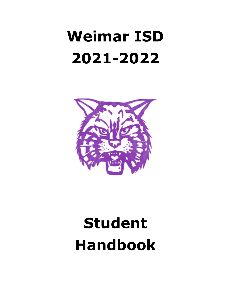# **Weimar ISD 2021-2022**



# **Student Handbook**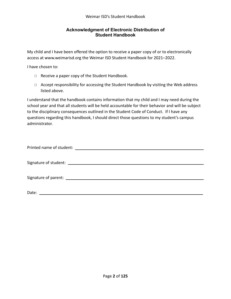#### **Acknowledgment of Electronic Distribution of Student Handbook**

My child and I have been offered the option to receive a paper copy of or to electronically access at www.weimarisd.org the Weimar ISD Student Handbook for 2021–2022.

I have chosen to:

- ◻ Receive a paper copy of the Student Handbook.
- ◻ Accept responsibility for accessing the Student Handbook by visiting the Web address listed above.

I understand that the handbook contains information that my child and I may need during the school year and that all students will be held accountable for their behavior and will be subject to the disciplinary consequences outlined in the Student Code of Conduct. If I have any questions regarding this handbook, I should direct those questions to my student's campus administrator.

| Date: |  |
|-------|--|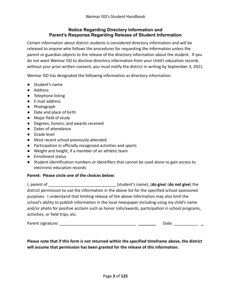#### **Notice Regarding Directory Information and Parent's Response Regarding Release of Student Information**

Certain information about district students is considered directory information and will be released to anyone who follows the procedures for requesting the information unless the parent or guardian objects to the release of the directory information about the student. If you do not want Weimar ISD to disclose directory information from your child's education records without your prior written consent, you must notify the district in writing by September 3, 2021.

Weimar ISD has designated the following information as directory information:

- Student's name
- Address
- Telephone listing
- E-mail address
- Photograph
- Date and place of birth
- Major field of study
- Degrees, honors, and awards received
- Dates of attendance
- Grade level
- Most recent school previously attended
- Participation in officially recognized activities and sports
- Weight and height, if a member of an athletic team
- Enrollment status
- Student identification numbers or identifiers that cannot be used alone to gain access to electronic education records

#### **Parent: Please circle one of the choices below:**

I, parent of \_\_\_\_\_\_\_\_\_\_\_\_\_\_\_\_\_\_\_\_\_\_\_\_\_\_\_\_\_\_ (student's name), (**do give**) (**do not give**) the district permission to use the information in the above list for the specified school-sponsored purposes. I understand that limiting release of the above information may also limit the school's ability to publish information in the local newspaper including using my child's name and/or photo for positive acclaim such as honor rolls/awards, participation in school programs, activities, or field trips, etc.

| Parent signature: | Jate |  |
|-------------------|------|--|
|                   |      |  |

#### **Please note that if this form is not returned within the specified timeframe above, the district will assume that permission has been granted for the release of this information.**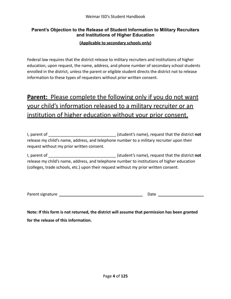#### **Parent's Objection to the Release of Student Information to Military Recruiters and Institutions of Higher Education**

#### **(Applicable to secondary schools only)**

Federal law requires that the district release to military recruiters and institutions of higher education, upon request, the name, address, and phone number of secondary school students enrolled in the district, unless the parent or eligible student directs the district not to release information to these types of requesters without prior written consent.

# **Parent:** Please complete the following only if you do not want your child's information released to a military recruiter or an institution of higher education without your prior consent.

| I, parent of                                                                              | (student's name), request that the district not |
|-------------------------------------------------------------------------------------------|-------------------------------------------------|
| release my child's name, address, and telephone number to a military recruiter upon their |                                                 |
| request without my prior written consent.                                                 |                                                 |

I, parent of **I** are not all the district **not** (student's name), request that the district **not** release my child's name, address, and telephone number to institutions of higher education (colleges, trade schools, etc.) upon their request without my prior written consent.

| Parent signature | Date |
|------------------|------|
|                  |      |

**Note: If this form is not returned, the district will assume that permission has been granted for the release of this information.**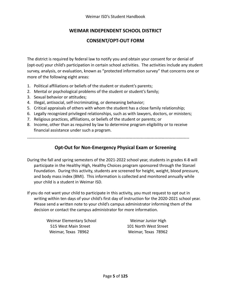#### **WEIMAR INDEPENDENT SCHOOL DISTRICT**

#### **CONSENT/OPT-OUT FORM**

The district is required by federal law to notify you and obtain your consent for or denial of (opt-out) your child's participation in certain school activities. The activities include any student survey, analysis, or evaluation, known as "protected information survey" that concerns one or more of the following eight areas:

- 1. Political affiliations or beliefs of the student or student's parents;
- 2. Mental or psychological problems of the student or student's family;
- 3. Sexual behavior or attitudes;
- 4. Illegal, antisocial, self-incriminating, or demeaning behavior;
- 5. Critical appraisals of others with whom the student has a close family relationship;
- 6. Legally recognized privileged relationships, such as with lawyers, doctors, or ministers;
- 7. Religious practices, affiliations, or beliefs of the student or parents; or
- 8. Income, other than as required by law to determine program eligibility or to receive financial assistance under such a program.

---------------------------------------------------------------------------------------------------------------------

## **Opt-Out for Non-Emergency Physical Exam or Screening**

During the fall and spring semesters of the 2021-2022 school year, students in grades K-8 will participate in the Healthy High, Healthy Choices program sponsored through the Stanzel Foundation. During this activity, students are screened for height, weight, blood pressure, and body mass index (BMI). This information is collected and monitored annually while your child is a student in Weimar ISD.

If you do not want your child to participate in this activity, you must request to opt out in writing within ten days of your child's first day of instruction for the 2020-2021 school year. Please send a written note to your child's campus administrator informing them of the decision or contact the campus administrator for more information.

> Weimar Elementary School Weimar Junior High 515 West Main Street 101 North West Street Weimar, Texas 78962 Weimar, Texas 78962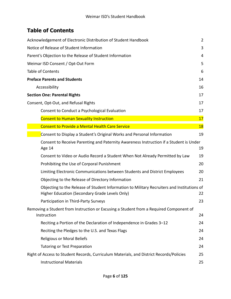# **Table of Contents**

| Acknowledgement of Electronic Distribution of Student Handbook                                                                               | $\overline{2}$ |
|----------------------------------------------------------------------------------------------------------------------------------------------|----------------|
| Notice of Release of Student Information                                                                                                     | 3              |
| Parent's Objection to the Release of Student Information                                                                                     | 4              |
| Weimar ISD Consent / Opt-Out Form                                                                                                            | 5              |
| Table of Contents                                                                                                                            | 6              |
| <b>Preface Parents and Students</b>                                                                                                          | 14             |
| Accessibility                                                                                                                                | 16             |
| <b>Section One: Parental Rights</b>                                                                                                          | 17             |
| Consent, Opt-Out, and Refusal Rights                                                                                                         | 17             |
| Consent to Conduct a Psychological Evaluation                                                                                                | 17             |
| <b>Consent to Human Sexuality Instruction</b>                                                                                                | 17             |
| <b>Consent to Provide a Mental Health Care Service</b>                                                                                       | <b>18</b>      |
| Consent to Display a Student's Original Works and Personal Information                                                                       | 19             |
| Consent to Receive Parenting and Paternity Awareness Instruction if a Student is Under<br>Age 14                                             | 19             |
| Consent to Video or Audio Record a Student When Not Already Permitted by Law                                                                 | 19             |
| Prohibiting the Use of Corporal Punishment                                                                                                   | 20             |
| Limiting Electronic Communications between Students and District Employees                                                                   | 20             |
| Objecting to the Release of Directory Information                                                                                            | 21             |
| Objecting to the Release of Student Information to Military Recruiters and Institutions of<br>Higher Education (Secondary Grade Levels Only) | 22             |
| Participation in Third-Party Surveys                                                                                                         | 23             |
| Removing a Student from Instruction or Excusing a Student from a Required Component of<br>Instruction                                        | 24             |
| Reciting a Portion of the Declaration of Independence in Grades 3-12                                                                         | 24             |
| Reciting the Pledges to the U.S. and Texas Flags                                                                                             | 24             |
| <b>Religious or Moral Beliefs</b>                                                                                                            | 24             |
| <b>Tutoring or Test Preparation</b>                                                                                                          | 24             |
| Right of Access to Student Records, Curriculum Materials, and District Records/Policies                                                      | 25             |
| <b>Instructional Materials</b>                                                                                                               | 25             |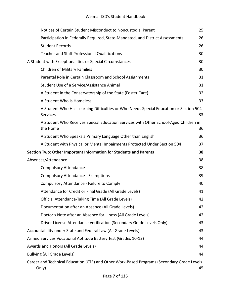| Notices of Certain Student Misconduct to Noncustodial Parent                                      | 25 |
|---------------------------------------------------------------------------------------------------|----|
| Participation in Federally Required, State-Mandated, and District Assessments                     | 26 |
| <b>Student Records</b>                                                                            | 26 |
| <b>Teacher and Staff Professional Qualifications</b>                                              | 30 |
| A Student with Exceptionalities or Special Circumstances                                          | 30 |
| <b>Children of Military Families</b>                                                              | 30 |
| Parental Role in Certain Classroom and School Assignments                                         | 31 |
| Student Use of a Service/Assistance Animal                                                        | 31 |
| A Student in the Conservatorship of the State (Foster Care)                                       | 32 |
| A Student Who Is Homeless                                                                         | 33 |
| A Student Who Has Learning Difficulties or Who Needs Special Education or Section 504<br>Services | 33 |
| A Student Who Receives Special Education Services with Other School-Aged Children in<br>the Home  | 36 |
| A Student Who Speaks a Primary Language Other than English                                        | 36 |
| A Student with Physical or Mental Impairments Protected Under Section 504                         | 37 |
|                                                                                                   |    |
| Section Two: Other Important Information for Students and Parents                                 | 38 |
| Absences/Attendance                                                                               | 38 |
| <b>Compulsory Attendance</b>                                                                      | 38 |
| <b>Compulsory Attendance - Exemptions</b>                                                         | 39 |
| Compulsory Attendance - Failure to Comply                                                         | 40 |
| Attendance for Credit or Final Grade (All Grade Levels)                                           | 41 |
| Official Attendance-Taking Time (All Grade Levels)                                                | 42 |
| Documentation after an Absence (All Grade Levels)                                                 | 42 |
| Doctor's Note after an Absence for Illness (All Grade Levels)                                     | 42 |
| Driver License Attendance Verification (Secondary Grade Levels Only)                              | 43 |
| Accountability under State and Federal Law (All Grade Levels)                                     | 43 |
| Armed Services Vocational Aptitude Battery Test (Grades 10-12)                                    | 44 |
| Awards and Honors (All Grade Levels)                                                              | 44 |
| <b>Bullying (All Grade Levels)</b>                                                                | 44 |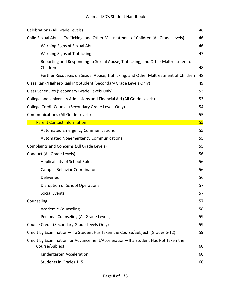| Celebrations (All Grade Levels)                                                                     | 46 |
|-----------------------------------------------------------------------------------------------------|----|
| Child Sexual Abuse, Trafficking, and Other Maltreatment of Children (All Grade Levels)              | 46 |
| Warning Signs of Sexual Abuse                                                                       | 46 |
| <b>Warning Signs of Trafficking</b>                                                                 | 47 |
| Reporting and Responding to Sexual Abuse, Trafficking, and Other Maltreatment of<br>Children        | 48 |
| Further Resources on Sexual Abuse, Trafficking, and Other Maltreatment of Children                  | 48 |
| Class Rank/Highest-Ranking Student (Secondary Grade Levels Only)                                    | 49 |
| Class Schedules (Secondary Grade Levels Only)                                                       | 53 |
| College and University Admissions and Financial Aid (All Grade Levels)                              | 53 |
| College Credit Courses (Secondary Grade Levels Only)                                                | 54 |
| <b>Communications (All Grade Levels)</b>                                                            | 55 |
| <b>Parent Contact Information</b>                                                                   | 55 |
| <b>Automated Emergency Communications</b>                                                           | 55 |
| <b>Automated Nonemergency Communications</b>                                                        | 55 |
| <b>Complaints and Concerns (All Grade Levels)</b>                                                   | 55 |
| Conduct (All Grade Levels)                                                                          | 56 |
| Applicability of School Rules                                                                       | 56 |
| <b>Campus Behavior Coordinator</b>                                                                  | 56 |
| <b>Deliveries</b>                                                                                   | 56 |
| Disruption of School Operations                                                                     | 57 |
| <b>Social Events</b>                                                                                | 57 |
| Counseling                                                                                          | 57 |
| <b>Academic Counseling</b>                                                                          | 58 |
| Personal Counseling (All Grade Levels)                                                              | 59 |
| Course Credit (Secondary Grade Levels Only)                                                         | 59 |
| Credit by Examination—If a Student Has Taken the Course/Subject (Grades 6-12)                       | 59 |
| Credit by Examination for Advancement/Acceleration-If a Student Has Not Taken the<br>Course/Subject | 60 |
| Kindergarten Acceleration                                                                           | 60 |
| Students in Grades 1-5                                                                              | 60 |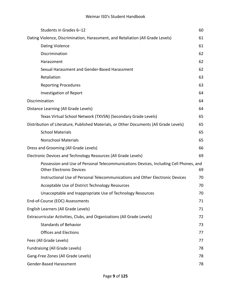| Students in Grades 6-12                                                                                                  | 60 |
|--------------------------------------------------------------------------------------------------------------------------|----|
| Dating Violence, Discrimination, Harassment, and Retaliation (All Grade Levels)                                          | 61 |
| <b>Dating Violence</b>                                                                                                   | 61 |
| Discrimination                                                                                                           | 62 |
| Harassment                                                                                                               | 62 |
| Sexual Harassment and Gender-Based Harassment                                                                            | 62 |
| Retaliation                                                                                                              | 63 |
| <b>Reporting Procedures</b>                                                                                              | 63 |
| <b>Investigation of Report</b>                                                                                           | 64 |
| Discrimination                                                                                                           | 64 |
| Distance Learning (All Grade Levels)                                                                                     | 64 |
| Texas Virtual School Network (TXVSN) (Secondary Grade Levels)                                                            | 65 |
| Distribution of Literature, Published Materials, or Other Documents (All Grade Levels)                                   | 65 |
| <b>School Materials</b>                                                                                                  | 65 |
| <b>Nonschool Materials</b>                                                                                               | 65 |
| Dress and Grooming (All Grade Levels)                                                                                    | 66 |
| Electronic Devices and Technology Resources (All Grade Levels)                                                           | 69 |
| Possession and Use of Personal Telecommunications Devices, Including Cell Phones, and<br><b>Other Electronic Devices</b> | 69 |
| Instructional Use of Personal Telecommunications and Other Electronic Devices                                            | 70 |
| Acceptable Use of District Technology Resources                                                                          | 70 |
| Unacceptable and Inappropriate Use of Technology Resources                                                               | 70 |
| End-of-Course (EOC) Assessments                                                                                          | 71 |
| English Learners (All Grade Levels)                                                                                      | 71 |
| Extracurricular Activities, Clubs, and Organizations (All Grade Levels)                                                  | 72 |
| <b>Standards of Behavior</b>                                                                                             | 73 |
| <b>Offices and Elections</b>                                                                                             | 77 |
| Fees (All Grade Levels)                                                                                                  | 77 |
| <b>Fundraising (All Grade Levels)</b>                                                                                    | 78 |
| Gang-Free Zones (All Grade Levels)                                                                                       | 78 |
| Gender-Based Harassment                                                                                                  | 78 |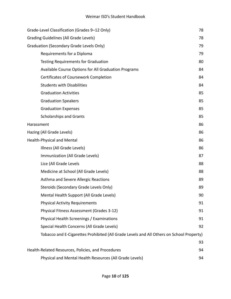| Grade-Level Classification (Grades 9-12 Only)                                            | 78 |
|------------------------------------------------------------------------------------------|----|
| <b>Grading Guidelines (All Grade Levels)</b>                                             | 78 |
| <b>Graduation (Secondary Grade Levels Only)</b>                                          | 79 |
| Requirements for a Diploma                                                               | 79 |
| <b>Testing Requirements for Graduation</b>                                               | 80 |
| Available Course Options for All Graduation Programs                                     | 84 |
| Certificates of Coursework Completion                                                    | 84 |
| <b>Students with Disabilities</b>                                                        | 84 |
| <b>Graduation Activities</b>                                                             | 85 |
| <b>Graduation Speakers</b>                                                               | 85 |
| <b>Graduation Expenses</b>                                                               | 85 |
| <b>Scholarships and Grants</b>                                                           | 85 |
| Harassment                                                                               | 86 |
| Hazing (All Grade Levels)                                                                | 86 |
| <b>Health-Physical and Mental</b>                                                        | 86 |
| Illness (All Grade Levels)                                                               | 86 |
| Immunization (All Grade Levels)                                                          | 87 |
| Lice (All Grade Levels                                                                   | 88 |
| Medicine at School (All Grade Levels)                                                    | 88 |
| Asthma and Severe Allergic Reactions                                                     | 89 |
| Steroids (Secondary Grade Levels Only)                                                   | 89 |
| Mental Health Support (All Grade Levels)                                                 | 90 |
| <b>Physical Activity Requirements</b>                                                    | 91 |
| Physical Fitness Assessment (Grades 3-12)                                                | 91 |
| Physical Health Screenings / Examinations                                                | 91 |
| Special Health Concerns (All Grade Levels)                                               | 92 |
| Tobacco and E-Cigarettes Prohibited (All Grade Levels and All Others on School Property) |    |
|                                                                                          | 93 |
| Health-Related Resources, Policies, and Procedures                                       | 94 |
| Physical and Mental Health Resources (All Grade Levels)                                  | 94 |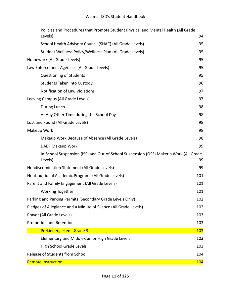| Policies and Procedures that Promote Student Physical and Mental Health (All Grade<br>Levels)   | 94         |
|-------------------------------------------------------------------------------------------------|------------|
| School Health Advisory Council (SHAC) (All Grade Levels)                                        | 95         |
| Student Wellness Policy/Wellness Plan (All Grade Levels)                                        | 95         |
| Homework (All Grade Levels)                                                                     | 95         |
| Law Enforcement Agencies (All Grade Levels)                                                     | 95         |
| Questioning of Students                                                                         | 95         |
| Students Taken into Custody                                                                     | 96         |
| <b>Notification of Law Violations</b>                                                           | 97         |
| Leaving Campus (All Grade Levels)                                                               | 97         |
| During Lunch                                                                                    | 98         |
| At Any Other Time during the School Day                                                         | 98         |
| Lost and Found (All Grade Levels)                                                               | 98         |
| Makeup Work                                                                                     | 98         |
| Makeup Work Because of Absence (All Grade Levels)                                               | 98         |
| DAEP Makeup Work                                                                                | 99         |
| In-School Suspension (ISS) and Out-of-School Suspension (OSS) Makeup Work (All Grade<br>Levels) | 99         |
| Nondiscrimination Statement (All Grade Levels)                                                  | 99         |
| Nontraditional Academic Programs (All Grade Levels)                                             | 101        |
| Parent and Family Engagement (All Grade Levels)                                                 | 101        |
| Working Together                                                                                | 101        |
| Parking and Parking Permits (Secondary Grade Levels Only)                                       | 102        |
| Pledges of Allegiance and a Minute of Silence (All Grade Levels)                                | 102        |
| Prayer (All Grade Levels)                                                                       | 103        |
| Promotion and Retention                                                                         | 103        |
| Prekindergarten - Grade 3                                                                       | <b>103</b> |
| Elementary and Middle/Junior High Grade Levels                                                  | 103        |
| <b>High School Grade Levels</b>                                                                 | 103        |
| Release of Students from School                                                                 | 104        |
| <b>Remote Instruction</b>                                                                       | 104        |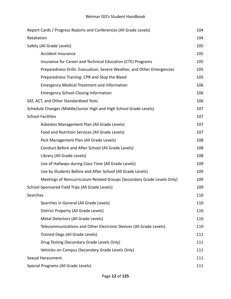| Report Cards / Progress Reports and Conferences (All Grade Levels)     | 104 |
|------------------------------------------------------------------------|-----|
|                                                                        |     |
| Retaliation                                                            | 104 |
| Safety (All Grade Levels)                                              | 105 |
| <b>Accident Insurance</b>                                              | 105 |
| Insurance for Career and Technical Education (CTE) Programs            | 105 |
| Preparedness Drills: Evacuation, Severe Weather, and Other Emergencies | 105 |
| Preparedness Training: CPR and Stop the Bleed                          | 105 |
| <b>Emergency Medical Treatment and Information</b>                     | 106 |
| <b>Emergency School-Closing Information</b>                            | 106 |
| SAT, ACT, and Other Standardized Tests                                 | 106 |
| Schedule Changes (Middle/Junior High and High School Grade Levels)     | 107 |
| <b>School Facilities</b>                                               | 107 |
| Asbestos Management Plan (All Grade Levels)                            | 107 |
| Food and Nutrition Services (All Grade Levels)                         | 107 |
| Pest Management Plan (All Grade Levels)                                | 108 |
| Conduct Before and After School (All Grade Levels)                     | 108 |
| Library (All Grade Levels)                                             | 108 |
| Use of Hallways during Class Time (All Grade Levels)                   | 109 |
| Use by Students Before and After School (All Grade Levels)             | 109 |
| Meetings of Noncurriculum-Related Groups (Secondary Grade Levels Only) | 109 |
| School-Sponsored Field Trips (All Grade Levels)                        | 109 |
| Searches                                                               | 110 |
| Searches in General (All Grade Levels)                                 | 110 |
| District Property (All Grade Levels)                                   | 110 |
| Metal Detectors (All Grade Levels)                                     | 110 |
| Telecommunications and Other Electronic Devices (All Grade Levels)     | 110 |
| Trained Dogs (All Grade Levels)                                        | 111 |
| Drug Testing (Secondary Grade Levels Only)                             | 111 |
| Vehicles on Campus (Secondary Grade Levels Only)                       | 111 |
| Sexual Harassment                                                      | 111 |
| Special Programs (All Grade Levels)                                    | 111 |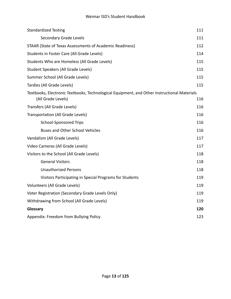#### Weimar ISD's Student Handbook

<span id="page-12-0"></span>

| <b>Standardized Testing</b>                                                                                       | 111 |
|-------------------------------------------------------------------------------------------------------------------|-----|
| Secondary Grade Levels                                                                                            | 111 |
| STAAR (State of Texas Assessments of Academic Readiness)                                                          | 112 |
| Students in Foster Care (All Grade Levels)                                                                        | 114 |
| Students Who are Homeless (All Grade Levels)                                                                      | 115 |
| Student Speakers (All Grade Levels)                                                                               | 115 |
| Summer School (All Grade Levels)                                                                                  | 115 |
| Tardies (All Grade Levels)                                                                                        | 115 |
| Textbooks, Electronic Textbooks, Technological Equipment, and Other Instructional Materials<br>(All Grade Levels) | 116 |
| Transfers (All Grade Levels)                                                                                      | 116 |
| Transportation (All Grade Levels)                                                                                 | 116 |
| <b>School-Sponsored Trips</b>                                                                                     | 116 |
| <b>Buses and Other School Vehicles</b>                                                                            | 116 |
| Vandalism (All Grade Levels)                                                                                      | 117 |
| Video Cameras (All Grade Levels)                                                                                  | 117 |
| Visitors to the School (All Grade Levels)                                                                         | 118 |
| <b>General Visitors</b>                                                                                           | 118 |
| <b>Unauthorized Persons</b>                                                                                       | 118 |
| Visitors Participating in Special Programs for Students                                                           | 119 |
| Volunteers (All Grade Levels)                                                                                     | 119 |
| Voter Registration (Secondary Grade Levels Only)                                                                  | 119 |
| Withdrawing from School (All Grade Levels)                                                                        | 119 |
| Glossary                                                                                                          | 120 |
| Appendix: Freedom from Bullying Policy                                                                            | 123 |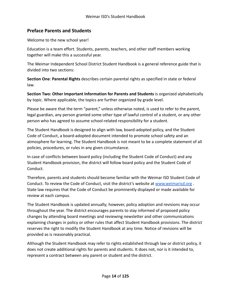#### **Preface Parents and Students**

Welcome to the new school year!

Education is a team effort. Students, parents, teachers, and other staff members working together will make this a successful year.

The Weimar Independent School District Student Handbook is a general reference guide that is divided into two sections:

**Section One**: **Parental Rights** describes certain parental rights as specified in state or federal law.

**Section Two: Other Important Information for Parents and Students** is organized alphabetically by topic. Where applicable, the topics are further organized by grade level.

Please be aware that the term "parent," unless otherwise noted, is used to refer to the parent, legal guardian, any person granted some other type of lawful control of a student, or any other person who has agreed to assume school-related responsibility for a student.

The Student Handbook is designed to align with law, board-adopted policy, and the Student Code of Conduct, a board-adopted document intended to promote school safety and an atmosphere for learning. The Student Handbook is not meant to be a complete statement of all policies, procedures, or rules in any given circumstance.

In case of conflicts between board policy (including the Student Code of Conduct) and any Student Handbook provision, the district will follow board policy and the Student Code of Conduct.

Therefore, parents and students should become familiar with the Weimar ISD Student Code of Conduct. To review the Code of Conduct, visit the district's website at [www.weimarisd.org](http://www.weimarisd.org) . State law requires that the Code of Conduct be prominently displayed or made available for review at each campus.

The Student Handbook is updated annually; however, policy adoption and revisions may occur throughout the year. The district encourages parents to stay informed of proposed policy changes by attending board meetings and reviewing newsletter and other communications explaining changes in policy or other rules that affect Student Handbook provisions. The district reserves the right to modify the Student Handbook at any time. Notice of revisions will be provided as is reasonably practical.

Although the Student Handbook may refer to rights established through law or district policy, it does not create additional rights for parents and students. It does not, nor is it intended to, represent a contract between any parent or student and the district.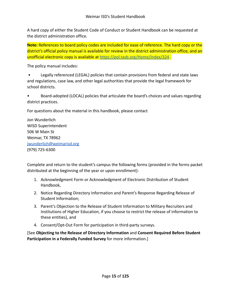A hard copy of either the Student Code of Conduct or Student Handbook can be requested at the district administration office.

**Note:** References to board policy codes are included for ease of reference. The hard copy or the district's official policy manual is available for review in the district administration office, and an unofficial electronic copy is available at <https://pol.tasb.org/Home/Index/324> .

The policy manual includes:

• Legally referenced (LEGAL) policies that contain provisions from federal and state laws and regulations, case law, and other legal authorities that provide the legal framework for school districts.

• Board-adopted (LOCAL) policies that articulate the board's choices and values regarding district practices.

For questions about the material in this handbook, please contact

Jon Wunderlich WISD Superintendent 506 W Main St Weimar, TX 78962 [jwunderlich@weimarisd.org](mailto:jwunderlich@weimarisd.org) (979) 725-6300

Complete and return to the student's campus the following forms (provided in the forms packet distributed at the beginning of the year or upon enrollment):

- 1. Acknowledgment Form or Acknowledgment of Electronic Distribution of Student Handbook,
- 2. Notice Regarding Directory Information and Parent's Response Regarding Release of Student Information;
- 3. Parent's Objection to the Release of Student Information to Military Recruiters and Institutions of Higher Education, if you choose to restrict the release of information to these entities), and
- 4. Consent/Opt-Out Form for participation in third-party surveys.

[See **Objecting to the Release of Directory Information** and **Consent Required Before Student Participation in a Federally Funded Survey** for more information.]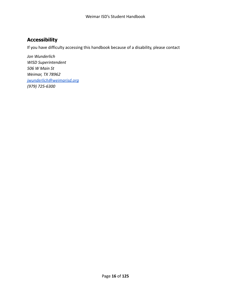# <span id="page-15-0"></span>**Accessibility**

If you have difficulty accessing this handbook because of a disability, please contact

*Jon Wunderlich WISD Superintendent 506 W Main St Weimar, TX 78962 [jwunderlich@weimarisd.org](mailto:jwunderlich@weimarisd.org) (979) 725-6300*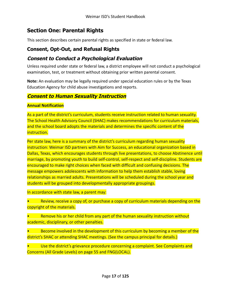# <span id="page-16-0"></span>**Section One: Parental Rights**

This section describes certain parental rights as specified in state or federal law.

#### <span id="page-16-1"></span>**Consent, Opt-Out, and Refusal Rights**

#### <span id="page-16-2"></span>**Consent to Conduct <sup>a</sup> Psychological Evaluation**

Unless required under state or federal law, a district employee will not conduct a psychological examination, test, or treatment without obtaining prior written parental consent.

**Note:** An evaluation may be legally required under special education rules or by the Texas Education Agency for child abuse investigations and reports.

#### **Consent to Human Sexuality Instruction**

#### **Annual Notification**

As a part of the district's curriculum, students receive instruction related to human sexuality. The School Health Advisory Council (SHAC) makes recommendations for curriculum materials, and the school board adopts the materials and determines the specific content of the instruction.

Per state law, here is a summary of the district's curriculum regarding human sexuality instruction: Weimar ISD partners with Aim for Success, an educational organization based in Dallas, Texas, which encourages students through live presentations, to choose Abstinence until marriage, by promoting youth to build self-control, self-respect and self-discipline. Students are encouraged to make right choices when faced with difficult and confusing decisions. The message empowers adolescents with information to help them establish stable, loving relationships as married adults. Presentations will be scheduled during the school year and students will be grouped into developmentally appropriate groupings.

In accordance with state law, a parent may:

Review, receive a copy of, or purchase a copy of curriculum materials depending on the copyright of the materials.

Remove his or her child from any part of the human sexuality instruction without academic, disciplinary, or other penalties.

• Become involved in the development of this curriculum by becoming a member of the district's SHAC or attending SHAC meetings. (See the campus principal for details.)

Use the district's grievance procedure concerning a complaint. See Complaints and Concerns (All Grade Levels) on page 55 and FNG(LOCAL).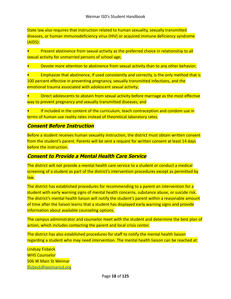State law also requires that instruction related to human sexuality, sexually transmitted diseases, or human immunodeficiency virus (HIV) or acquired immune deficiency syndrome (AIDS):

• Present abstinence from sexual activity as the preferred choice in relationship to all sexual activity for unmarried persons of school age;

• Devote more attention to abstinence from sexual activity than to any other behavior;

• Emphasize that abstinence, if used consistently and correctly, is the only method that is 100 percent effective in preventing pregnancy, sexually transmitted infections, and the emotional trauma associated with adolescent sexual activity;

• Direct adolescents to abstain from sexual activity before marriage as the most effective way to prevent pregnancy and sexually transmitted diseases; and

If included in the content of the curriculum, teach contraception and condom use in terms of human use reality rates instead of theoretical laboratory rates.

#### **Consent Before Instruction**

Before a student receives human sexuality instruction, the district must obtain written consent from the student's parent. Parents will be sent a request for written consent at least 14 days before the instruction.

#### **Consent to Provide a Mental Health Care Service**

The district will not provide a mental health care service to a student or conduct a medical screening of a student as part of the district's intervention procedures except as permitted by law.

The district has established procedures for recommending to a parent an intervention for a student with early warning signs of mental health concerns, substance abuse, or suicide risk. The district's mental health liaison will notify the student's parent within a reasonable amount of time after the liaison learns that a student has displayed early warning signs and provide information about available counseling options.

The campus administrator and counselor meet with the student and determine the best plan of action, which includes contacting the parent and local crisis center.

The district has also established procedures for staff to notify the mental health liaison regarding a student who may need intervention. The mental health liaison can be reached at:

Lindsay Fisbeck WHS Counselor 506 W Main St Weimar [lfisbeck@weimarisd.org](mailto:lfisbeck@weimarisd.org)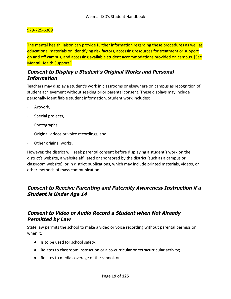#### 979-725-6309

The mental health liaison can provide further information regarding these procedures as well as educational materials on identifying risk factors, accessing resources for treatment or support on and off campus, and accessing available student accommodations provided on campus. [See Mental Health Support.]

#### <span id="page-18-0"></span>**Consent to Display <sup>a</sup> Student's Original Works and Personal Information**

Teachers may display a student's work in classrooms or elsewhere on campus as recognition of student achievement without seeking prior parental consent. These displays may include personally identifiable student information. Student work includes:

- Artwork,
- Special projects,
- · Photographs,
- · Original videos or voice recordings, and
- Other original works.

However, the district will seek parental consent before displaying a student's work on the district's website, a website affiliated or sponsored by the district (such as a campus or classroom website), or in district publications, which may include printed materials, videos, or other methods of mass communication.

#### <span id="page-18-1"></span>**Consent to Receive Parenting and Paternity Awareness Instruction if <sup>a</sup> Student is Under Age 14**

#### <span id="page-18-2"></span>**Consent to Video or Audio Record <sup>a</sup> Student when Not Already Permitted by Law**

State law permits the school to make a video or voice recording without parental permission when it:

- Is to be used for school safety;
- Relates to classroom instruction or a co-curricular or extracurricular activity;
- Relates to media coverage of the school, or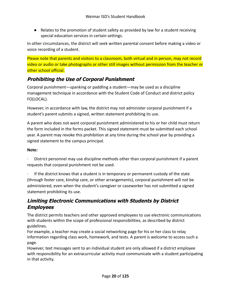● Relates to the promotion of student safety as provided by law for a student receiving special education services in certain settings.

In other circumstances, the district will seek written parental consent before making a video or voice recording of a student.

Please note that parents and visitors to a classroom, both virtual and in person, may not record video or audio or take photographs or other still images without permission from the teacher or other school official.

#### <span id="page-19-0"></span>**Prohibiting the Use of Corporal Punishment**

Corporal punishment—spanking or paddling a student—may be used as a discipline management technique in accordance with the Student Code of Conduct and district policy FO(LOCAL).

However, in accordance with law, the district may not administer corporal punishment if a student's parent submits a signed, written statement prohibiting its use.

A parent who does not want corporal punishment administered to his or her child must return the form included in the forms packet. This signed statement must be submitted each school year. A parent may revoke this prohibition at any time during the school year by providing a signed statement to the campus principal.

#### **Note:**

· District personnel may use discipline methods other than corporal punishment if a parent requests that corporal punishment not be used.

If the district knows that a student is in temporary or permanent custody of the state (through foster care, kinship care, or other arrangements), corporal punishment will not be administered, even when the student's caregiver or caseworker has not submitted a signed statement prohibiting its use.

## <span id="page-19-1"></span>**Limiting Electronic Communications with Students by District Employees**

The district permits teachers and other approved employees to use electronic communications with students within the scope of professional responsibilities, as described by district guidelines.

For example, a teacher may create a social networking page for his or her class to relay information regarding class work, homework, and tests. A parent is welcome to access such a page.

However, text messages sent to an individual student are only allowed if a district employee with responsibility for an extracurricular activity must communicate with a student participating in that activity.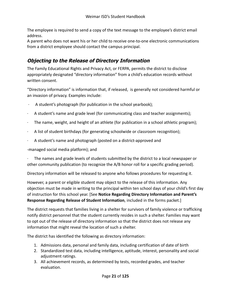The employee is required to send a copy of the text message to the employee's district email address.

A parent who does not want his or her child to receive one-to-one electronic communications from a district employee should contact the campus principal.

# <span id="page-20-0"></span>**Objecting to the Release of Directory Information**

The Family Educational Rights and Privacy Act, or FERPA, permits the district to disclose appropriately designated "directory information" from a child's education records without written consent.

"Directory information" is information that, if released, is generally not considered harmful or an invasion of privacy. Examples include:

- $\cdot$  A student's photograph (for publication in the school yearbook);
- · A student's name and grade level (for communicating class and teacher assignments);
- The name, weight, and height of an athlete (for publication in a school athletic program);
- · A list of student birthdays (for generating schoolwide or classroom recognition);
- · A student's name and photograph (posted on a district-approved and

-managed social media platform); and

· The names and grade levels of students submitted by the district to a local newspaper or other community publication (to recognize the A/B honor roll for a specific grading period).

Directory information will be released to anyone who follows procedures for requesting it.

However, a parent or eligible student may object to the release of this information. Any objection must be made in writing to the principal within ten school days of your child's first day of instruction for this school year. [See **Notice Regarding Directory Information and Parent's Response Regarding Release of Student Information**, included in the forms packet.]

The district requests that families living in a shelter for survivors of family violence or trafficking notify district personnel that the student currently resides in such a shelter. Families may want to opt out of the release of directory information so that the district does not release any information that might reveal the location of such a shelter.

The district has identified the following as directory information:

- 1. Admissions data, personal and family data, including certification of date of birth
- 2. Standardized test data, including intelligence, aptitude, interest, personality and social adjustment ratings.
- 3. All achievement records, as determined by tests, recorded grades, and teacher evaluation.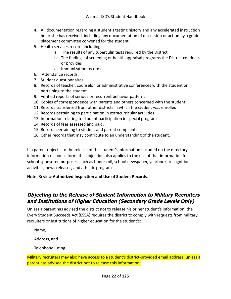- 4. All documentation regarding a student's testing history and any accelerated instruction he or she has received, including any documentation of discussion or action by a grade placement committee convened for the student.
- 5. Health services record, including
	- a. The results of any tuberculin tests required by the District.
	- b. The findings of screening or health appraisal programs the District conducts or provides
	- c. Immunization records.
- 6. Attendance records.
- 7. Student questionnaires.
- 8. Records of teacher, counselor, or administrative conferences with the student or pertaining to the student.
- 9. Verified reports of serious or recurrent behavior patterns.
- 10. Copies of correspondence with parents and others concerned with the student.
- 11. Records transferred from other districts in which the student was enrolled.
- 12. Records pertaining to participation in extracurricular activities.
- 13. Information relating to student participation in special programs.
- 14. Records of fees assessed and paid.
- 15. Records pertaining to student and parent complaints.
- 16. Other records that may contribute to an understanding of the student.

If a parent objects to the release of the student's information included on the directory information response form, this objection also applies to the use of that information for school-sponsored purposes, such as honor roll, school newspaper, yearbook, recognition activities, news releases, and athletic programs.

<span id="page-21-0"></span>**Note**: Review **Authorized Inspection and Use of Student Records**.

#### **Objecting to the Release of Student Information to Military Recruiters and Institutions of Higher Education (Secondary Grade Levels Only)**

Unless a parent has advised the district not to release his or her student's information, the Every Student Succeeds Act (ESSA) requires the district to comply with requests from military recruiters or institutions of higher education for the student's:

- Name,
- Address, and
- Telephone listing.

Military recruiters may also have access to a student's district-provided email address, unless a parent has advised the district not to release this information.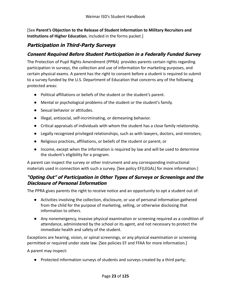[See **Parent's Objection to the Release of Student Information to Military Recruiters and Institutions of Higher Education**, included in the forms packet.]

#### <span id="page-22-0"></span>**Participation in Third-Party Surveys**

#### **Consent Required Before Student Participation in a Federally Funded Survey**

The Protection of Pupil Rights Amendment (PPRA) provides parents certain rights regarding participation in surveys, the collection and use of information for marketing purposes, and certain physical exams. A parent has the right to consent before a student is required to submit to a survey funded by the U.S. Department of Education that concerns any of the following protected areas:

- Political affiliations or beliefs of the student or the student's parent.
- Mental or psychological problems of the student or the student's family.
- Sexual behavior or attitudes.
- Illegal, antisocial, self-incriminating, or demeaning behavior.
- Critical appraisals of individuals with whom the student has a close family relationship.
- Legally recognized privileged relationships, such as with lawyers, doctors, and ministers;
- Religious practices, affiliations, or beliefs of the student or parent; or
- Income, except when the information is required by law and will be used to determine the student's eligibility for a program.

A parent can inspect the survey or other instrument and any corresponding instructional materials used in connection with such a survey. [See policy EF(LEGAL) for more information.]

#### **"Opting Out" of Participation in Other Types of Surveys or Screenings and the Disclosure of Personal Information**

The PPRA gives parents the right to receive notice and an opportunity to opt a student out of:

- Activities involving the collection, disclosure, or use of personal information gathered from the child for the purpose of marketing, selling, or otherwise disclosing that information to others.
- Any nonemergency, invasive physical examination or screening required as a condition of attendance, administered by the school or its agent, and not necessary to protect the immediate health and safety of the student.

Exceptions are hearing, vision, or spinal screenings, or any physical examination or screening permitted or required under state law. [See policies EF and FFAA for more information.]

A parent may inspect:

● Protected information surveys of students and surveys created by a third party;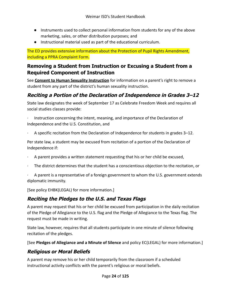- Instruments used to collect personal information from students for any of the above marketing, sales, or other distribution purposes; and
- Instructional material used as part of the educational curriculum.

The ED provides extensive information about the Protection of Pupil Rights Amendment, including a PPRA Complaint Form.

#### <span id="page-23-0"></span>**Removing a Student from Instruction or Excusing a Student from a Required Component of Instruction**

See **Consent to Human Sexuality Instruction** for information on a parent's right to remove a student from any part of the district's human sexuality instruction.

# <span id="page-23-1"></span>**Reciting <sup>a</sup> Portion of the Declaration of Independence in Grades 3–12**

State law designates the week of September 17 as Celebrate Freedom Week and requires all social studies classes provide:

Instruction concerning the intent, meaning, and importance of the Declaration of Independence and the U.S. Constitution, and

· A specific recitation from the Declaration of Independence for students in grades 3–12.

Per state law, a student may be excused from recitation of a portion of the Declaration of Independence if:

- · A parent provides a written statement requesting that his or her child be excused,
- The district determines that the student has a conscientious objection to the recitation, or

· A parent is a representative of a foreign government to whom the U.S. government extends diplomatic immunity.

[See policy EHBK(LEGAL) for more information.]

## **Reciting the Pledges to the U.S. and Texas Flags**

A parent may request that his or her child be excused from participation in the daily recitation of the Pledge of Allegiance to the U.S. flag and the Pledge of Allegiance to the Texas flag. The request must be made in writing.

State law, however, requires that all students participate in one minute of silence following recitation of the pledges.

[See **Pledges of Allegiance and a Minute of Silence** and policy EC(LEGAL) for more information.]

## **Religious or Moral Beliefs**

A parent may remove his or her child temporarily from the classroom if a scheduled instructional activity conflicts with the parent's religious or moral beliefs.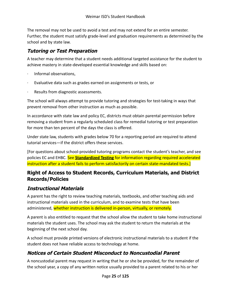The removal may not be used to avoid a test and may not extend for an entire semester. Further, the student must satisfy grade-level and graduation requirements as determined by the school and by state law.

## **Tutoring or Test Preparation**

A teacher may determine that a student needs additional targeted assistance for the student to achieve mastery in state-developed essential knowledge and skills based on:

- · Informal observations,
- Evaluative data such as grades earned on assignments or tests, or
- Results from diagnostic assessments.

The school will always attempt to provide tutoring and strategies for test-taking in ways that prevent removal from other instruction as much as possible.

In accordance with state law and policy EC, districts must obtain parental permission before removing a student from a regularly scheduled class for remedial tutoring or test preparation for more than ten percent of the days the class is offered.

Under state law, students with grades below 70 for a reporting period are required to attend tutorial services—if the district offers these services.

[For questions about school-provided tutoring programs contact the student's teacher, and see policies EC and EHBC. See **Standardized Testing** for information regarding required accelerated instruction after a student fails to perform satisfactorily on certain state-mandated tests.]

#### <span id="page-24-0"></span>**Right of Access to Student Records, Curriculum Materials, and District Records/Policies**

## <span id="page-24-1"></span>**Instructional Materials**

A parent has the right to review teaching materials, textbooks, and other teaching aids and instructional materials used in the curriculum, and to examine tests that have been administered, whether instruction is delivered in-person, virtually, or remotely.

A parent is also entitled to request that the school allow the student to take home instructional materials the student uses. The school may ask the student to return the materials at the beginning of the next school day.

A school must provide printed versions of electronic instructional materials to a student if the student does not have reliable access to technology at home.

# <span id="page-24-2"></span>**Notices of Certain Student Misconduct to Noncustodial Parent**

A noncustodial parent may request in writing that he or she be provided, for the remainder of the school year, a copy of any written notice usually provided to a parent related to his or her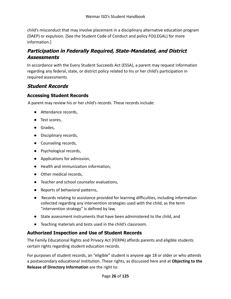child's misconduct that may involve placement in a disciplinary alternative education program (DAEP) or expulsion. [See the Student Code of Conduct and policy FO(LEGAL) for more information.]

## <span id="page-25-0"></span>**Participation in Federally Required, State-Mandated, and District Assessments**

In accordance with the Every Student Succeeds Act (ESSA), a parent may request information regarding any federal, state, or district policy related to his or her child's participation in required assessments.

#### <span id="page-25-1"></span>**Student Records**

#### **Accessing Student Records**

A parent may review his or her child's records. These records include:

- Attendance records,
- Test scores,
- Grades,
- Disciplinary records,
- Counseling records,
- Psychological records,
- Applications for admission,
- Health and immunization information,
- Other medical records,
- Teacher and school counselor evaluations,
- Reports of behavioral patterns,
- Records relating to assistance provided for learning difficulties, including information collected regarding any intervention strategies used with the child, as the term "intervention strategy" is defined by law,
- State assessment instruments that have been administered to the child, and
- Teaching materials and tests used in the child's classroom.

#### **Authorized Inspection and Use of Student Records**

The Family Educational Rights and Privacy Act (FERPA) affords parents and eligible students certain rights regarding student education records.

For purposes of student records, an "eligible" student is anyone age 18 or older or who attends a postsecondary educational institution. These rights, as discussed here and at **Objecting to the Release of Directory Information** are the right to: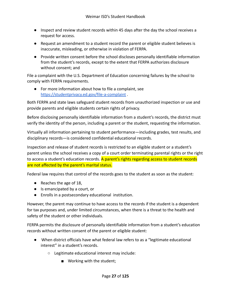- Inspect and review student records within 45 days after the day the school receives a request for access.
- Request an amendment to a student record the parent or eligible student believes is inaccurate, misleading, or otherwise in violation of FERPA.
- Provide written consent before the school discloses personally identifiable information from the student's records, except to the extent that FERPA authorizes disclosure without consent; and

File a complaint with the U.S. Department of Education concerning failures by the school to comply with FERPA requirements.

● For more information about how to file a complaint, see <https://studentprivacy.ed.gov/file-a-complaint> .

Both FERPA and state laws safeguard student records from unauthorized inspection or use and provide parents and eligible students certain rights of privacy.

Before disclosing personally identifiable information from a student's records, the district must verify the identity of the person, including a parent or the student, requesting the information.

Virtually all information pertaining to student performance—including grades, test results, and disciplinary records—is considered confidential educational records.

Inspection and release of student records is restricted to an eligible student or a student's parent unless the school receives a copy of a court order terminating parental rights or the right to access a student's education records. A parent's rights regarding access to student records are not affected by the parent's marital status.

Federal law requires that control of the records goes to the student as soon as the student:

- Reaches the age of 18,
- Is emancipated by a court, or
- Enrolls in a postsecondary educational institution.

However, the parent may continue to have access to the records if the student is a dependent for tax purposes and, under limited circumstances, when there is a threat to the health and safety of the student or other individuals.

FERPA permits the disclosure of personally identifiable information from a student's education records without written consent of the parent or eligible student:

- When district officials have what federal law refers to as a "legitimate educational interest" in a student's records.
	- Legitimate educational interest may include:
		- Working with the student;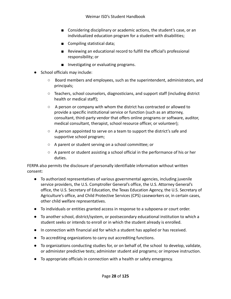- Considering disciplinary or academic actions, the student's case, or an individualized education program for a student with disabilities;
- Compiling statistical data;
- Reviewing an educational record to fulfill the official's professional responsibility; or
- Investigating or evaluating programs.
- School officials may include:
	- Board members and employees, such as the superintendent, administrators, and principals;
	- Teachers, school counselors, diagnosticians, and support staff (including district health or medical staff);
	- $\circ$  A person or company with whom the district has contracted or allowed to provide a specific institutional service or function (such as an attorney, consultant, third-party vendor that offers online programs or software, auditor, medical consultant, therapist, school resource officer, or volunteer);
	- A person appointed to serve on a team to support the district's safe and supportive school program;
	- A parent or student serving on a school committee; or
	- $\circ$  A parent or student assisting a school official in the performance of his or her duties.

FERPA also permits the disclosure of personally identifiable information without written consent:

- To authorized representatives of various governmental agencies, including juvenile service providers, the U.S. Comptroller General's office, the U.S. Attorney General's office, the U.S. Secretary of Education, the Texas Education Agency, the U.S. Secretary of Agriculture's office, and Child Protective Services (CPS) caseworkers or, in certain cases, other child welfare representatives.
- To individuals or entities granted access in response to a subpoena or court order.
- To another school, district/system, or postsecondary educational institution to which a student seeks or intends to enroll or in which the student already is enrolled.
- In connection with financial aid for which a student has applied or has received.
- To accrediting organizations to carry out accrediting functions.
- To organizations conducting studies for, or on behalf of, the school to develop, validate, or administer predictive tests; administer student aid programs; or improve instruction.
- To appropriate officials in connection with a health or safety emergency.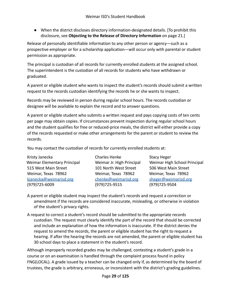● When the district discloses directory information-designated details. [To prohibit this disclosure, see **Objecting to the Release of Directory Information** on page 21.]

Release of personally identifiable information to any other person or agency—such as a prospective employer or for a scholarship application—will occur only with parental or student permission as appropriate.

The principal is custodian of all records for currently enrolled students at the assigned school. The superintendent is the custodian of all records for students who have withdrawn or graduated.

A parent or eligible student who wants to inspect the student's records should submit a written request to the records custodian identifying the records he or she wants to inspect.

Records may be reviewed in person during regular school hours. The records custodian or designee will be available to explain the record and to answer questions.

A parent or eligible student who submits a written request and pays copying costs of ten cents per page may obtain copies. If circumstances prevent inspection during regular school hours and the student qualifies for free or reduced-price meals, the district will either provide a copy of the records requested or make other arrangements for the parent or student to review the records.

You may contact the custodian of records for currently enrolled students at:

Kristy Janecka **Charles Henke** Stacy Heger 515 West Main Street 101 North West Street 506 West Main Street Weimar, Texas 78962 Weimar, Texas 78962 Weimar, Texas 78962 [kjanecka@weimarisd.org](mailto:kjanecka@weimarisd.org) [chenke@weimarisd.org](mailto:chenke@weimarisd.org) [sheger@weimarisd.org](mailto:sheger@weimarisd.org) (979)725-6009 (979)725-9515 (979)725-9504

Weimar Elementary Principal Weimar Jr. High Principal Weimar High School Principal

A parent or eligible student may inspect the student's records and request a correction or amendment if the records are considered inaccurate, misleading, or otherwise in violation of the student's privacy rights.

A request to correct a student's record should be submitted to the appropriate records custodian. The request must clearly identify the part of the record that should be corrected and include an explanation of how the information is inaccurate. If the district denies the request to amend the records, the parent or eligible student has the right to request a hearing. If after the hearing the records are not amended, the parent or eligible student has 30 school days to place a statement in the student's record.

Although improperly recorded grades may be challenged, contesting a student's grade in a course or on an examination is handled through the complaint process found in policy FNG(LOCAL). A grade issued by a teacher can be changed only if, as determined by the board of trustees, the grade is arbitrary, erroneous, or inconsistent with the district's grading guidelines.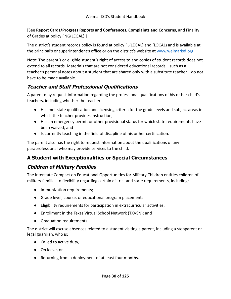[See **Report Cards/Progress Reports and Conferences**, **Complaints and Concerns**, and Finality of Grades at policy FNG(LEGAL).]

The district's student records policy is found at policy FL(LEGAL) and (LOCAL) and is available at the principal's or superintendent's office or on the district's website at [www.weimarisd.org.](http://www.weimarisd.org)

Note: The parent's or eligible student's right of access to and copies of student records does not extend to all records. Materials that are not considered educational records—such as a teacher's personal notes about a student that are shared only with a substitute teacher—do not have to be made available.

# <span id="page-29-0"></span>**Teacher and Staff Professional Qualifications**

A parent may request information regarding the professional qualifications of his or her child's teachers, including whether the teacher:

- Has met state qualification and licensing criteria for the grade levels and subject areas in which the teacher provides instruction,
- Has an emergency permit or other provisional status for which state requirements have been waived, and
- Is currently teaching in the field of discipline of his or her certification.

The parent also has the right to request information about the qualifications of any paraprofessional who may provide services to the child.

# <span id="page-29-1"></span>**A Student with Exceptionalities or Special Circumstances**

# <span id="page-29-2"></span>**Children of Military Families**

The Interstate Compact on Educational Opportunities for Military Children entitles children of military families to flexibility regarding certain district and state requirements, including:

- Immunization requirements;
- Grade level, course, or educational program placement;
- Eligibility requirements for participation in extracurricular activities;
- Enrollment in the Texas Virtual School Network (TXVSN); and
- Graduation requirements.

The district will excuse absences related to a student visiting a parent, including a stepparent or legal guardian, who is:

- Called to active duty,
- On leave, or
- Returning from a deployment of at least four months.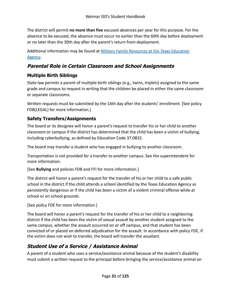The district will permit **no more than five** excused absences per year for this purpose. For the absence to be excused, the absence must occur no earlier than the 60th day before deployment or no later than the 30th day after the parent's return from deployment.

Additional information may be found at Military Family [Resources at the Texas Education](http://tea.texas.gov/index2.aspx?id=7995) [Agency](http://tea.texas.gov/index2.aspx?id=7995).

# <span id="page-30-0"></span>**Parental Role in Certain Classroom and School Assignments**

#### **Multiple Birth Siblings**

State law permits a parent of multiple-birth siblings (e.g., twins, triplets) assigned to the same grade and campus to request in writing that the children be placed in either the same classroom or separate classrooms.

Written requests must be submitted by the 14th day after the students' enrollment. [See policy FDB(LEGAL) for more information.]

#### **Safety Transfers/Assignments**

The board or its designee will honor a parent's request to transfer his or her child to another classroom or campus if the district has determined that the child has been a victim of bullying, including cyberbullying, as defined by Education Code 37.0832.

The board may transfer a student who has engaged in bullying to another classroom.

Transportation is not provided for a transfer to another campus. See the superintendent for more information.

[See **Bullying** and policies FDB and FFI for more information.]

The district will honor a parent's request for the transfer of his or her child to a safe public school in the district if the child attends a school identified by the Texas Education Agency as persistently dangerous or if the child has been a victim of a violent criminal offense while at school or on school grounds.

[See policy FDE for more information.]

The board will honor a parent's request for the transfer of his or her child to a neighboring district if the child has been the victim of sexual assault by another student assigned to the same campus, whether the assault occurred on or off campus, and that student has been convicted of or placed on deferred adjudication for the assault. In accordance with policy FDE, if the victim does not wish to transfer, the board will transfer the assailant.

## <span id="page-30-1"></span>**Student Use of <sup>a</sup> Service / Assistance Animal**

A parent of a student who uses a service/assistance animal because of the student's disability must submit a written request to the principal before bringing the service/assistance animal on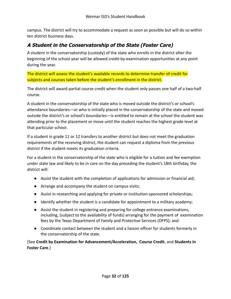campus. The district will try to accommodate a request as soon as possible but will do so within ten district business days.

# <span id="page-31-0"></span>**A Student in the Conservatorship of the State (Foster Care)**

A student in the conservatorship (custody) of the state who enrolls in the district after the beginning of the school year will be allowed credit-by-examination opportunities at any point during the year.

The district will assess the student's available records to determine transfer of credit for subjects and courses taken before the student's enrollment in the district.

The district will award partial course credit when the student only passes one half of a two-half course.

A student in the conservatorship of the state who is moved outside the district's or school's attendance boundaries—or who is initially placed in the conservatorship of the state and moved outside the district's or school's boundaries—is entitled to remain at the school the student was attending prior to the placement or move until the student reaches the highest grade level at that particular school.

If a student in grade 11 or 12 transfers to another district but does not meet the graduation requirements of the receiving district, the student can request a diploma from the previous district if the student meets its graduation criteria.

For a student in the conservatorship of the state who is eligible for a tuition and fee exemption under state law and likely to be in care on the day preceding the student's 18th birthday, the district will:

- Assist the student with the completion of applications for admission or financial aid;
- Arrange and accompany the student on campus visits;
- Assist in researching and applying for private or institution-sponsored scholarships;
- Identify whether the student is a candidate for appointment to a military academy;
- Assist the student in registering and preparing for college entrance examinations, including, (subject to the availability of funds) arranging for the payment of examination fees by the Texas Department of Family and Protective Services (DFPS); and
- Coordinate contact between the student and a liaison officer for students formerly in the conservatorship of the state.

[See **Credit by Examination for Advancement/Acceleration, Course Credit**, and **Students in Foster Care**.]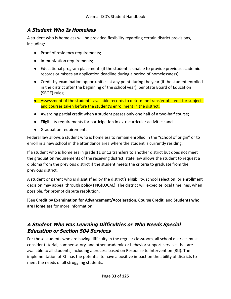# <span id="page-32-0"></span>**A Student Who Is Homeless**

A student who is homeless will be provided flexibility regarding certain district provisions, including:

- Proof of residency requirements;
- Immunization requirements;
- Educational program placement (if the student is unable to provide previous academic records or misses an application deadline during a period of homelessness);
- Credit-by-examination opportunities at any point during the year (if the student enrolled in the district after the beginning of the school year), per State Board of Education (SBOE) rules;
- Assessment of the student's available records to determine transfer of credit for subjects and courses taken before the student's enrollment in the district;
- Awarding partial credit when a student passes only one half of a two-half course;
- Eligibility requirements for participation in extracurricular activities; and
- Graduation requirements.

Federal law allows a student who is homeless to remain enrolled in the "school of origin" or to enroll in a new school in the attendance area where the student is currently residing.

If a student who is homeless in grade 11 or 12 transfers to another district but does not meet the graduation requirements of the receiving district, state law allows the student to request a diploma from the previous district if the student meets the criteria to graduate from the previous district.

A student or parent who is dissatisfied by the district's eligibility, school selection, or enrollment decision may appeal through policy FNG(LOCAL). The district will expedite local timelines, when possible, for prompt dispute resolution.

[See **Credit by Examination for Advancement/Acceleration**, **Course Credit**, and **Students who are Homeless** for more information.]

# <span id="page-32-1"></span>**A Student Who Has Learning Difficulties or Who Needs Special Education or Section 504 Services**

For those students who are having difficulty in the regular classroom, all school districts must consider tutorial, compensatory, and other academic or behavior support services that are available to all students, including a process based on Response to Intervention (RtI). The implementation of RtI has the potential to have a positive impact on the ability of districts to meet the needs of all struggling students.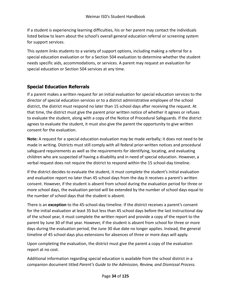If a student is experiencing learning difficulties, his or her parent may contact the individuals listed below to learn about the school's overall general education referral or screening system for support services.

This system links students to a variety of support options, including making a referral for a special education evaluation or for a Section 504 evaluation to determine whether the student needs specific aids, accommodations, or services. A parent may request an evaluation for special education or Section 504 services at any time.

#### **Special Education Referrals**

If a parent makes a written request for an initial evaluation for special education services to the director of special education services or to a district administrative employee of the school district, the district must respond no later than 15 school days after receiving the request. At that time, the district must give the parent prior written notice of whether it agrees or refuses to evaluate the student, along with a copy of the Notice of Procedural Safeguards. If the district agrees to evaluate the student, it must also give the parent the opportunity to give written consent for the evaluation.

**Note:** A request for a special education evaluation may be made verbally; it does not need to be made in writing. Districts must still comply with all federal prior-written notices and procedural safeguard requirements as well as the requirements for identifying, locating, and evaluating children who are suspected of having a disability and in need of special education. However, a verbal request does not require the district to respond within the 15 school-day timeline.

If the district decides to evaluate the student, it must complete the student's initial evaluation and evaluation report no later than 45 school days from the day it receives a parent's written consent. However, if the student is absent from school during the evaluation period for three or more school days, the evaluation period will be extended by the number of school days equal to the number of school days that the student is absent.

There is an **exception** to the 45-school-day timeline. If the district receives a parent's consent for the initial evaluation at least 35 but less than 45 school days before the last instructional day of the school year, it must complete the written report and provide a copy of the report to the parent by June 30 of that year. However, if the student is absent from school for three or more days during the evaluation period, the June 30 due date no longer applies. Instead, the general timeline of 45 school days plus extensions for absences of three or more days will apply.

Upon completing the evaluation, the district must give the parent a copy of the evaluation report at no cost.

Additional information regarding special education is available from the school district in a companion document titled *Parent's Guide to the Admission, Review, and Dismissal Process.*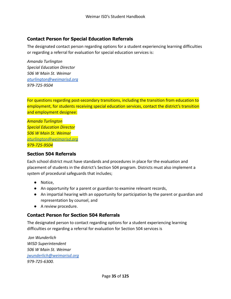#### **Contact Person for Special Education Referrals**

The designated contact person regarding options for a student experiencing learning difficulties or regarding a referral for evaluation for special education services is:

*Amanda Turlington Special Education Director 506 W Main St. Weimar [aturlington@weimarisd.org](mailto:aturlington@weimarisd.org) 979-725-9504*

For questions regarding post-secondary transitions, including the transition from education to employment, for students receiving special education services, contact the district's transition and employment designee:

*Amanda Turlington Special Education Director 506 W Main St. Weimar [aturlington@weimarisd.org](mailto:aturlington@weimarisd.org) 979-725-9504*

#### **Section 504 Referrals**

Each school district must have standards and procedures in place for the evaluation and placement of students in the district's Section 504 program. Districts must also implement a system of procedural safeguards that includes;

- Notice,
- An opportunity for a parent or guardian to examine relevant records,
- An impartial hearing with an opportunity for participation by the parent or guardian and representation by counsel, and
- A review procedure.

#### **Contact Person for Section 504 Referrals**

The designated person to contact regarding options for a student experiencing learning difficulties or regarding a referral for evaluation for Section 504 services is

*Jon Wunderlich WISD Superintendent 506 W Main St. Weimar [jwunderlich@weimarisd.org](mailto:jwunderlich@weimarisd.org) 979-725-6300.*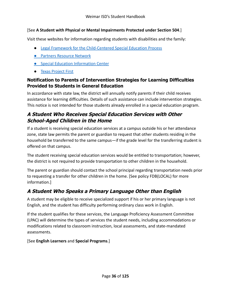#### [See **A Student with Physical or Mental Impairments Protected under Section 504**.]

Visit these websites for information regarding students with disabilities and the family:

- [Legal Framework for the Child-Centered Special Education Process](http://framework.esc18.net/display/Webforms/LandingPage.aspx)
- **[Partners Resource Network](http://www.partnerstx.org/)**
- **[Special Education Information Center](http://www.spedtex.org/)**
- [Texas Project First](http://www.texasprojectfirst.org/)

#### **Notification to Parents of Intervention Strategies for Learning Difficulties Provided to Students in General Education**

In accordance with state law, the district will annually notify parents if their child receives assistance for learning difficulties. Details of such assistance can include intervention strategies. This notice is not intended for those students already enrolled in a special education program.

# <span id="page-35-0"></span>**A Student Who Receives Special Education Services with Other School-Aged Children in the Home**

If a student is receiving special education services at a campus outside his or her attendance zone, state law permits the parent or guardian to request that other students residing in the household be transferred to the same campus—if the grade level for the transferring student is offered on that campus.

The student receiving special education services would be entitled to transportation; however, the district is not required to provide transportation to other children in the household.

The parent or guardian should contact the school principal regarding transportation needs prior to requesting a transfer for other children in the home. [See policy FDB(LOCAL) for more information.]

# <span id="page-35-1"></span>**A Student Who Speaks <sup>a</sup> Primary Language Other than English**

A student may be eligible to receive specialized support if his or her primary language is not English, and the student has difficulty performing ordinary class work in English.

If the student qualifies for these services, the Language Proficiency Assessment Committee (LPAC) will determine the types of services the student needs, including accommodations or modifications related to classroom instruction, local assessments, and state-mandated assessments.

[See **English Learners** and **Special Programs**.]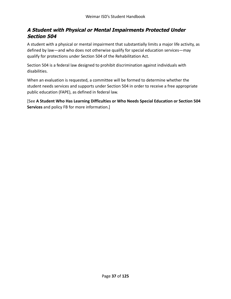## **A Student with Physical or Mental Impairments Protected Under Section 504**

A student with a physical or mental impairment that substantially limits a major life activity, as defined by law—and who does not otherwise qualify for special education services—may qualify for protections under Section 504 of the Rehabilitation Act.

Section 504 is a federal law designed to prohibit discrimination against individuals with disabilities.

When an evaluation is requested, a committee will be formed to determine whether the student needs services and supports under Section 504 in order to receive a free appropriate public education (FAPE), as defined in federal law.

[See **A Student Who Has Learning Difficulties or Who Needs Special Education or Section 504 Services** and policy FB for more information.]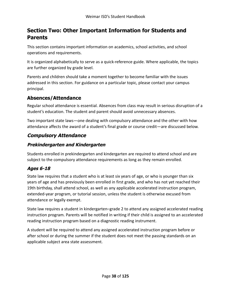# **Section Two: Other Important Information for Students and Parents**

This section contains important information on academics, school activities, and school operations and requirements.

It is organized alphabetically to serve as a quick-reference guide. Where applicable, the topics are further organized by grade level.

Parents and children should take a moment together to become familiar with the issues addressed in this section. For guidance on a particular topic, please contact your campus principal.

## **Absences/Attendance**

Regular school attendance is essential. Absences from class may result in serious disruption of a student's education. The student and parent should avoid unnecessary absences.

Two important state laws—one dealing with compulsory attendance and the other with how attendance affects the award of a student's final grade or course credit—are discussed below.

## **Compulsory Attendance**

## **Prekindergarten and Kindergarten**

Students enrolled in prekindergarten and kindergarten are required to attend school and are subject to the compulsory attendance requirements as long as they remain enrolled.

## **Ages 6-18**

State law requires that a student who is at least six years of age, or who is younger than six years of age and has previously been enrolled in first grade, and who has not yet reached their 19th birthday, shall attend school, as well as any applicable accelerated instruction program, extended-year program, or tutorial session, unless the student is otherwise excused from attendance or legally exempt.

State law requires a student in kindergarten–grade 2 to attend any assigned accelerated reading instruction program. Parents will be notified in writing if their child is assigned to an accelerated reading instruction program based on a diagnostic reading instrument.

A student will be required to attend any assigned accelerated instruction program before or after school or during the summer if the student does not meet the passing standards on an applicable subject area state assessment.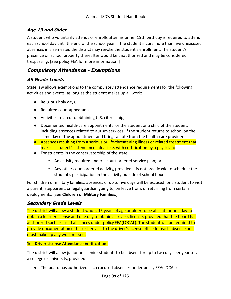## **Age 19 and Older**

A student who voluntarily attends or enrolls after his or her 19th birthday is required to attend each school day until the end of the school year. If the student incurs more than five unexcused absences in a semester, the district may revoke the student's enrollment. The student's presence on school property thereafter would be unauthorized and may be considered trespassing. [See policy FEA for more information.]

## **Compulsory Attendance - Exemptions**

## **All Grade Levels**

State law allows exemptions to the compulsory attendance requirements for the following activities and events, as long as the student makes up all work:

- Religious holy days;
- Required court appearances;
- Activities related to obtaining U.S. citizenship;
- Documented health-care appointments for the student or a child of the student, including absences related to autism services, if the student returns to school on the same day of the appointment and brings a note from the health-care provider;
- Absences resulting from a serious or life-threatening illness or related treatment that makes a student's attendance infeasible, with certification by a physician;
- For students in the conservatorship of the state,
	- o An activity required under a court-ordered service plan; or
	- $\circ$  Any other court-ordered activity, provided it is not practicable to schedule the student's participation in the activity outside of school hours.

For children of military families, absences of up to five days will be excused for a student to visit a parent, stepparent, or legal guardian going to, on leave from, or returning from certain deployments. [See **Children of Military Families.]**

### **Secondary Grade Levels**

The district will allow a student who is 15 years of age or older to be absent for one day to obtain a learner license and one day to obtain a driver's license, provided that the board has authorized such excused absences under policy FEA(LOCAL). The student will be required to provide documentation of his or her visit to the driver's license office for each absence and must make up any work missed.

### See **Driver License Attendance Verification**.

The district will allow junior and senior students to be absent for up to two days per year to visit a college or university, provided:

● The board has authorized such excused absences under policy FEA(LOCAL)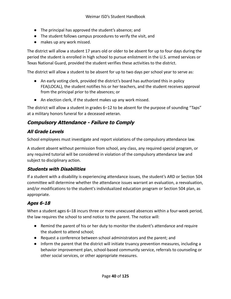- The principal has approved the student's absence; and
- The student follows campus procedures to verify the visit, and
- makes up any work missed.

The district will allow a student 17 years old or older to be absent for up to four days during the period the student is enrolled in high school to pursue enlistment in the U.S. armed services or Texas National Guard, provided the student verifies these activities to the district.

The district will allow a student to be absent for up to two days per school year to serve as:

- An early voting clerk, provided the district's board has authorized this in policy FEA(LOCAL), the student notifies his or her teachers, and the student receives approval from the principal prior to the absences; or
- An election clerk, if the student makes up any work missed.

The district will allow a student in grades 6–12 to be absent for the purpose of sounding "Taps" at a military honors funeral for a deceased veteran.

## **Compulsory Attendance - Failure to Comply**

## **All Grade Levels**

School employees must investigate and report violations of the compulsory attendance law.

A student absent without permission from school, any class, any required special program, or any required tutorial will be considered in violation of the compulsory attendance law and subject to disciplinary action.

### **Students with Disabilities**

If a student with a disability is experiencing attendance issues, the student's ARD or Section 504 committee will determine whether the attendance issues warrant an evaluation, a reevaluation, and/or modifications to the student's individualized education program or Section 504 plan, as appropriate.

## **Ages 6-18**

When a student ages 6–18 incurs three or more unexcused absences within a four-week period, the law requires the school to send notice to the parent. The notice will:

- Remind the parent of his or her duty to monitor the student's attendance and require the student to attend school;
- Request a conference between school administrators and the parent; and
- Inform the parent that the district will initiate truancy prevention measures, including a behavior improvement plan, school-based community service, referrals to counseling or other social services, or other appropriate measures.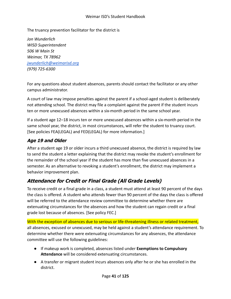The truancy prevention facilitator for the district is

*Jon Wunderlich WISD Superintendent 506 W Main St Weimar, TX 78962 [jwunderlich@weimarisd.org](mailto:jwunderlich@weimarisd.org) (979) 725-6300*

For any questions about student absences, parents should contact the facilitator or any other campus administrator.

A court of law may impose penalties against the parent if a school-aged student is deliberately not attending school. The district may file a complaint against the parent if the student incurs ten or more unexcused absences within a six-month period in the same school year.

If a student age 12–18 incurs ten or more unexcused absences within a six-month period in the same school year, the district, in most circumstances, will refer the student to truancy court. [See policies FEA(LEGAL) and FED(LEGAL) for more information.]

## **Age 19 and Older**

After a student age 19 or older incurs a third unexcused absence, the district is required by law to send the student a letter explaining that the district may revoke the student's enrollment for the remainder of the school year if the student has more than five unexcused absences in a semester. As an alternative to revoking a student's enrollment, the district may implement a behavior improvement plan.

## **Attendance for Credit or Final Grade (All Grade Levels)**

To receive credit or a final grade in a class, a student must attend at least 90 percent of the days the class is offered. A student who attends fewer than 90 percent of the days the class is offered will be referred to the attendance review committee to determine whether there are extenuating circumstances for the absences and how the student can regain credit or a final grade lost because of absences. [See policy FEC.]

With the exception of absences due to serious or life-threatening illness or related treatment, all absences, excused or unexcused, may be held against a student's attendance requirement. To determine whether there were extenuating circumstances for any absences, the attendance committee will use the following guidelines:

- If makeup work is completed, absences listed under **Exemptions to Compulsory Attendance** will be considered extenuating circumstances.
- A transfer or migrant student incurs absences only after he or she has enrolled in the district.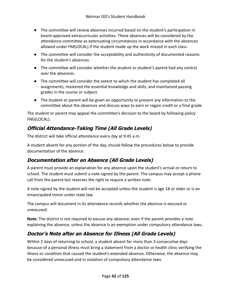- The committee will review absences incurred based on the student's participation in board-approved extracurricular activities. These absences will be considered by the attendance committee as extenuating circumstances in accordance with the absences allowed under FM(LOCAL) if the student made up the work missed in each class.
- The committee will consider the acceptability and authenticity of documented reasons for the student's absences.
- The committee will consider whether the student or student's parent had any control over the absences.
- The committee will consider the extent to which the student has completed all assignments, mastered the essential knowledge and skills, and maintained passing grades in the course or subject.
- The student or parent will be given an opportunity to present any information to the committee about the absences and discuss ways to earn or regain credit or a final grade.

The student or parent may appeal the committee's decision to the board by following policy FNG(LOCAL).

# **Official Attendance-Taking Time (All Grade Levels)**

The district will take official attendance every day at 9:45 a.m.

A student absent for any portion of the day, should follow the procedures below to provide documentation of the absence.

## **Documentation after an Absence (All Grade Levels)**

A parent must provide an explanation for any absence upon the student's arrival or return to school. The student must submit a note signed by the parent. The campus may accept a phone call from the parent but reserves the right to require a written note.

A note signed by the student will not be accepted unless the student is age 18 or older or is an emancipated minor under state law.

The campus will document in its attendance records whether the absence is excused or unexcused.

**Note:** The district is not required to excuse any absence, even if the parent provides a note explaining the absence, unless the absence is an exemption under compulsory attendance laws.

## **Doctor's Note after an Absence for Illness (All Grade Levels)**

Within 2 days of returning to school, a student absent for more than 3 consecutive days because of a personal illness must bring a statement from a doctor or health clinic verifying the illness or condition that caused the student's extended absence. Otherwise, the absence may be considered unexcused and in violation of compulsory attendance laws.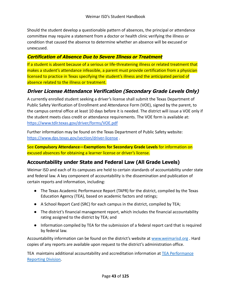Should the student develop a questionable pattern of absences, the principal or attendance committee may require a statement from a doctor or health clinic verifying the illness or condition that caused the absence to determine whether an absence will be excused or unexcused.

### **Certification of Absence Due to Severe Illness or Treatment**

If a student is absent because of a serious or life-threatening illness or related treatment that makes a student's attendance infeasible, a parent must provide certification from a physician licensed to practice in Texas specifying the student's illness and the anticipated period of absence related to the illness or treatment.

## **Driver License Attendance Verification (Secondary Grade Levels Only)**

A currently enrolled student seeking a driver's license shall submit the Texas Department of Public Safety Verification of Enrollment and Attendance Form (VOE), signed by the parent, to the campus central office at least 10 days before it is needed. The district will issue a VOE only if the student meets class credit or attendance requirements. The VOE form is available at: <https://www.tdlr.texas.gov/driver/forms/VOE.pdf>

Further information may be found on the Texas Department of Public Safety website: <https://www.dps.texas.gov/section/driver-license> .

See **Compulsory Attendance—Exemptions for Secondary Grade Levels** for information on excused absences for obtaining a learner license or driver's license.

## **Accountability under State and Federal Law (All Grade Levels)**

Weimar ISD and each of its campuses are held to certain standards of accountability under state and federal law. A key component of accountability is the dissemination and publication of certain reports and information, including:

- The Texas Academic Performance Report (TAPR) for the district, compiled by the Texas Education Agency (TEA), based on academic factors and ratings;
- A School Report Card (SRC) for each campus in the district, compiled by TEA;
- The district's financial management report, which includes the financial accountability rating assigned to the district by TEA; and
- Information compiled by TEA for the submission of a federal report card that is required by federal law.

Accountability information can be found on the district's website at [www.weimarisd.org](http://www.weimarisd.org). Hard copies of any reports are available upon request to the district's administration office.

TEA maintains additional accountability and accreditation information at [TEA Performance](http://www.tea.texas.gov/perfreport/) [Reporting Division.](http://www.tea.texas.gov/perfreport/)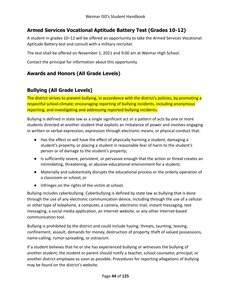## **Armed Services Vocational Aptitude Battery Test (Grades 10-12)**

A student in grades 10–12 will be offered an opportunity to take the Armed Services Vocational Aptitude Battery test and consult with a military recruiter.

The test shall be offered on November 1, 2021 and 9:00 am at Weimar High School.

Contact the principal for information about this opportunity.

# **Awards and Honors (All Grade Levels)**

## **Bullying (All Grade Levels)**

The district strives to prevent bullying, in accordance with the district's policies, by promoting a respectful school climate; encouraging reporting of bullying incidents, including anonymous reporting; and investigating and addressing reported bullying incidents.

Bullying is defined in state law as a single significant act or a pattern of acts by one or more students directed at another student that exploits an imbalance of power and involves engaging in written or verbal expression, expression through electronic means, or physical conduct that:

- Has the effect or will have the effect of physically harming a student, damaging a student's property, or placing a student in reasonable fear of harm to the student's person or of damage to the student's property;
- Is sufficiently severe, persistent, or pervasive enough that the action or threat creates an intimidating, threatening, or abusive educational environment for a student;
- Materially and substantially disrupts the educational process or the orderly operation of a classroom or school; or
- Infringes on the rights of the victim at school.

Bullying includes cyberbullying. Cyberbullying is defined by state law as bullying that is done through the use of any electronic communication device, including through the use of a cellular or other type of telephone, a computer, a camera, electronic mail, instant messaging, text messaging, a social media application, an Internet website, or any other Internet-based communication tool.

Bullying is prohibited by the district and could include hazing, threats, taunting, teasing, confinement, assault, demands for money, destruction of property, theft of valued possessions, name-calling, rumor-spreading, or ostracism.

If a student believes that he or she has experienced bullying or witnesses the bullying of another student, the student or parent should notify a teacher, school counselor, principal, or another district employee as soon as possible. Procedures for reporting allegations of bullying may be found on the district's website.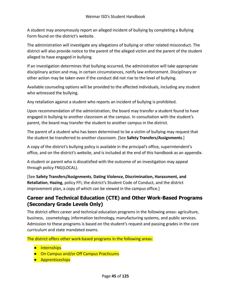A student may anonymously report an alleged incident of bullying by completing a Bullying Form found on the district's website.

The administration will investigate any allegations of bullying or other related misconduct. The district will also provide notice to the parent of the alleged victim and the parent of the student alleged to have engaged in bullying.

If an investigation determines that bullying occurred, the administration will take appropriate disciplinary action and may, in certain circumstances, notify law enforcement. Disciplinary or other action may be taken even if the conduct did not rise to the level of bullying.

Available counseling options will be provided to the affected individuals, including any student who witnessed the bullying.

Any retaliation against a student who reports an incident of bullying is prohibited.

Upon recommendation of the administration, the board may transfer a student found to have engaged in bullying to another classroom at the campus. In consultation with the student's parent, the board may transfer the student to another campus in the district.

The parent of a student who has been determined to be a victim of bullying may request that the student be transferred to another classroom. [See **Safety Transfers/Assignments**.]

A copy of the district's bullying policy is available in the principal's office, superintendent's office, and on the district's website, and is included at the end of this handbook as an appendix.

A student or parent who is dissatisfied with the outcome of an investigation may appeal through policy FNG(LOCAL).

[See **Safety Transfers/Assignments**, **Dating Violence, Discrimination, Harassment, and Retaliation**, **Hazing**, policy FFI, the district's Student Code of Conduct, and the district improvement plan, a copy of which can be viewed in the campus office.]

## **Career and Technical Education (CTE) and Other Work-Based Programs (Secondary Grade Levels Only)**

The district offers career and technical education programs in the following areas: agriculture, business, cosmetology, information technology, manufacturing systems, and public services. Admission to these programs is based on the student's request and passing grades in the core curriculum and state mandated exams.

The district offers other work-based programs in the following areas:

- Internships
- On Campus and/or Off Campus Practicums
- Apprenticeships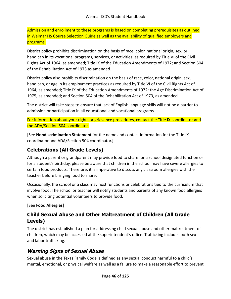Admission and enrollment to these programs is based on completing prerequisites as outlined in Weimar HS Course Selection Guide as well as the availability of qualified employers and programs.

District policy prohibits discrimination on the basis of race, color, national origin, sex, or handicap in its vocational programs, services, or activities, as required by Title VI of the Civil Rights Act of 1964, as amended; Title IX of the Education Amendments of 1972; and Section 504 of the Rehabilitation Act of 1973 as amended.

District policy also prohibits discrimination on the basis of race, color, national origin, sex, handicap, or age in its employment practices as required by Title VI of the Civil Rights Act of 1964, as amended; Title IX of the Education Amendments of 1972; the Age Discrimination Act of 1975, as amended; and Section 504 of the Rehabilitation Act of 1973, as amended.

The district will take steps to ensure that lack of English language skills will not be a barrier to admission or participation in all educational and vocational programs.

For information about your rights or grievance procedures, contact the Title IX coordinator and the ADA/Section 504 coordinator.

[See **Nondiscrimination Statement** for the name and contact information for the Title IX coordinator and ADA/Section 504 coordinator.]

# **Celebrations (All Grade Levels)**

Although a parent or grandparent may provide food to share for a school designated function or for a student's birthday, please be aware that children in the school may have severe allergies to certain food products. Therefore, it is imperative to discuss any classroom allergies with the teacher before bringing food to share.

Occasionally, the school or a class may host functions or celebrations tied to the curriculum that involve food. The school or teacher will notify students and parents of any known food allergies when soliciting potential volunteers to provide food.

[See **Food Allergies**]

## **Child Sexual Abuse and Other Maltreatment of Children (All Grade Levels)**

The district has established a plan for addressing child sexual abuse and other maltreatment of children, which may be accessed at the superintendent's office. Trafficking includes both sex and labor trafficking.

## **Warning Signs of Sexual Abuse**

Sexual abuse in the Texas Family Code is defined as any sexual conduct harmful to a child's mental, emotional, or physical welfare as well as a failure to make a reasonable effort to prevent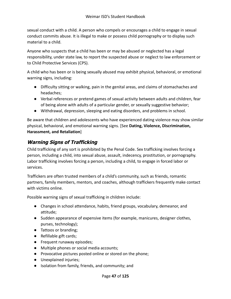sexual conduct with a child. A person who compels or encourages a child to engage in sexual conduct commits abuse. It is illegal to make or possess child pornography or to display such material to a child.

Anyone who suspects that a child has been or may be abused or neglected has a legal responsibility, under state law, to report the suspected abuse or neglect to law enforcement or to Child Protective Services (CPS).

A child who has been or is being sexually abused may exhibit physical, behavioral, or emotional warning signs, including:

- Difficulty sitting or walking, pain in the genital areas, and claims of stomachaches and headaches;
- Verbal references or pretend games of sexual activity between adults and children, fear of being alone with adults of a particular gender, or sexually suggestive behavior;
- Withdrawal, depression, sleeping and eating disorders, and problems in school.

Be aware that children and adolescents who have experienced dating violence may show similar physical, behavioral, and emotional warning signs. [See **Dating, Violence, Discrimination, Harassment, and Retaliation**]

## **Warning Signs of Trafficking**

Child trafficking of any sort is prohibited by the Penal Code. Sex trafficking involves forcing a person, including a child, into sexual abuse, assault, indecency, prostitution, or pornography. Labor trafficking involves forcing a person, including a child, to engage in forced labor or services.

Traffickers are often trusted members of a child's community, such as friends, romantic partners, family members, mentors, and coaches, although traffickers frequently make contact with victims online.

Possible warning signs of sexual trafficking in children include:

- Changes in school attendance, habits, friend groups, vocabulary, demeanor, and attitude;
- Sudden appearance of expensive items (for example, manicures, designer clothes, purses, technology);
- Tattoos or branding;
- Refillable gift cards;
- Frequent runaway episodes;
- Multiple phones or social media accounts;
- Provocative pictures posted online or stored on the phone;
- Unexplained injuries;
- Isolation from family, friends, and community; and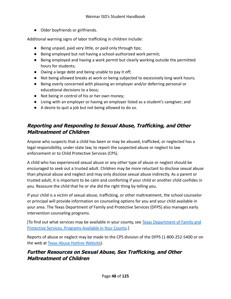● Older boyfriends or girlfriends.

Additional warning signs of labor trafficking in children include:

- Being unpaid, paid very little, or paid only through tips;
- Being employed but not having a school-authorized work permit;
- Being employed and having a work permit but clearly working outside the permitted hours for students;
- Owing a large debt and being unable to pay it off;
- Not being allowed breaks at work or being subjected to excessively long work hours;
- Being overly concerned with pleasing an employer and/or deferring personal or educational decisions to a boss;
- Not being in control of his or her own money;
- Living with an employer or having an employer listed as a student's caregiver; and
- A desire to quit a job but not being allowed to do so.

## **Reporting and Responding to Sexual Abuse, Trafficking, and Other Maltreatment of Children**

Anyone who suspects that a child has been or may be abused, trafficked, or neglected has a legal responsibility, under state law, to report the suspected abuse or neglect to law enforcement or to Child Protective Services (CPS).

A child who has experienced sexual abuse or any other type of abuse or neglect should be encouraged to seek out a trusted adult. Children may be more reluctant to disclose sexual abuse than physical abuse and neglect and may only disclose sexual abuse indirectly. As a parent or trusted adult, it is important to be calm and comforting if your child or another child confides in you. Reassure the child that he or she did the right thing by telling you.

If your child is a victim of sexual abuse, trafficking, or other maltreatment, the school counselor or principal will provide information on counseling options for you and your child available in your area. The Texas Department of Family and Protective Services (DFPS) also manages early intervention counseling programs.

[To find out what services may be available in your county, see [Texas Department of Family and](http://www.dfps.state.tx.us/Prevention_and_Early_Intervention/Programs_Available_In_Your_County/default.asp) [Protective Services, Programs Available in Your County](http://www.dfps.state.tx.us/Prevention_and_Early_Intervention/Programs_Available_In_Your_County/default.asp).]

Reports of abuse or neglect may be made to the CPS division of the DFPS (1-800-252-5400 or on the web at [Texas Abuse Hotline Website\)](http://www.txabusehotline.org/).

## **Further Resources on Sexual Abuse, Sex Trafficking, and Other Maltreatment of Children**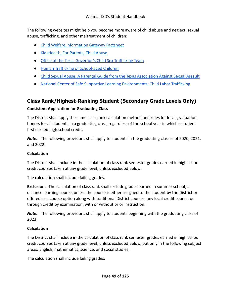The following websites might help you become more aware of child abuse and neglect, sexual abuse, trafficking, and other maltreatment of children:

- [Child Welfare Information Gateway Factsheet](https://www.childwelfare.gov/pubs/factsheets/whatiscan.pdf)
- [KidsHealth, For Parents, Child Abuse](http://kidshealth.org/en/parents/child-abuse.html)
- [Office of the Texas Governor's Child Sex Trafficking Team](https://gov.texas.gov/organization/cjd/childsextrafficking)
- [Human Trafficking of School-aged Children](https://tea.texas.gov/about-tea/other-services/human-trafficking-of-school-aged-children)
- [Child Sexual Abuse: A Parental Guide from the Texas Association Against Sexual Assault](https://taasa.org/product/child-sexual-abuse-parental-guide/)
- [National Center of Safe Supportive Learning Environments: Child Labor Trafficking](https://safesupportivelearning.ed.gov/human-trafficking-americas-schools/child-labor-trafficking)

## **Class Rank/Highest-Ranking Student (Secondary Grade Levels Only)**

#### **Consistent Application for Graduating Class**

The District shall apply the same class rank calculation method and rules for local graduation honors for all students in a graduating class, regardless of the school year in which a student first earned high school credit.

*Note:* The following provisions shall apply to students in the graduating classes of 2020, 2021, and 2022.

#### **Calculation**

The District shall include in the calculation of class rank semester grades earned in high school credit courses taken at any grade level, unless excluded below.

The calculation shall include failing grades.

**Exclusions.** The calculation of class rank shall exclude grades earned in summer school; a distance learning course, unless the course is either assigned to the student by the District or offered as a course option along with traditional District courses; any local credit course; or through credit by examination, with or without prior instruction.

*Note:* The following provisions shall apply to students beginning with the graduating class of 2023.

### **Calculation**

The District shall include in the calculation of class rank semester grades earned in high school credit courses taken at any grade level, unless excluded below, but only in the following subject areas: English, mathematics, science, and social studies.

The calculation shall include failing grades.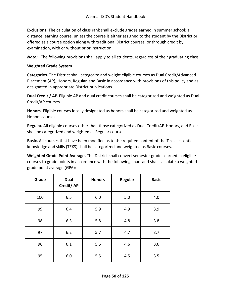**Exclusions.** The calculation of class rank shall exclude grades earned in summer school; a distance learning course, unless the course is either assigned to the student by the District or offered as a course option along with traditional District courses; or through credit by examination, with or without prior instruction.

*Note:* The following provisions shall apply to all students, regardless of their graduating class.

#### **Weighted Grade System**

**Categories.** The District shall categorize and weight eligible courses as Dual Credit/Advanced Placement (AP), Honors, Regular, and Basic in accordance with provisions of this policy and as designated in appropriate District publications.

**Dual Credit / AP.** Eligible AP and dual credit courses shall be categorized and weighted as Dual Credit/AP courses.

**Honors.** Eligible courses locally designated as honors shall be categorized and weighted as Honors courses.

**Regular.** All eligible courses other than those categorized as Dual Credit/AP, Honors, and Basic shall be categorized and weighted as Regular courses.

**Basic.** All courses that have been modified as to the required content of the Texas essential knowledge and skills (TEKS) shall be categorized and weighted as Basic courses.

**Weighted Grade Point Average.** The District shall convert semester grades earned in eligible courses to grade points in accordance with the following chart and shall calculate a weighted grade point average (GPA):

| Grade | Dual<br>Credit/AP | <b>Honors</b> | Regular | <b>Basic</b> |
|-------|-------------------|---------------|---------|--------------|
| 100   | 6.5               | 6.0           | 5.0     | 4.0          |
| 99    | 6.4               | 5.9           | 4.9     | 3.9          |
| 98    | 6.3               | 5.8           | 4.8     | 3.8          |
| 97    | 6.2               | 5.7           | 4.7     | 3.7          |
| 96    | 6.1               | 5.6           | 4.6     | 3.6          |
| 95    | 6.0               | 5.5           | 4.5     | 3.5          |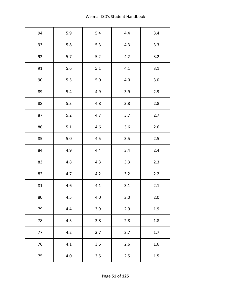| 94 | 5.9     | 5.4 | 4.4     | 3.4     |
|----|---------|-----|---------|---------|
| 93 | 5.8     | 5.3 | 4.3     | 3.3     |
| 92 | 5.7     | 5.2 | 4.2     | 3.2     |
| 91 | 5.6     | 5.1 | 4.1     | 3.1     |
| 90 | 5.5     | 5.0 | 4.0     | 3.0     |
| 89 | 5.4     | 4.9 | 3.9     | 2.9     |
| 88 | 5.3     | 4.8 | 3.8     | 2.8     |
| 87 | 5.2     | 4.7 | 3.7     | 2.7     |
| 86 | 5.1     | 4.6 | 3.6     | 2.6     |
| 85 | $5.0$   | 4.5 | 3.5     | 2.5     |
| 84 | 4.9     | 4.4 | 3.4     | 2.4     |
| 83 | 4.8     | 4.3 | 3.3     | 2.3     |
| 82 | 4.7     | 4.2 | 3.2     | 2.2     |
| 81 | 4.6     | 4.1 | 3.1     | 2.1     |
| 80 | 4.5     | 4.0 | $3.0\,$ | 2.0     |
| 79 | 4.4     | 3.9 | 2.9     | 1.9     |
| 78 | 4.3     | 3.8 | 2.8     | 1.8     |
| 77 | 4.2     | 3.7 | 2.7     | $1.7$   |
| 76 | 4.1     | 3.6 | $2.6$   | 1.6     |
| 75 | $4.0\,$ | 3.5 | 2.5     | $1.5\,$ |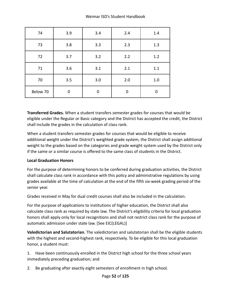| 74       | 3.9         | 3.4      | 2.4      | 1.4      |
|----------|-------------|----------|----------|----------|
| 73       | 3.8         | 3.3      | 2.3      | 1.3      |
| 72       | 3.7         | 3.2      | 2.2      | 1.2      |
| 71       | 3.6         | 3.1      | 2.1      | 1.1      |
| 70       | 3.5         | 3.0      | 2.0      | $1.0\,$  |
| Below 70 | $\mathbf 0$ | $\Omega$ | $\Omega$ | $\Omega$ |

**Transferred Grades.** When a student transfers semester grades for courses that would be eligible under the Regular or Basic category and the District has accepted the credit, the District shall include the grades in the calculation of class rank.

When a student transfers semester grades for courses that would be eligible to receive additional weight under the District's weighted grade system, the District shall assign additional weight to the grades based on the categories and grade weight system used by the District only if the same or a similar course is offered to the same class of students in the District.

### **Local Graduation Honors**

For the purpose of determining honors to be conferred during graduation activities, the District shall calculate class rank in accordance with this policy and administrative regulations by using grades available at the time of calculation at the end of the fifth six-week grading period of the senior year.

Grades received in May for dual credit courses shall also be included in the calculation.

For the purpose of applications to institutions of higher education, the District shall also calculate class rank as required by state law. The District's eligibility criteria for local graduation honors shall apply only for local recognitions and shall not restrict class rank for the purpose of automatic admission under state law. [See EIC(LEGAL)]

**Valedictorian and Salutatorian.** The valedictorian and salutatorian shall be the eligible students with the highest and second-highest rank, respectively. To be eligible for this local graduation honor, a student must:

1. Have been continuously enrolled in the District high school for the three school years immediately preceding graduation; and

2. Be graduating after exactly eight semesters of enrollment in high school.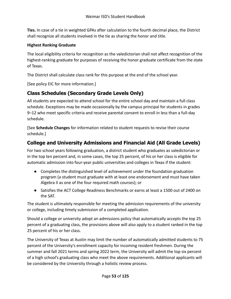**Ties.** In case of a tie in weighted GPAs after calculation to the fourth decimal place, the District shall recognize all students involved in the tie as sharing the honor and title.

#### **Highest Ranking Graduate**

The local eligibility criteria for recognition as the valedictorian shall not affect recognition of the highest-ranking graduate for purposes of receiving the honor graduate certificate from the state of Texas.

The District shall calculate class rank for this purpose at the end of the school year.

[See policy EIC for more information.]

## **Class Schedules (Secondary Grade Levels Only)**

All students are expected to attend school for the entire school day and maintain a full class schedule. Exceptions may be made occasionally by the campus principal for students in grades 9–12 who meet specific criteria and receive parental consent to enroll in less than a full-day schedule.

[See **Schedule Changes** for information related to student requests to revise their course schedule.]

## **College and University Admissions and Financial Aid (All Grade Levels)**

For two school years following graduation, a district student who graduates as valedictorian or in the top ten percent and, in some cases, the top 25 percent, of his or her class is eligible for automatic admission into four-year public universities and colleges in Texas if the student:

- Completes the distinguished level of achievement under the foundation graduation program (a student must graduate with at least one endorsement and must have taken Algebra II as one of the four required math courses); or
- Satisfies the ACT College Readiness Benchmarks or earns at least a 1500 out of 2400 on the SAT.

The student is ultimately responsible for meeting the admission requirements of the university or college, including timely submission of a completed application.

Should a college or university adopt an admissions policy that automatically accepts the top 25 percent of a graduating class, the provisions above will also apply to a student ranked in the top 25 percent of his or her class.

The University of Texas at Austin may limit the number of automatically admitted students to 75 percent of the University's enrollment capacity for incoming resident freshmen. During the summer and fall 2021 terms and spring 2022 term, the University will admit the top six percent of a high school's graduating class who meet the above requirements. Additional applicants will be considered by the University through a holistic review process.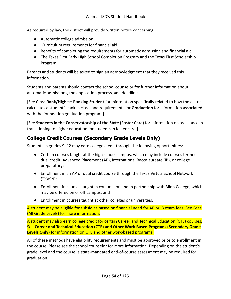As required by law, the district will provide written notice concerning

- Automatic college admission
- Curriculum requirements for financial aid
- Benefits of completing the requirements for automatic admission and financial aid
- The Texas First Early High School Completion Program and the Texas First Scholarship Program

Parents and students will be asked to sign an acknowledgment that they received this information.

Students and parents should contact the school counselor for further information about automatic admissions, the application process, and deadlines.

[See **Class Rank/Highest-Ranking Student** for information specifically related to how the district calculates a student's rank in class, and requirements for **Graduation** for information associated with the foundation graduation program.]

[See **Students in the Conservatorship of the State (Foster Care)** for information on assistance in transitioning to higher education for students in foster care.]

## **College Credit Courses (Secondary Grade Levels Only)**

Students in grades 9–12 may earn college credit through the following opportunities:

- Certain courses taught at the high school campus, which may include courses termed dual credit, Advanced Placement (AP), International Baccalaureate (IB), or college preparatory;
- Enrollment in an AP or dual credit course through the Texas Virtual School Network (TXVSN);
- Enrollment in courses taught in conjunction and in partnership with Blinn College, which may be offered on or off campus; and
- Enrollment in courses taught at other colleges or universities.

A student may be eligible for subsidies based on financial need for AP or IB exam fees. See Fees (All Grade Levels) for more information.

A student may also earn college credit for certain Career and Technical Education (CTE) courses. See **Career and Technical Education (CTE) and Other Work-Based Programs (Secondary Grade Levels Only)** for information on CTE and other work-based programs.

All of these methods have eligibility requirements and must be approved prior to enrollment in the course. Please see the school counselor for more information. Depending on the student's grade level and the course, a state-mandated end-of-course assessment may be required for graduation.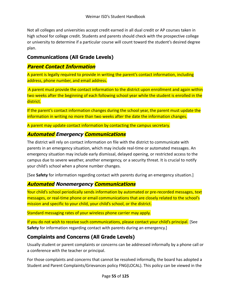Not all colleges and universities accept credit earned in all dual credit or AP courses taken in high school for college credit. Students and parents should check with the prospective college or university to determine if a particular course will count toward the student's desired degree plan.

## **Communications (All Grade Levels)**

### **Parent Contact Information**

A parent is legally required to provide in writing the parent's contact information, including address, phone number, and email address.

A parent must provide the contact information to the district upon enrollment and again within two weeks after the beginning of each following school year while the student is enrolled in the district.

If the parent's contact information changes during the school year, the parent must update the information in writing no more than two weeks after the date the information changes.

A parent may update contact information by contacting the campus secretary.

## **Automated Emergency Communications**

The district will rely on contact information on file with the district to communicate with parents in an emergency situation, which may include real-time or automated messages. An emergency situation may include early dismissal, delayed opening, or restricted access to the campus due to severe weather, another emergency, or a security threat. It is crucial to notify your child's school when a phone number changes.

[See **Safety** for information regarding contact with parents during an emergency situation.]

## **Automated Nonemergency Communications**

Your child's school periodically sends information by automated or pre-recorded messages, text messages, or real-time phone or email communications that are closely related to the school's mission and specific to your child, your child's school, or the district.

Standard messaging rates of your wireless phone carrier may apply.

If you do not wish to receive such communications, please contact your child's principal. [See **Safety** for information regarding contact with parents during an emergency.]

## **Complaints and Concerns (All Grade Levels)**

Usually student or parent complaints or concerns can be addressed informally by a phone call or a conference with the teacher or principal.

For those complaints and concerns that cannot be resolved informally, the board has adopted a Student and Parent Complaints/Grievances policy FNG(LOCAL). This policy can be viewed in the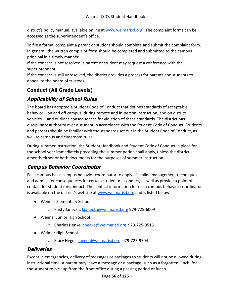district's policy manual, available online at [www.weimarisd.org](http://www.weimarisd.org). The complaint forms can be accessed at the superintendent's office.

To file a formal complaint a parent or student should complete and submit the complaint form. In general, the written complaint form should be completed and submitted to the campus principal in a timely manner.

If the concern is not resolved, a parent or student may request a conference with the superintendent.

If the concern is still unresolved, the district provides a process for parents and students to appeal to the board of trustees.

# **Conduct (All Grade Levels)**

# **Applicability of School Rules**

The board has adopted a Student Code of Conduct that defines standards of acceptable behavior—on and off campus, during remote and in-person instruction, and on district vehicles— and outlines consequences for violation of these standards. The district has disciplinary authority over a student in accordance with the Student Code of Conduct. Students and parents should be familiar with the standards set out in the Student Code of Conduct, as well as campus and classroom rules.

During summer instruction, the Student Handbook and Student Code of Conduct in place for the school year immediately preceding the summer period shall apply, unless the district amends either or both documents for the purposes of summer instruction.

## **Campus Behavior Coordinator**

Each campus has a campus behavior coordinator to apply discipline management techniques and administer consequences for certain student misconduct, as well as provide a point of contact for student misconduct. The contact information for each campus behavior coordinator is available on the district's website at [www.weimarisd.org](http://www.weimarisd.org) and is listed below:

- Weimar Elementary School:
	- Kristy Janecka, [kjanecka@weimarisd.org](mailto:kjanecka@weimarisd.org) 979-725-6009
- Weimar Junior High School
	- Charles Henke, [chenke@weimarisd.org](mailto:chenke@weimarisd.org) 979-725-9515
- Weimar High School
	- Stacy Heger, [sheger@weimarisd.org](mailto:sheger@weimarisd.org) 979-725-9504

## **Deliveries**

Except in emergencies, delivery of messages or packages to students will not be allowed during instructional time. A parent may leave a message or a package, such as a forgotten lunch, for the student to pick up from the front office during a passing period or lunch.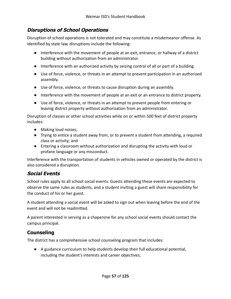## **Disruptions of School Operations**

Disruption of school operations is not tolerated and may constitute a misdemeanor offense. As identified by state law, disruptions include the following:

- Interference with the movement of people at an exit, entrance, or hallway of a district building without authorization from an administrator.
- Interference with an authorized activity by seizing control of all or part of a building.
- Use of force, violence, or threats in an attempt to prevent participation in an authorized assembly.
- Use of force, violence, or threats to cause disruption during an assembly.
- Interference with the movement of people at an exit or an entrance to district property.
- Use of force, violence, or threats in an attempt to prevent people from entering or leaving district property without authorization from an administrator.

Disruption of classes or other school activities while on or within 500 feet of district property includes:

- Making loud noises;
- Trying to entice a student away from, or to prevent a student from attending, a required class or activity; and
- Entering a classroom without authorization and disrupting the activity with loud or profane language or any misconduct.

Interference with the transportation of students in vehicles owned or operated by the district is also considered a disruption.

### **Social Events**

School rules apply to all school social events. Guests attending these events are expected to observe the same rules as students, and a student inviting a guest will share responsibility for the conduct of his or her guest.

A student attending a social event will be asked to sign out when leaving before the end of the event and will not be readmitted.

A parent interested in serving as a chaperone for any school social events should contact the campus principal.

## **Counseling**

The district has a comprehensive school counseling program that includes:

● A guidance curriculum to help students develop their full educational potential, including the student's interests and career objectives;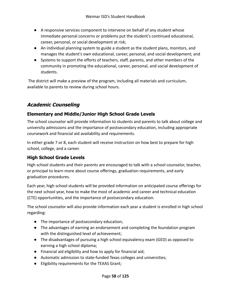- A responsive services component to intervene on behalf of any student whose immediate personal concerns or problems put the student's continued educational, career, personal, or social development at risk;
- An individual planning system to guide a student as the student plans, monitors, and manages the student's own educational, career, personal, and social development; and
- Systems to support the efforts of teachers, staff, parents, and other members of the community in promoting the educational, career, personal, and social development of students.

The district will make a preview of the program, including all materials and curriculum, available to parents to review during school hours.

# **Academic Counseling**

## **Elementary and Middle/Junior High School Grade Levels**

The school counselor will provide information to students and parents to talk about college and university admissions and the importance of postsecondary education, including appropriate coursework and financial aid availability and requirements.

In either grade 7 or 8, each student will receive instruction on how best to prepare for high school, college, and a career.

## **High School Grade Levels**

High school students and their parents are encouraged to talk with a school counselor, teacher, or principal to learn more about course offerings, graduation requirements, and early graduation procedures.

Each year, high school students will be provided information on anticipated course offerings for the next school year, how to make the most of academic and career and technical education (CTE) opportunities, and the importance of postsecondary education.

The school counselor will also provide information each year a student is enrolled in high school regarding:

- The importance of postsecondary education;
- The advantages of earning an endorsement and completing the foundation program with the distinguished level of achievement;
- The disadvantages of pursuing a high school equivalency exam (GED) as opposed to earning a high school diploma;
- Financial aid eligibility and how to apply for financial aid;
- Automatic admission to state-funded Texas colleges and universities;
- Eligibility requirements for the TEXAS Grant;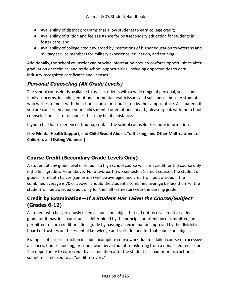- Availability of district programs that allow students to earn college credit;
- Availability of tuition and fee assistance for postsecondary education for students in foster care; and
- Availability of college credit awarded by institutions of higher education to veterans and military service members for military experience, education, and training.

Additionally, the school counselor can provide information about workforce opportunities after graduation or technical and trade school opportunities, including opportunities to earn industry-recognized certificates and licenses.

# **Personal Counseling (All Grade Levels)**

The school counselor is available to assist students with a wide range of personal, social, and family concerns, including emotional or mental health issues and substance abuse. A student who wishes to meet with the school counselor should stop by the campus office. As a parent, if you are concerned about your child's mental or emotional health, please speak with the school counselor for a list of resources that may be of assistance.

If your child has experienced trauma, contact the school counselor for more information.

[See **Mental Health Support**, and **Child Sexual Abuse, Trafficking, and Other Maltreatment of Children,** and **Dating Violence**.]

# **Course Credit (Secondary Grade Levels Only)**

A student at any grade level enrolled in a high school course will earn credit for the course only if the final grade is 70 or above. For a two-part (two-semester, 1-credit course), the student's grades from both halves (semesters) will be averaged and credit will be awarded if the combined average is 70 or above. Should the student's combined average be less than 70, the student will be awarded credit only for the half (semester) with the passing grade.

# **Credit by Examination—If <sup>a</sup> Student Has Taken the Course/Subject (Grades 6-12)**

A student who has previously taken a course or subject but did not receive credit or a final grade for it may, in circumstances determined by the principal or attendance committee, be permitted to earn credit or a final grade by passing an examination approved by the district's board of trustees on the essential knowledge and skills defined for that course or subject.

Examples of prior instruction include incomplete coursework due to a failed course or excessive absences, homeschooling, or coursework by a student transferring from a nonaccredited school. The opportunity to earn credit by examination after the student has had prior instruction is sometimes referred to as "credit recovery."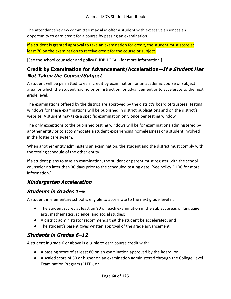The attendance review committee may also offer a student with excessive absences an opportunity to earn credit for a course by passing an examination.

If a student is granted approval to take an examination for credit, the student must score at least 70 on the examination to receive credit for the course or subject.

[See the school counselor and policy EHDB(LOCAL) for more information.]

## **Credit by Examination for Advancement/Acceleration—If <sup>a</sup> Student Has Not Taken the Course/Subject**

A student will be permitted to earn credit by examination for an academic course or subject area for which the student had no prior instruction for advancement or to accelerate to the next grade level.

The examinations offered by the district are approved by the district's board of trustees. Testing windows for these examinations will be published in district publications and on the district's website. A student may take a specific examination only once per testing window.

The only exceptions to the published testing windows will be for examinations administered by another entity or to accommodate a student experiencing homelessness or a student involved in the foster care system.

When another entity administers an examination, the student and the district must comply with the testing schedule of the other entity.

If a student plans to take an examination, the student or parent must register with the school counselor no later than 30 days prior to the scheduled testing date. [See policy EHDC for more information.]

## **Kindergarten Acceleration**

## **Students in Grades 1–5**

A student in elementary school is eligible to accelerate to the next grade level if:

- The student scores at least an 80 on each examination in the subject areas of language arts, mathematics, science, and social studies;
- A district administrator recommends that the student be accelerated; and
- The student's parent gives written approval of the grade advancement.

## **Students in Grades 6–12**

A student in grade 6 or above is eligible to earn course credit with;

- A passing score of at least 80 on an examination approved by the board; or
- A scaled score of 50 or higher on an examination administered through the College Level Examination Program (CLEP), or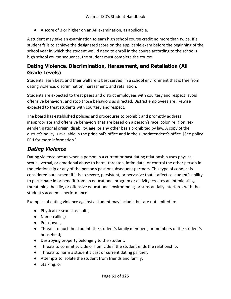● A score of 3 or higher on an AP examination, as applicable.

A student may take an examination to earn high school course credit no more than twice. If a student fails to achieve the designated score on the applicable exam before the beginning of the school year in which the student would need to enroll in the course according to the school's high school course sequence, the student must complete the course.

## **Dating Violence, Discrimination, Harassment, and Retaliation (All Grade Levels)**

Students learn best, and their welfare is best served, in a school environment that is free from dating violence, discrimination, harassment, and retaliation.

Students are expected to treat peers and district employees with courtesy and respect, avoid offensive behaviors, and stop those behaviors as directed. District employees are likewise expected to treat students with courtesy and respect.

The board has established policies and procedures to prohibit and promptly address inappropriate and offensive behaviors that are based on a person's race, color, religion, sex, gender, national origin, disability, age, or any other basis prohibited by law. A copy of the district's policy is available in the principal's office and in the superintendent's office. [See policy FFH for more information.]

## **Dating Violence**

Dating violence occurs when a person in a current or past dating relationship uses physical, sexual, verbal, or emotional abuse to harm, threaten, intimidate, or control the other person in the relationship or any of the person's past or subsequent partners. This type of conduct is considered harassment if it is so severe, persistent, or pervasive that it affects a student's ability to participate in or benefit from an educational program or activity; creates an intimidating, threatening, hostile, or offensive educational environment; or substantially interferes with the student's academic performance.

Examples of dating violence against a student may include, but are not limited to:

- Physical or sexual assaults;
- Name-calling;
- Put-downs;
- Threats to hurt the student, the student's family members, or members of the student's household;
- Destroying property belonging to the student;
- Threats to commit suicide or homicide if the student ends the relationship;
- Threats to harm a student's past or current dating partner;
- Attempts to isolate the student from friends and family;
- Stalking; or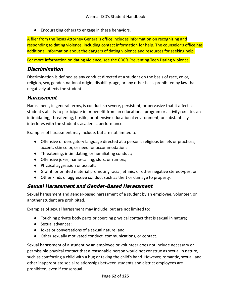● Encouraging others to engage in these behaviors.

A flier from the Texas Attorney General's office includes information on recognizing and responding to dating violence, including contact information for help. The counselor's office has additional information about the dangers of dating violence and resources for seeking help.

For more information on dating violence, see the CDC's Preventing Teen Dating Violence.

## **Discrimination**

Discrimination is defined as any conduct directed at a student on the basis of race, color, religion, sex, gender, national origin, disability, age, or any other basis prohibited by law that negatively affects the student.

## **Harassment**

Harassment, in general terms, is conduct so severe, persistent, or pervasive that it affects a student's ability to participate in or benefit from an educational program or activity; creates an intimidating, threatening, hostile, or offensive educational environment; or substantially interferes with the student's academic performance.

Examples of harassment may include, but are not limited to:

- Offensive or derogatory language directed at a person's religious beliefs or practices, accent, skin color, or need for accommodation;
- Threatening, intimidating, or humiliating conduct;
- Offensive jokes, name-calling, slurs, or rumors;
- Physical aggression or assault;
- Graffiti or printed material promoting racial, ethnic, or other negative stereotypes; or
- Other kinds of aggressive conduct such as theft or damage to property.

## **Sexual Harassment and Gender-Based Harassment**

Sexual harassment and gender-based harassment of a student by an employee, volunteer, or another student are prohibited.

Examples of sexual harassment may include, but are not limited to:

- Touching private body parts or coercing physical contact that is sexual in nature;
- Sexual advances;
- Jokes or conversations of a sexual nature; and
- Other sexually motivated conduct, communications, or contact.

Sexual harassment of a student by an employee or volunteer does not include necessary or permissible physical contact that a reasonable person would not construe as sexual in nature, such as comforting a child with a hug or taking the child's hand. However, romantic, sexual, and other inappropriate social relationships between students and district employees are prohibited, even if consensual.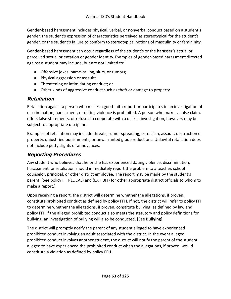Gender-based harassment includes physical, verbal, or nonverbal conduct based on a student's gender, the student's expression of characteristics perceived as stereotypical for the student's gender, or the student's failure to conform to stereotypical notions of masculinity or femininity.

Gender-based harassment can occur regardless of the student's or the harasser's actual or perceived sexual orientation or gender identity. Examples of gender-based harassment directed against a student may include, but are not limited to:

- Offensive jokes, name-calling, slurs, or rumors;
- Physical aggression or assault;
- Threatening or intimidating conduct; or
- Other kinds of aggressive conduct such as theft or damage to property.

## **Retaliation**

Retaliation against a person who makes a good-faith report or participates in an investigation of discrimination, harassment, or dating violence is prohibited. A person who makes a false claim, offers false statements, or refuses to cooperate with a district investigation, however, may be subject to appropriate discipline.

Examples of retaliation may include threats, rumor spreading, ostracism, assault, destruction of property, unjustified punishments, or unwarranted grade reductions. Unlawful retaliation does not include petty slights or annoyances.

## **Reporting Procedures**

Any student who believes that he or she has experienced dating violence, discrimination, harassment, or retaliation should immediately report the problem to a teacher, school counselor, principal, or other district employee. The report may be made by the student's parent. [See policy FFH(LOCAL) and (EXHIBIT) for other appropriate district officials to whom to make a report.]

Upon receiving a report, the district will determine whether the allegations, if proven, constitute prohibited conduct as defined by policy FFH. If not, the district will refer to policy FFI to determine whether the allegations, if proven, constitute bullying, as defined by law and policy FFI. If the alleged prohibited conduct also meets the statutory and policy definitions for bullying, an investigation of bullying will also be conducted. [See **Bullying**]

The district will promptly notify the parent of any student alleged to have experienced prohibited conduct involving an adult associated with the district. In the event alleged prohibited conduct involves another student, the district will notify the parent of the student alleged to have experienced the prohibited conduct when the allegations, if proven, would constitute a violation as defined by policy FFH.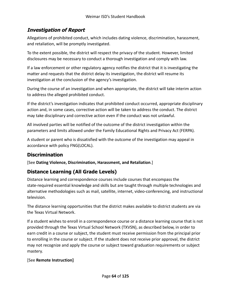## **Investigation of Report**

Allegations of prohibited conduct, which includes dating violence, discrimination, harassment, and retaliation, will be promptly investigated.

To the extent possible, the district will respect the privacy of the student. However, limited disclosures may be necessary to conduct a thorough investigation and comply with law.

If a law enforcement or other regulatory agency notifies the district that it is investigating the matter and requests that the district delay its investigation, the district will resume its investigation at the conclusion of the agency's investigation.

During the course of an investigation and when appropriate, the district will take interim action to address the alleged prohibited conduct.

If the district's investigation indicates that prohibited conduct occurred, appropriate disciplinary action and, in some cases, corrective action will be taken to address the conduct. The district may take disciplinary and corrective action even if the conduct was not unlawful.

All involved parties will be notified of the outcome of the district investigation within the parameters and limits allowed under the Family Educational Rights and Privacy Act (FERPA).

A student or parent who is dissatisfied with the outcome of the investigation may appeal in accordance with policy FNG(LOCAL).

## **Discrimination**

[See **Dating Violence, Discrimination, Harassment, and Retaliation**.]

## **Distance Learning (All Grade Levels)**

Distance learning and correspondence courses include courses that encompass the state-required essential knowledge and skills but are taught through multiple technologies and alternative methodologies such as mail, satellite, internet, video-conferencing, and instructional television.

The distance learning opportunities that the district makes available to district students are via the Texas Virtual Network.

If a student wishes to enroll in a correspondence course or a distance learning course that is not provided through the Texas Virtual School Network (TXVSN), as described below, in order to earn credit in a course or subject, the student must receive permission from the principal prior to enrolling in the course or subject. If the student does not receive prior approval, the district may not recognize and apply the course or subject toward graduation requirements or subject mastery.

### [See **Remote Instruction]**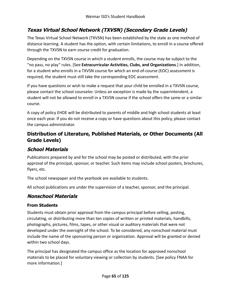## **Texas Virtual School Network (TXVSN) (Secondary Grade Levels)**

The Texas Virtual School Network (TXVSN) has been established by the state as one method of distance learning. A student has the option, with certain limitations, to enroll in a course offered through the TXVSN to earn course credit for graduation.

Depending on the TXVSN course in which a student enrolls, the course may be subject to the "no pass, no play" rules. [See **Extracurricular Activities, Clubs, and Organizations**.] In addition, for a student who enrolls in a TXVSN course for which an end-of-course (EOC) assessment is required, the student must still take the corresponding EOC assessment.

If you have questions or wish to make a request that your child be enrolled in a TXVSN course, please contact the school counselor. Unless an exception is made by the superintendent, a student will not be allowed to enroll in a TXVSN course if the school offers the same or a similar course.

A copy of policy EHDE will be distributed to parents of middle and high school students at least once each year. If you do not receive a copy or have questions about this policy, please contact the campus administrator.

## **Distribution of Literature, Published Materials, or Other Documents (All Grade Levels)**

## **School Materials**

Publications prepared by and for the school may be posted or distributed, with the prior approval of the principal, sponsor, or teacher. Such items may include school posters, brochures, flyers, etc.

The school newspaper and the yearbook are available to students.

All school publications are under the supervision of a teacher, sponsor, and the principal.

## **Nonschool Materials**

### **From Students**

Students must obtain prior approval from the campus principal before selling, posting, circulating, or distributing more than ten copies of written or printed materials, handbills, photographs, pictures, films, tapes, or other visual or auditory materials that were not developed under the oversight of the school. To be considered, any nonschool material must include the name of the sponsoring person or organization. Approval will be granted or denied within two school days.

The principal has designated the campus office as the location for approved nonschool materials to be placed for voluntary viewing or collection by students. [See policy FNAA for more information.]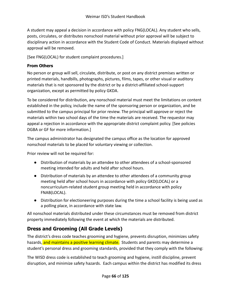A student may appeal a decision in accordance with policy FNG(LOCAL). Any student who sells, posts, circulates, or distributes nonschool material without prior approval will be subject to disciplinary action in accordance with the Student Code of Conduct. Materials displayed without approval will be removed.

[See FNG(LOCAL) for student complaint procedures.]

### **From Others**

No person or group will sell, circulate, distribute, or post on any district premises written or printed materials, handbills, photographs, pictures, films, tapes, or other visual or auditory materials that is not sponsored by the district or by a district-affiliated school-support organization, except as permitted by policy GKDA.

To be considered for distribution, any nonschool material must meet the limitations on content established in the policy, include the name of the sponsoring person or organization, and be submitted to the campus principal for prior review. The principal will approve or reject the materials within two school days of the time the materials are received. The requestor may appeal a rejection in accordance with the appropriate district complaint policy. [See policies DGBA or GF for more information.]

The campus administrator has designated the campus office as the location for approved nonschool materials to be placed for voluntary viewing or collection.

Prior review will not be required for:

- Distribution of materials by an attendee to other attendees of a school-sponsored meeting intended for adults and held after school hours.
- Distribution of materials by an attendee to other attendees of a community group meeting held after school hours in accordance with policy GKD(LOCAL) or a noncurriculum-related student group meeting held in accordance with policy FNAB(LOCAL).
- Distribution for electioneering purposes during the time a school facility is being used as a polling place, in accordance with state law.

All nonschool materials distributed under these circumstances must be removed from district property immediately following the event at which the materials are distributed.

## **Dress and Grooming (All Grade Levels)**

The district's dress code teaches grooming and hygiene, prevents disruption, minimizes safety hazards, and maintains a positive learning climate. Students and parents may determine a student's personal dress and grooming standards, provided that they comply with the following:

The WISD dress code is established to teach grooming and hygiene, instill discipline, prevent disruption, and minimize safety hazards. Each campus within the district has modified its dress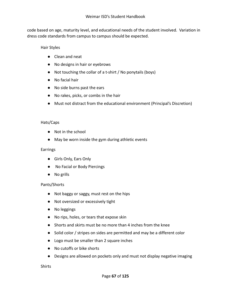code based on age, maturity level, and educational needs of the student involved. Variation in dress code standards from campus to campus should be expected.

#### Hair Styles

- Clean and neat
- No designs in hair or eyebrows
- Not touching the collar of a t-shirt / No ponytails (boys)
- No facial hair
- No side burns past the ears
- No rakes, picks, or combs in the hair
- Must not distract from the educational environment (Principal's Discretion)

#### Hats/Caps

- Not in the school
- May be worn inside the gym during athletic events

#### Earrings

- Girls Only, Ears Only
- No Facial or Body Piercings
- No grills

#### Pants/Shorts

- Not baggy or saggy, must rest on the hips
- Not oversized or excessively tight
- No leggings
- No rips, holes, or tears that expose skin
- Shorts and skirts must be no more than 4 inches from the knee
- Solid color / stripes on sides are permitted and may be a different color
- Logo must be smaller than 2 square inches
- No cutoffs or bike shorts
- Designs are allowed on pockets only and must not display negative imaging

#### Shirts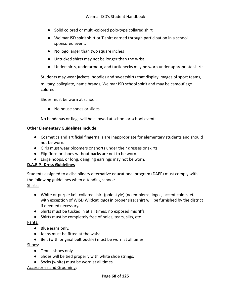- Solid colored or multi-colored polo-type collared shirt
- Weimar ISD spirit shirt or T-shirt earned through participation in a school sponsored event.
- No logo larger than two square inches
- Untucked shirts may not be longer than the wrist.
- Undershirts, underarmour, and turtlenecks may be worn under appropriate shirts

Students may wear jackets, hoodies and sweatshirts that display images of sport teams, military, collegiate, name brands, Weimar ISD school spirit and may be camouflage colored.

Shoes must be worn at school.

● No house shoes or slides

No bandanas or flags will be allowed at school or school events.

#### **Other Elementary Guidelines Include:**

- Cosmetics and artificial fingernails are inappropriate for elementary students and should not be worn.
- Girls must wear bloomers or shorts under their dresses or skirts.
- Flip-flops or shoes without backs are not to be worn.
- Large hoops, or long, dangling earrings may not be worn.

#### **D.A.E.P. Dress Guidelines**

Students assigned to a disciplinary alternative educational program (DAEP) must comply with the following guidelines when attending school:

#### Shirts:

- White or purple knit collared shirt (polo style) (no emblems, logos, accent colors, etc. with exception of WISD Wildcat logo) in proper size; shirt will be furnished by the district if deemed necessary.
- Shirts must be tucked in at all times; no exposed midriffs.
- Shirts must be completely free of holes, tears, slits, etc.

#### Pants:

- Blue jeans only.
- Jeans must be fitted at the waist.
- Belt (with original belt buckle) must be worn at all times.

#### Shoes:

- Tennis shoes only.
- Shoes will be tied properly with white shoe strings.
- Socks (white) must be worn at all times.

Accessories and Grooming: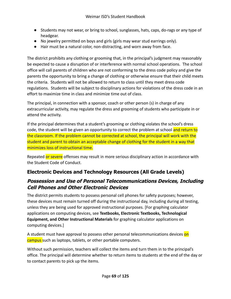- Students may not wear, or bring to school, sunglasses, hats, caps, do-rags or any type of headgear.
- No jewelry permitted on boys and girls (girls may wear stud earrings only).
- Hair must be a natural color, non-distracting, and worn away from face.

The district prohibits any clothing or grooming that, in the principal's judgment may reasonably be expected to cause a disruption of or interference with normal school operations. The school office will call parents of children who are not conforming to the dress code policy and give the parents the opportunity to bring a change of clothing or otherwise ensure that their child meets the criteria. Students will not be allowed to return to class until they meet dress code regulations. Students will be subject to disciplinary actions for violations of the dress code in an effort to maximize time in class and minimize time out of class.

The principal, in connection with a sponsor, coach or other person (s) in charge of any extracurricular activity, may regulate the dress and grooming of students who participate in or attend the activity.

If the principal determines that a student's grooming or clothing violates the school's dress code, the student will be given an opportunity to correct the problem at school and return to the classroom. If the problem cannot be corrected at school, the principal will work with the student and parent to obtain an acceptable change of clothing for the student in a way that minimizes loss of instructional time.

Repeated or severe offenses may result in more serious disciplinary action in accordance with the Student Code of Conduct.

## **Electronic Devices and Technology Resources (All Grade Levels)**

## **Possession and Use of Personal Telecommunications Devices, Including Cell Phones and Other Electronic Devices**

The district permits students to possess personal cell phones for safety purposes; however, these devices must remain turned off during the instructional day, including during all testing, unless they are being used for approved instructional purposes. [For graphing calculator applications on computing devices, see **Textbooks, Electronic Textbooks, Technological Equipment, and Other Instructional Materials** for graphing calculator applications on computing devices.]

A student must have approval to possess other personal telecommunications devices on campus such as laptops, tablets, or other portable computers.

Without such permission, teachers will collect the items and turn them in to the principal's office. The principal will determine whether to return items to students at the end of the day or to contact parents to pick up the items.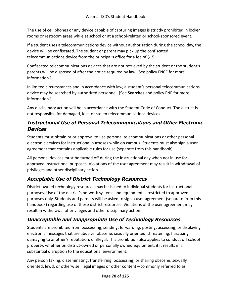The use of cell phones or any device capable of capturing images is strictly prohibited in locker rooms or restroom areas while at school or at a school-related or school-sponsored event.

If a student uses a telecommunications device without authorization during the school day, the device will be confiscated. The student or parent may pick up the confiscated telecommunications device from the principal's office for a fee of \$15.

Confiscated telecommunications devices that are not retrieved by the student or the student's parents will be disposed of after the notice required by law. [See policy FNCE for more information.]

In limited circumstances and in accordance with law, a student's personal telecommunications device may be searched by authorized personnel. [See **Searches** and policy FNF for more information.]

Any disciplinary action will be in accordance with the Student Code of Conduct. The district is not responsible for damaged, lost, or stolen telecommunications devices.

## **Instructional Use of Personal Telecommunications and Other Electronic Devices**

Students must obtain prior approval to use personal telecommunications or other personal electronic devices for instructional purposes while on campus. Students must also sign a user agreement that contains applicable rules for use (separate from this handbook).

All personal devices must be turned off during the instructional day when not in use for approved instructional purposes. Violations of the user agreement may result in withdrawal of privileges and other disciplinary action.

# **Acceptable Use of District Technology Resources**

District-owned technology resources may be issued to individual students for instructional purposes. Use of the district's network systems and equipment is restricted to approved purposes only. Students and parents will be asked to sign a user agreement (separate from this handbook) regarding use of these district resources. Violations of the user agreement may result in withdrawal of privileges and other disciplinary action.

# **Unacceptable and Inappropriate Use of Technology Resources**

Students are prohibited from possessing, sending, forwarding, posting, accessing, or displaying electronic messages that are abusive, obscene, sexually oriented, threatening, harassing, damaging to another's reputation, or illegal. This prohibition also applies to conduct off school property, whether on district-owned or personally owned equipment, if it results in a substantial disruption to the educational environment.

Any person taking, disseminating, transferring, possessing, or sharing obscene, sexually oriented, lewd, or otherwise illegal images or other content—commonly referred to as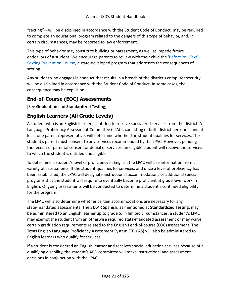"sexting"—will be disciplined in accordance with the Student Code of Conduct, may be required to complete an educational program related to the dangers of this type of behavior, and, in certain circumstances, may be reported to law enforcement.

This type of behavior may constitute bullying or harassment, as well as impede future endeavors of a student. We encourage parents to review with their child the *['Before You Text'](http://beforeyoutext.com/)* [Sexting Prevention Course](http://beforeyoutext.com/), a state-developed program that addresses the consequences of sexting.

Any student who engages in conduct that results in a breach of the district's computer security will be disciplined in accordance with the Student Code of Conduct. In some cases, the consequence may be expulsion.

# **End-of-Course (EOC) Assessments**

[See **Graduation** and **Standardized Testing**]

# **English Learners (All Grade Levels)**

A student who is an English learner is entitled to receive specialized services from the district. A Language Proficiency Assessment Committee (LPAC), consisting of both district personnel and at least one parent representative, will determine whether the student qualifies for services. The student's parent must consent to any services recommended by the LPAC. However, pending the receipt of parental consent or denial of services, an eligible student will receive the services to which the student is entitled and eligible.

To determine a student's level of proficiency in English, the LPAC will use information from a variety of assessments. If the student qualifies for services, and once a level of proficiency has been established, the LPAC will designate instructional accommodations or additional special programs that the student will require to eventually become proficient at grade level work in English. Ongoing assessments will be conducted to determine a student's continued eligibility for the program.

The LPAC will also determine whether certain accommodations are necessary for any state-mandated assessments. The STAAR Spanish, as mentioned at **Standardized Testing**, may be administered to an English learner up to grade 5. In limited circumstances, a student's LPAC may exempt the student from an otherwise required state-mandated assessment or may waive certain graduation requirements related to the English I end-of-course (EOC) assessment. The Texas English Language Proficiency Assessment System (TELPAS) will also be administered to English learners who qualify for services.

If a student is considered an English learner and receives special education services because of a qualifying disability, the student's ARD committee will make instructional and assessment decisions in conjunction with the LPAC.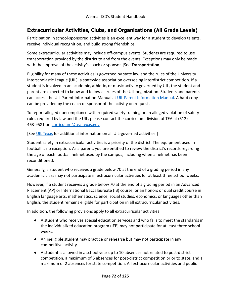## **Extracurricular Activities, Clubs, and Organizations (All Grade Levels)**

Participation in school-sponsored activities is an excellent way for a student to develop talents, receive individual recognition, and build strong friendships.

Some extracurricular activities may include off-campus events. Students are required to use transportation provided by the district to and from the events. Exceptions may only be made with the approval of the activity's coach or sponsor. [See **Transportation**]

Eligibility for many of these activities is governed by state law and the rules of the University Interscholastic League (UIL), a statewide association overseeing interdistrict competition. If a student is involved in an academic, athletic, or music activity governed by UIL, the student and parent are expected to know and follow all rules of the UIL organization. Students and parents can access the UIL Parent Information Manual at UIL [Parent Information Manual](https://www.uiltexas.org/athletics/manuals). A hard copy can be provided by the coach or sponsor of the activity on request.

To report alleged noncompliance with required safety training or an alleged violation of safety rules required by law and the UIL, please contact the curriculum division of TEA at (512) 463-9581 or [curriculum@tea.texas.gov](mailto:curriculum@tea.state.tx.us).

[See [UIL Texas](http://www.uiltexas.org/) for additional information on all UIL-governed activities.]

Student safety in extracurricular activities is a priority of the district. The equipment used in football is no exception. As a parent, you are entitled to review the district's records regarding the age of each football helmet used by the campus, including when a helmet has been reconditioned.

Generally, a student who receives a grade below 70 at the end of a grading period in any academic class may not participate in extracurricular activities for at least three school weeks.

However, if a student receives a grade below 70 at the end of a grading period in an Advanced Placement (AP) or International Baccalaureate (IB) course, or an honors or dual credit course in English language arts, mathematics, science, social studies, economics, or languages other than English, the student remains eligible for participation in all extracurricular activities.

In addition, the following provisions apply to all extracurricular activities:

- A student who receives special education services and who fails to meet the standards in the individualized education program (IEP) may not participate for at least three school weeks.
- An ineligible student may practice or rehearse but may not participate in any competitive activity.
- A student is allowed in a school year up to 10 absences not related to post-district competition, a maximum of 5 absences for post-district competition prior to state, and a maximum of 2 absences for state competition. All extracurricular activities and public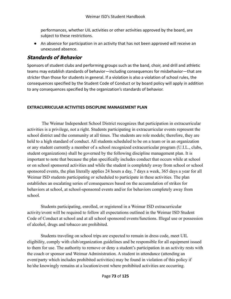performances, whether UIL activities or other activities approved by the board, are subject to these restrictions.

● An absence for participation in an activity that has not been approved will receive an unexcused absence.

#### **Standards of Behavior**

Sponsors of student clubs and performing groups such as the band, choir, and drill and athletic teams may establish standards of behavior—including consequences for misbehavior—that are stricter than those for students in general. If a violation is also a violation of school rules, the consequences specified by the Student Code of Conduct or by board policy will apply in addition to any consequences specified by the organization's standards of behavior.

#### **EXTRACURRICULAR ACTIVITIES DISCIPLINE MANAGEMENT PLAN**

The Weimar Independent School District recognizes that participation in extracurricular activities is a privilege, not a right. Students participating in extracurricular events represent the school district and the community at all times. The students are role models; therefore, they are held to a high standard of conduct. All students scheduled to be on a team or in an organization or any student currently a member of a school recognized extracurricular program (U.I.L., clubs, student organizations) shall be governed by the following discipline management plan. It is important to note that because the plan specifically includes conduct that occurs while at school or on school sponsored activities and while the student is completely away from school or school sponsored events, the plan literally applies 24 hours a day, 7 days a week, 365 days a year for all Weimar ISD students participating or scheduled to participate in these activities. The plan establishes an escalating series of consequences based on the accumulation of strikes for behaviors at school, at school-sponsored events and/or for behaviors completely away from school.

Students participating, enrolled, or registered in a Weimar ISD extracurricular activity/event will be required to follow all expectations outlined in the Weimar ISD Student Code of Conduct at school and at all school sponsored events/functions. Illegal use or possession of alcohol, drugs and tobacco are prohibited.

Students traveling on school trips are expected to remain in dress code, meet UIL eligibility, comply with club/organization guidelines and be responsible for all equipment issued to them for use. The authority to remove or deny a student's participation in an activity rests with the coach or sponsor and Weimar Administration. A student in attendance (attending an event/party which includes prohibited activities) may be found in violation of this policy if he/she knowingly remains at a location/event where prohibited activities are occurring.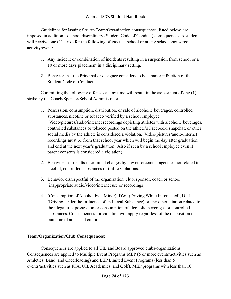Guidelines for Issuing Strikes Team/Organization consequences, listed below, are imposed in addition to school disciplinary (Student Code of Conduct) consequences. A student will receive one (1) strike for the following offenses at school or at any school sponsored activity/event:

- 1. Any incident or combination of incidents resulting in a suspension from school or a 10 or more days placement in a disciplinary setting.
- 2. Behavior that the Principal or designee considers to be a major infraction of the Student Code of Conduct.

Committing the following offenses at any time will result in the assessment of one (1) strike by the Coach/Sponsor/School Administrator:

- 1. Possession, consumption, distribution, or sale of alcoholic beverages, controlled substances, nicotine or tobacco verified by a school employee. (Video/pictures/audio/internet recordings depicting athletes with alcoholic beverages, controlled substances or tobacco posted on the athlete's Facebook, snapchat, or other social media by the athlete is considered a violation. Video/pictures/audio/internet recordings must be from that school year which will begin the day after graduation and end at the next year's graduation. Also if seen by a school employee even if parent consents is considered a violation)
- 2. Behavior that results in criminal charges by law enforcement agencies not related to alcohol, controlled substances or traffic violations.
- 3. Behavior disrespectful of the organization, club, sponsor, coach or school (inappropriate audio/video/internet use or recordings).
- 4. (Consumption of Alcohol by a Minor), DWI (Driving While Intoxicated), DUI (Driving Under the Influence of an Illegal Substance) or any other citation related to the illegal use, possession or consumption of alcoholic beverages or controlled substances. Consequences for violation will apply regardless of the disposition or outcome of an issued citation.

#### **Team/Organization/Club Consequences:**

Consequences are applied to all UIL and Board approved clubs/organizations. Consequences are applied to Multiple Event Programs MEP (5 or more events/activities such as Athletics, Band, and Cheerleading) and LEP Limited Event Programs (less than 5 events/activities such as FFA, UIL Academics, and Golf). MEP programs with less than 10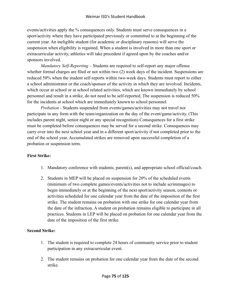events/activities apply the % consequences only. Students must serve consequences in a sport/activity where they have participated previously or committed to at the beginning of the current year. An ineligible student (for academic or disciplinary reasons) will serve the suspension when eligibility is regained. When a student is involved in more than one sport or extracurricular activity, athletics will take precedent if agreed upon by the coaches and/or sponsors involved.

*Mandatory Self-Reporting* – Students are required to self-report any major offense whether formal charges are filed or not within two (2) week days of the incident. Suspensions are reduced 50% when the student self-reports within two-week days. Students must report to either a school administrator or the coach/sponsor of the activity in which they are involved. Incidents, which occur at school or at school related activities, which are known immediately by school personnel and result in a strike, do not need to be self-reported. The suspension is reduced 50% for the incidents at school which are immediately known to school personnel.

*Probation -* Students suspended from events/games/activities may not travel nor participate in any form with the team/organization on the day of the event/game/activity. (This includes parent night, senior night or any special recognition) Consequences for a first strike must be completed before consequences may be served for a second strike. Consequences may carry over into the next school year and in a different sport/activity if not completed prior to the end of the school year. Accumulated strikes are removed upon successful completion of a probation or suspension term.

#### **First Strike:**

- 1. Mandatory conference with students, parent(s), and appropriate school official/coach.
- 2. Students in MEP will be placed on suspension for 20% of the scheduled events (minimum of two complete games/events/activities not to include scrimmages) to begin immediately or at the beginning of the next sport/activity season, contests or activities scheduled for one calendar year from the date of the imposition of the first strike. The student remains on probation with one strike for one calendar year from the date of the infraction. A student on probation remains eligible to participate in all practices. Students in LEP will be placed on probation for one calendar year from the date of the imposition of the first strike.

#### **Second Strike:**

- 1. The student is required to complete 24 hours of community service prior to student participation in any extracurricular event.
- 2. The student remains on probation for one calendar year from the date of the second strike.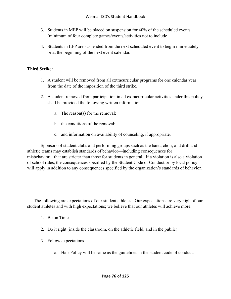- 3. Students in MEP will be placed on suspension for 40% of the scheduled events (minimum of four complete games/events/activities not to include
- 4. Students in LEP are suspended from the next scheduled event to begin immediately or at the beginning of the next event calendar.

#### **Third Strike:**

- 1. A student will be removed from all extracurricular programs for one calendar year from the date of the imposition of the third strike.
- 2. A student removed from participation in all extracurricular activities under this policy shall be provided the following written information:
	- a. The reason(s) for the removal;
	- b. the conditions of the removal;
	- c. and information on availability of counseling, if appropriate.

Sponsors of student clubs and performing groups such as the band, choir, and drill and athletic teams may establish standards of behavior—including consequences for misbehavior—that are stricter than those for students in general. If a violation is also a violation of school rules, the consequences specified by the Student Code of Conduct or by local policy will apply in addition to any consequences specified by the organization's standards of behavior.

The following are expectations of our student athletes. Our expectations are very high of our student athletes and with high expectations; we believe that our athletes will achieve more.

- 1. Be on Time.
- 2. Do it right (inside the classroom, on the athletic field, and in the public).
- 3. Follow expectations.
	- a. Hair Policy will be same as the guidelines in the student code of conduct.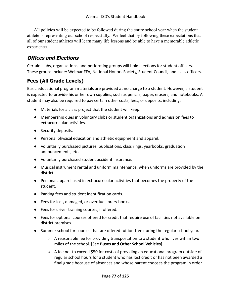All policies will be expected to be followed during the entire school year when the student athlete is representing our school respectfully. We feel that by following these expectations that all of our student athletes will learn many life lessons and be able to have a memorable athletic experience.

#### **Offices and Elections**

Certain clubs, organizations, and performing groups will hold elections for student officers. These groups include: Weimar FFA, National Honors Society, Student Council, and class officers.

### **Fees (All Grade Levels)**

Basic educational program materials are provided at no charge to a student. However, a student is expected to provide his or her own supplies, such as pencils, paper, erasers, and notebooks. A student may also be required to pay certain other costs, fees, or deposits, including:

- Materials for a class project that the student will keep.
- Membership dues in voluntary clubs or student organizations and admission fees to extracurricular activities.
- Security deposits.
- Personal physical education and athletic equipment and apparel.
- Voluntarily purchased pictures, publications, class rings, yearbooks, graduation announcements, etc.
- Voluntarily purchased student accident insurance.
- Musical instrument rental and uniform maintenance, when uniforms are provided by the district.
- Personal apparel used in extracurricular activities that becomes the property of the student.
- Parking fees and student identification cards.
- Fees for lost, damaged, or overdue library books.
- Fees for driver training courses, if offered.
- Fees for optional courses offered for credit that require use of facilities not available on district premises.
- Summer school for courses that are offered tuition-free during the regular school year.
	- A reasonable fee for providing transportation to a student who lives within two miles of the school. [See **Buses and Other School Vehicles**]
	- $\circ$  A fee not to exceed \$50 for costs of providing an educational program outside of regular school hours for a student who has lost credit or has not been awarded a final grade because of absences and whose parent chooses the program in order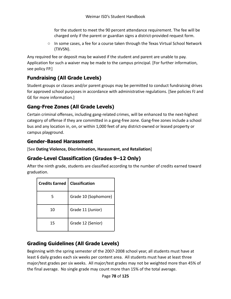for the student to meet the 90 percent attendance requirement. The fee will be charged only if the parent or guardian signs a district-provided request form.

○ In some cases, a fee for a course taken through the Texas Virtual School Network (TXVSN).

Any required fee or deposit may be waived if the student and parent are unable to pay. Application for such a waiver may be made to the campus principal. [For further information, see policy FP.]

# **Fundraising (All Grade Levels)**

Student groups or classes and/or parent groups may be permitted to conduct fundraising drives for approved school purposes in accordance with administrative regulations. [See policies FJ and GE for more information.]

# **Gang-Free Zones (All Grade Levels)**

Certain criminal offenses, including gang-related crimes, will be enhanced to the next-highest category of offense if they are committed in a gang-free zone. Gang-free zones include a school bus and any location in, on, or within 1,000 feet of any district-owned or leased property or campus playground.

### **Gender-Based Harassment**

[See **Dating Violence, Discrimination, Harassment, and Retaliation**]

# **Grade-Level Classification (Grades 9–12 Only)**

After the ninth grade, students are classified according to the number of credits earned toward graduation.

| <b>Credits Earned</b> | <b>Classification</b> |
|-----------------------|-----------------------|
| 5                     | Grade 10 (Sophomore)  |
| 10                    | Grade 11 (Junior)     |
| 15                    | Grade 12 (Senior)     |

### **Grading Guidelines (All Grade Levels)**

Beginning with the spring semester of the 2007-2008 school year, all students must have at least 6 daily grades each six weeks per content area. All students must have at least three major/test grades per six weeks. All major/test grades may not be weighted more than 45% of the final average. No single grade may count more than 15% of the total average.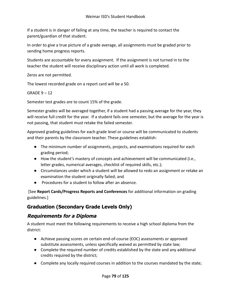If a student is in danger of failing at any time, the teacher is required to contact the parent/guardian of that student.

In order to give a true picture of a grade average, all assignments must be graded prior to sending home progress reports.

Students are accountable for every assignment. If the assignment is not turned in to the teacher the student will receive disciplinary action until all work is completed.

Zeros are not permitted.

The lowest recorded grade on a report card will be a 50.

GRADE 9 – 12

Semester test grades are to count 15% of the grade.

Semester grades will be averaged together, if a student had a passing average for the year, they will receive full credit for the year. If a student fails one semester, but the average for the year is not passing, that student must retake the failed semester.

Approved grading guidelines for each grade level or course will be communicated to students and their parents by the classroom teacher. These guidelines establish:

- The minimum number of assignments, projects, and examinations required for each grading period;
- How the student's mastery of concepts and achievement will be communicated (i.e., letter grades, numerical averages, checklist of required skills, etc.);
- Circumstances under which a student will be allowed to redo an assignment or retake an examination the student originally failed; and
- Procedures for a student to follow after an absence.

[See **Report Cards/Progress Reports and Conferences** for additional information on grading guidelines.]

# **Graduation (Secondary Grade Levels Only)**

#### **Requirements for <sup>a</sup> Diploma**

A student must meet the following requirements to receive a high school diploma from the district:

- Achieve passing scores on certain end-of-course (EOC) assessments or approved substitute assessments, unless specifically waived as permitted by state law;
- Complete the required number of credits established by the state and any additional credits required by the district;
- Complete any locally required courses in addition to the courses mandated by the state;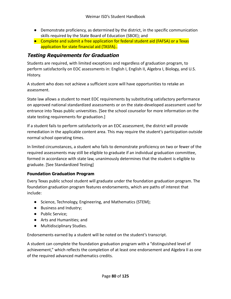- Demonstrate proficiency, as determined by the district, in the specific communication skills required by the State Board of Education (SBOE); and
- Complete and submit a free application for federal student aid (FAFSA) or a Texas application for state financial aid (TASFA)..

#### **Testing Requirements for Graduation**

Students are required, with limited exceptions and regardless of graduation program, to perform satisfactorily on EOC assessments in: English I, English II, Algebra I, Biology, and U.S. History.

A student who does not achieve a sufficient score will have opportunities to retake an assessment.

State law allows a student to meet EOC requirements by substituting satisfactory performance on approved national standardized assessments or on the state-developed assessment used for entrance into Texas public universities. [See the school counselor for more information on the state testing requirements for graduation.]

If a student fails to perform satisfactorily on an EOC assessment, the district will provide remediation in the applicable content area. This may require the student's participation outside normal school operating times.

In limited circumstances, a student who fails to demonstrate proficiency on two or fewer of the required assessments may still be eligible to graduate if an individual graduation committee, formed in accordance with state law, unanimously determines that the student is eligible to graduate. [See Standardized Testing]

#### **Foundation Graduation Program**

Every Texas public school student will graduate under the foundation graduation program. The foundation graduation program features endorsements, which are paths of interest that include:

- Science, Technology, Engineering, and Mathematics (STEM);
- Business and Industry;
- Public Service;
- Arts and Humanities; and
- Multidisciplinary Studies.

Endorsements earned by a student will be noted on the student's transcript.

A student can complete the foundation graduation program with a "distinguished level of achievement," which reflects the completion of at least one endorsement and Algebra II as one of the required advanced mathematics credits.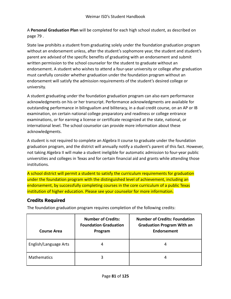A **Personal Graduation Plan** will be completed for each high school student, as described on page 79 .

State law prohibits a student from graduating solely under the foundation graduation program without an endorsement unless, after the student's sophomore year, the student and student's parent are advised of the specific benefits of graduating with an endorsement and submit written permission to the school counselor for the student to graduate without an endorsement. A student who wishes to attend a four-year university or college after graduation must carefully consider whether graduation under the foundation program without an endorsement will satisfy the admission requirements of the student's desired college or university.

A student graduating under the foundation graduation program can also earn performance acknowledgments on his or her transcript. Performance acknowledgments are available for outstanding performance in bilingualism and biliteracy, in a dual credit course, on an AP or IB examination, on certain national college preparatory and readiness or college entrance examinations, or for earning a license or certificate recognized at the state, national, or international level. The school counselor can provide more information about these acknowledgments.

A student is not required to complete an Algebra II course to graduate under the foundation graduation program, and the district will annually notify a student's parent of this fact. However, not taking Algebra II will make a student ineligible for automatic admission to four-year public universities and colleges in Texas and for certain financial aid and grants while attending those institutions.

A school district will permit a student to satisfy the curriculum requirements for graduation under the foundation program with the distinguished level of achievement, including an endorsement, by successfully completing courses in the core curriculum of a public Texas institution of higher education. Please see your counselor for more information.

#### **Credits Required**

The foundation graduation program requires completion of the following credits:

| <b>Course Area</b>    | <b>Number of Credits:</b><br><b>Foundation Graduation</b><br>Program | <b>Number of Credits: Foundation</b><br><b>Graduation Program With an</b><br><b>Endorsement</b> |
|-----------------------|----------------------------------------------------------------------|-------------------------------------------------------------------------------------------------|
| English/Language Arts |                                                                      |                                                                                                 |
| <b>Mathematics</b>    | ੨                                                                    |                                                                                                 |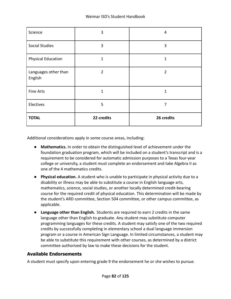| Science                         | 3          | 4              |
|---------------------------------|------------|----------------|
| <b>Social Studies</b>           | 3          | 3              |
| <b>Physical Education</b>       | 1          | 1              |
| Languages other than<br>English | 2          | $\overline{2}$ |
| Fine Arts                       | 1          | 1              |
| Electives                       | 5          | 7              |
| <b>TOTAL</b>                    | 22 credits | 26 credits     |

Additional considerations apply in some course areas, including:

- **Mathematics.** In order to obtain the distinguished level of achievement under the foundation graduation program, which will be included on a student's transcript and is a requirement to be considered for automatic admission purposes to a Texas four-year college or university, a student must complete an endorsement and take Algebra II as one of the 4 mathematics credits.
- **Physical education.** A student who is unable to participate in physical activity due to a disability or illness may be able to substitute a course in English language arts, mathematics, science, social studies, or another locally determined credit-bearing course for the required credit of physical education. This determination will be made by the student's ARD committee, Section 504 committee, or other campus committee, as applicable.
- **Language other than English.** Students are required to earn 2 credits in the same language other than English to graduate. Any student may substitute computer programming languages for these credits. A student may satisfy one of the two required credits by successfully completing in elementary school a dual language immersion program or a course in American Sign Language. In limited circumstances, a student may be able to substitute this requirement with other courses, as determined by a district committee authorized by law to make these decisions for the student.

#### **Available Endorsements**

A student must specify upon entering grade 9 the endorsement he or she wishes to pursue.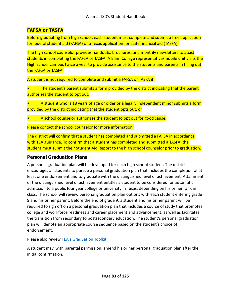#### **FAFSA or TASFA**

Before graduating from high school, each student must complete and submit a free application for federal student aid (FAFSA) or a Texas application for state financial aid (TASFA).

The high school counselor provides handouts, brochures, and monthly newsletters to assist students in completing the FAFSA or TASFA. A Blinn College representative/mobile unit visits the High School campus twice a year to provide assistance to the students and parents in filling out the FAFSA or TASFA.

A student is not required to complete and submit a FAFSA or TASFA if:

• The student's parent submits a form provided by the district indicating that the parent authorizes the student to opt out;

• A student who is 18 years of age or older or a legally independent minor submits a form provided by the district indicating that the student opts out; or

• A school counselor authorizes the student to opt out for good cause.

Please contact the school counselor for more information.

The district will confirm that a student has completed and submitted a FAFSA in accordance with TEA guidance. To confirm that a student has completed and submitted a TASFA, the student must submit their Student Aid Report to the high school counselor prior to graduation.

#### **Personal Graduation Plans**

A personal graduation plan will be developed for each high school student. The district encourages all students to pursue a personal graduation plan that includes the completion of at least one endorsement and to graduate with the distinguished level of achievement. Attainment of the distinguished level of achievement entitles a student to be considered for automatic admission to a public four year college or university in Texas, depending on his or her rank in class. The school will review personal graduation plan options with each student entering grade 9 and his or her parent. Before the end of grade 9, a student and his or her parent will be required to sign off on a personal graduation plan that includes a course of study that promotes college and workforce readiness and career placement and advancement, as well as facilitates the transition from secondary to postsecondary education. The student's personal graduation plan will denote an appropriate course sequence based on the student's choice of endorsement.

Please also review [TEA's Graduation Toolkit](http://tea.texas.gov/communications/brochures.aspx)

A student may, with parental permission, amend his or her personal graduation plan after the initial confirmation.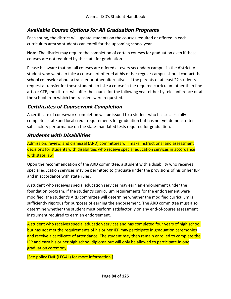### **Available Course Options for All Graduation Programs**

Each spring, the district will update students on the courses required or offered in each curriculum area so students can enroll for the upcoming school year.

**Note:** The district may require the completion of certain courses for graduation even if these courses are not required by the state for graduation.

Please be aware that not all courses are offered at every secondary campus in the district. A student who wants to take a course not offered at his or her regular campus should contact the school counselor about a transfer or other alternatives. If the parents of at least 22 students request a transfer for those students to take a course in the required curriculum other than fine arts or CTE, the district will offer the course for the following year either by teleconference or at the school from which the transfers were requested.

### **Certificates of Coursework Completion**

A certificate of coursework completion will be issued to a student who has successfully completed state and local credit requirements for graduation but has not yet demonstrated satisfactory performance on the state-mandated tests required for graduation.

#### **Students with Disabilities**

Admission, review, and dismissal (ARD) committees will make instructional and assessment decisions for students with disabilities who receive special education services in accordance with state law.

Upon the recommendation of the ARD committee, a student with a disability who receives special education services may be permitted to graduate under the provisions of his or her IEP and in accordance with state rules.

A student who receives special education services may earn an endorsement under the foundation program. If the student's curriculum requirements for the endorsement were modified, the student's ARD committee will determine whether the modified curriculum is sufficiently rigorous for purposes of earning the endorsement. The ARD committee must also determine whether the student must perform satisfactorily on any end-of-course assessment instrument required to earn an endorsement.

A student who receives special education services and has completed four years of high school but has not met the requirements of his or her IEP may participate in graduation ceremonies and receive a certificate of attendance. The student may then remain enrolled to complete the IEP and earn his or her high school diploma but will only be allowed to participate in one graduation ceremony.

[See policy FMH(LEGAL) for more information.]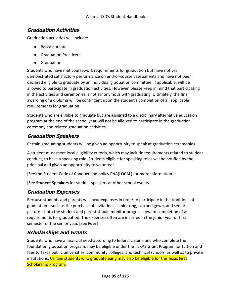#### **Graduation Activities**

Graduation activities will include:

- Baccalaureate
- Graduation Practice(s)
- Graduation

Students who have met coursework requirements for graduation but have not yet demonstrated satisfactory performance on end-of-course assessments and have not been declared eligible to graduate by an individual graduation committee, if applicable, will be allowed to participate in graduation activities. However, please keep in mind that participating in the activities and ceremonies is not synonymous with graduating. Ultimately, the final awarding of a diploma will be contingent upon the student's completion of all applicable requirements for graduation.

Students who are eligible to graduate but are assigned to a disciplinary alternative education program at the end of the school year will not be allowed to participate in the graduation ceremony and related graduation activities.

### **Graduation Speakers**

Certain graduating students will be given an opportunity to speak at graduation ceremonies.

A student must meet local eligibility criteria, which may include requirements related to student conduct, to have a speaking role. Students eligible for speaking roles will be notified by the principal and given an opportunity to volunteer.

[See the Student Code of Conduct and policy FNA(LOCAL) for more information.]

[See **Student Speakers** for student speakers at other school events.]

## **Graduation Expenses**

Because students and parents will incur expenses in order to participate in the traditions of graduation—such as the purchase of invitations, senior ring, cap and gown, and senior picture—both the student and parent should monitor progress toward completion of all requirements for graduation. The expenses often are incurred in the junior year or first semester of the senior year. [See **Fees**]

## **Scholarships and Grants**

Students who have a financial need according to federal criteria and who complete the foundation graduation program, may be eligible under the TEXAS Grant Program for tuition and fees to Texas public universities, community colleges, and technical schools, as well as to private institutions. Certain students who graduate early may also be eligible for the Texas First Scholarship Program.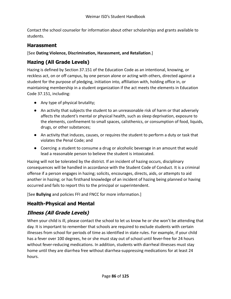Contact the school counselor for information about other scholarships and grants available to students.

#### **Harassment**

[See **Dating Violence, Discrimination, Harassment, and Retaliation**.]

# **Hazing (All Grade Levels)**

Hazing is defined by Section 37.151 of the Education Code as an intentional, knowing, or reckless act, on or off campus, by one person alone or acting with others, directed against a student for the purpose of pledging, initiation into, affiliation with, holding office in, or maintaining membership in a student organization if the act meets the elements in Education Code 37.151, including:

- Any type of physical brutality;
- An activity that subjects the student to an unreasonable risk of harm or that adversely affects the student's mental or physical health, such as sleep deprivation, exposure to the elements, confinement to small spaces, calisthenics, or consumption of food, liquids, drugs, or other substances;
- An activity that induces, causes, or requires the student to perform a duty or task that violates the Penal Code; and
- Coercing a student to consume a drug or alcoholic beverage in an amount that would lead a reasonable person to believe the student is intoxicated.

Hazing will not be tolerated by the district. If an incident of hazing occurs, disciplinary consequences will be handled in accordance with the Student Code of Conduct. It is a criminal offense if a person engages in hazing; solicits, encourages, directs, aids, or attempts to aid another in hazing; or has firsthand knowledge of an incident of hazing being planned or having occurred and fails to report this to the principal or superintendent.

[See **Bullying** and policies FFI and FNCC for more information.]

## **Health-Physical and Mental**

# **Illness (All Grade Levels)**

When your child is ill, please contact the school to let us know he or she won't be attending that day. It is important to remember that schools are required to exclude students with certain illnesses from school for periods of time as identified in state rules. For example, if your child has a fever over 100 degrees, he or she must stay out of school until fever-free for 24 hours without fever-reducing medications. In addition, students with diarrheal illnesses must stay home until they are diarrhea free without diarrhea-suppressing medications for at least 24 hours.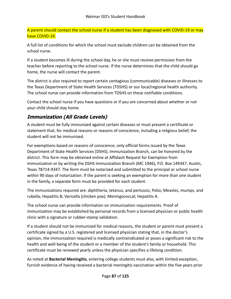A parent should contact the school nurse if a student has been diagnosed with COVID-19 or may have COVID-19.

A full list of conditions for which the school must exclude children can be obtained from the school nurse.

If a student becomes ill during the school day, he or she must receive permission from the teacher before reporting to the school nurse. If the nurse determines that the child should go home, the nurse will contact the parent.

The district is also required to report certain contagious (communicable) diseases or illnesses to the Texas Department of State Health Services (TDSHS) or our local/regional health authority. The school nurse can provide information from TDSHS on these notifiable conditions.

Contact the school nurse if you have questions or if you are concerned about whether or not your child should stay home.

## **Immunization (All Grade Levels)**

A student must be fully immunized against certain diseases or must present a certificate or statement that, for medical reasons or reasons of conscience, including a religious belief, the student will not be immunized.

For exemptions based on reasons of conscience, only official forms issued by the Texas Department of State Health Services (DSHS), Immunization Branch, can be honored by the district. This form may be obtained online at Affidavit Request for Exemption from immunization or by writing the DSHS Immunization Branch (MC 1946), P.O. Box 149347, Austin, Texas 78714-9347. The form must be notarized and submitted to the principal or school nurse within 90 days of notarization. If the parent is seeking an exemption for more than one student in the family, a separate form must be provided for each student.

The immunizations required are: diphtheria, tetanus, and pertussis; Polio; Measles, mumps, and rubella; Hepatitis B; Varicella (chicken pox); Meningococcal; Hepatitis A.

The school nurse can provide information on immunization requirements. Proof of immunization may be established by personal records from a licensed physician or public health clinic with a signature or rubber-stamp validation.

If a student should not be immunized for medical reasons, the student or parent must present a certificate signed by a U.S. registered and licensed physician stating that, in the doctor's opinion, the immunization required is medically contraindicated or poses a significant risk to the health and well-being of the student or a member of the student's family or household. This certificate must be renewed yearly unless the physician specifies a lifelong condition.

As noted at **Bacterial Meningitis**, entering college students must also, with limited exception, furnish evidence of having received a bacterial meningitis vaccination within the five years prior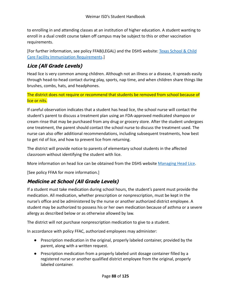to enrolling in and attending classes at an institution of higher education. A student wanting to enroll in a dual credit course taken off campus may be subject to this or other vaccination requirements.

[For further information, see policy FFAB(LEGAL) and the DSHS website: [Texas School & Child](http://www.dshs.state.tx.us/immunize/school/default.shtm) [Care Facility Immunization Requirements](http://www.dshs.state.tx.us/immunize/school/default.shtm).]

### **Lice (All Grade Levels)**

Head lice is very common among children. Although not an illness or a disease, it spreads easily through head-to-head contact during play, sports, nap time, and when children share things like brushes, combs, hats, and headphones.

The district does not require or recommend that students be removed from school because of lice or nits.

If careful observation indicates that a student has head lice, the school nurse will contact the student's parent to discuss a treatment plan using an FDA-approved medicated shampoo or cream rinse that may be purchased from any drug or grocery store. After the student undergoes one treatment, the parent should contact the school nurse to discuss the treatment used. The nurse can also offer additional recommendations, including subsequent treatments, how best to get rid of lice, and how to prevent lice from returning.

The district will provide notice to parents of elementary school students in the affected classroom without identifying the student with lice.

More information on head lice can be obtained from the DSHS website [Managing Head Lice.](http://www.dshs.state.tx.us/schoolhealth/lice.shtm)

[See policy FFAA for more information.]

### **Medicine at School (All Grade Levels)**

If a student must take medication during school hours, the student's parent must provide the medication. All medication, whether prescription or nonprescription, must be kept in the nurse's office and be administered by the nurse or another authorized district employee. A student may be authorized to possess his or her own medication because of asthma or a severe allergy as described below or as otherwise allowed by law.

The district will not purchase nonprescription medication to give to a student.

In accordance with policy FFAC, authorized employees may administer:

- Prescription medication in the original, properly labeled container, provided by the parent, along with a written request.
- Prescription medication from a properly labeled unit dosage container filled by a registered nurse or another qualified district employee from the original, properly labeled container.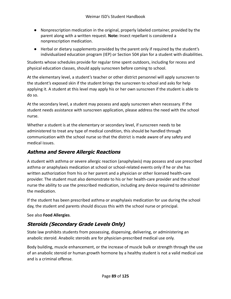- Nonprescription medication in the original, properly labeled container, provided by the parent along with a written request. **Note:** Insect repellant is considered a nonprescription medication.
- Herbal or dietary supplements provided by the parent only if required by the student's individualized education program (IEP) or Section 504 plan for a student with disabilities.

Students whose schedules provide for regular time spent outdoors, including for recess and physical education classes, should apply sunscreen before coming to school.

At the elementary level, a student's teacher or other district personnel will apply sunscreen to the student's exposed skin if the student brings the sunscreen to school and asks for help applying it. A student at this level may apply his or her own sunscreen if the student is able to do so.

At the secondary level, a student may possess and apply sunscreen when necessary. If the student needs assistance with sunscreen application, please address the need with the school nurse.

Whether a student is at the elementary or secondary level, if sunscreen needs to be administered to treat any type of medical condition, this should be handled through communication with the school nurse so that the district is made aware of any safety and medical issues.

## **Asthma and Severe Allergic Reactions**

A student with asthma or severe allergic reaction (anaphylaxis) may possess and use prescribed asthma or anaphylaxis medication at school or school-related events only if he or she has written authorization from his or her parent and a physician or other licensed health-care provider. The student must also demonstrate to his or her health-care provider and the school nurse the ability to use the prescribed medication, including any device required to administer the medication.

If the student has been prescribed asthma or anaphylaxis medication for use during the school day, the student and parents should discuss this with the school nurse or principal.

See also **Food Allergies**.

## **Steroids (Secondary Grade Levels Only)**

State law prohibits students from possessing, dispensing, delivering, or administering an anabolic steroid. Anabolic steroids are for physician-prescribed medical use only.

Body building, muscle enhancement, or the increase of muscle bulk or strength through the use of an anabolic steroid or human growth hormone by a healthy student is not a valid medical use and is a criminal offense.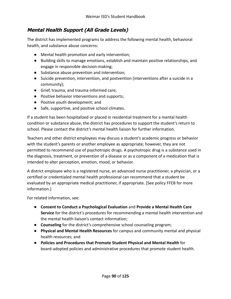### **Mental Health Support (All Grade Levels)**

The district has implemented programs to address the following mental health, behavioral health, and substance abuse concerns:

- Mental health promotion and early intervention;
- Building skills to manage emotions, establish and maintain positive relationships, and engage in responsible decision-making;
- Substance abuse prevention and intervention;
- Suicide prevention, intervention, and postvention (interventions after a suicide in a community);
- Grief, trauma, and trauma-informed care;
- Positive behavior interventions and supports;
- Positive youth development; and
- Safe, supportive, and positive school climates.

If a student has been hospitalized or placed in residential treatment for a mental health condition or substance abuse, the district has procedures to support the student's return to school. Please contact the district's mental health liaison for further information.

Teachers and other district employees may discuss a student's academic progress or behavior with the student's parents or another employee as appropriate; however, they are not permitted to recommend use of psychotropic drugs. A psychotropic drug is a substance used in the diagnosis, treatment, or prevention of a disease or as a component of a medication that is intended to alter perception, emotion, mood, or behavior.

A district employee who is a registered nurse, an advanced nurse practitioner, a physician, or a certified or credentialed mental health professional can recommend that a student be evaluated by an appropriate medical practitioner, if appropriate. [See policy FFEB for more information.]

For related information, see:

- **Consent to Conduct a Psychological Evaluation** and **Provide a Mental Health Care Service** for the district's procedures for recommending a mental health intervention and the mental health liaison's contact information;
- **Counseling** for the district's comprehensive school counseling program;
- **Physical and Mental Health Resources** for campus and community mental and physical health resources; and
- **Policies and Procedures that Promote Student Physical and Mental Health** for board-adopted policies and administrative procedures that promote student health.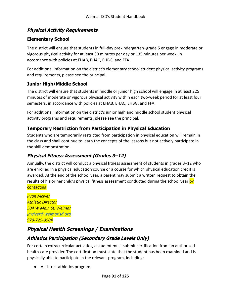#### **Physical Activity Requirements**

#### **Elementary School**

The district will ensure that students in full-day prekindergarten–grade 5 engage in moderate or vigorous physical activity for at least 30 minutes per day or 135 minutes per week, in accordance with policies at EHAB, EHAC, EHBG, and FFA.

For additional information on the district's elementary school student physical activity programs and requirements, please see the principal.

#### **Junior High/Middle School**

The district will ensure that students in middle or junior high school will engage in at least 225 minutes of moderate or vigorous physical activity within each two-week period for at least four semesters, in accordance with policies at EHAB, EHAC, EHBG, and FFA.

For additional information on the district's junior high and middle school student physical activity programs and requirements, please see the principal.

#### **Temporary Restriction from Participation in Physical Education**

Students who are temporarily restricted from participation in physical education will remain in the class and shall continue to learn the concepts of the lessons but not actively participate in the skill demonstration.

#### **Physical Fitness Assessment (Grades 3–12)**

Annually, the district will conduct a physical fitness assessment of students in grades 3–12 who are enrolled in a physical education course or a course for which physical education credit is awarded. At the end of the school year, a parent may submit a written request to obtain the results of his or her child's physical fitness assessment conducted during the school year by **contacting** 

*Ryan McIver Athletic Director 504 W Main St. Weimar [jmciver@weimarisd.org](mailto:jmciver@weimarisd.org) 979-725-9504*

### **Physical Health Screenings / Examinations**

#### **Athletics Participation (Secondary Grade Levels Only)**

For certain extracurricular activities, a student must submit certification from an authorized health-care provider. The certification must state that the student has been examined and is physically able to participate in the relevant program, including:

● A district athletics program.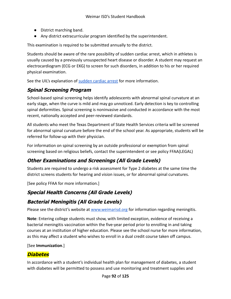- District marching band.
- Any district extracurricular program identified by the superintendent.

This examination is required to be submitted annually to the district.

Students should be aware of the rare possibility of sudden cardiac arrest, which in athletes is usually caused by a previously unsuspected heart disease or disorder. A student may request an electrocardiogram (ECG or EKG) to screen for such disorders, in addition to his or her required physical examination.

See the UIL's explanation of [sudden cardiac arrest](https://www.uiltexas.org/health/info/sudden-cardiac-death) for more information.

### **Spinal Screening Program**

School-based spinal screening helps identify adolescents with abnormal spinal curvature at an early stage, when the curve is mild and may go unnoticed. Early detection is key to controlling spinal deformities. Spinal screening is noninvasive and conducted in accordance with the most recent, nationally accepted and peer-reviewed standards.

All students who meet the Texas Department of State Health Services criteria will be screened for abnormal spinal curvature before the end of the school year. As appropriate, students will be referred for follow-up with their physician.

For information on spinal screening by an outside professional or exemption from spinal screening based on religious beliefs, contact the superintendent or see policy FFAA(LEGAL)

## **Other Examinations and Screenings (All Grade Levels)**

Students are required to undergo a risk assessment for Type 2 diabetes at the same time the district screens students for hearing and vision issues, or for abnormal spinal curvatures.

[See policy FFAA for more information.]

## **Special Health Concerns (All Grade Levels)**

### **Bacterial Meningitis (All Grade Levels)**

Please see the district's website at [www.weimarisd.org](http://www.weimarisd.org) for information regarding meningitis.

**Note**: Entering college students must show, with limited exception, evidence of receiving a bacterial meningitis vaccination within the five-year period prior to enrolling in and taking courses at an institution of higher education. Please see the school nurse for more information, as this may affect a student who wishes to enroll in a dual credit course taken off campus.

#### [See **Immunization**.]

#### **Diabetes**

In accordance with a student's individual health plan for management of diabetes, a student with diabetes will be permitted to possess and use monitoring and treatment supplies and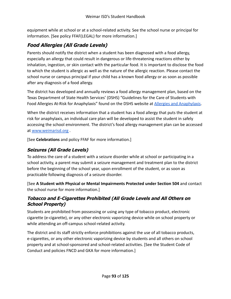equipment while at school or at a school-related activity. See the school nurse or principal for information. [See policy FFAF(LEGAL) for more information.]

# **Food Allergies (All Grade Levels)**

Parents should notify the district when a student has been diagnosed with a food allergy, especially an allergy that could result in dangerous or life-threatening reactions either by inhalation, ingestion, or skin contact with the particular food. It is important to disclose the food to which the student is allergic as well as the nature of the allergic reaction. Please contact the school nurse or campus principal if your child has a known food allergy or as soon as possible after any diagnosis of a food allergy.

The district has developed and annually reviews a food allergy management plan, based on the Texas Department of State Health Services' (DSHS) "Guidelines for the Care of Students with Food Allergies At-Risk for Anaphylaxis" found on the DSHS website at [Allergies and Anaphylaxis](https://www.dshs.texas.gov/schoolhealth/allergiesandanaphylaxis/).

When the district receives information that a student has a food allergy that puts the student at risk for anaphylaxis, an individual care plan will be developed to assist the student in safely accessing the school environment. The district's food allergy management plan can be accessed at [www.weimarisd.org](http://www.weimarisd.org) .

[See **Celebrations** and policy FFAF for more information.]

#### **Seizures (All Grade Levels)**

To address the care of a student with a seizure disorder while at school or participating in a school activity, a parent may submit a seizure management and treatment plan to the district before the beginning of the school year, upon enrollment of the student, or as soon as practicable following diagnosis of a seizure disorder.

[See **A Student with Physical or Mental Impairments Protected under Section 504** and contact the school nurse for more information.]

#### **Tobacco and E-Cigarettes Prohibited (All Grade Levels and All Others on School Property)**

Students are prohibited from possessing or using any type of tobacco product, electronic cigarette (e-cigarette), or any other electronic vaporizing device while on school property or while attending an off-campus school-related activity.

The district and its staff strictly enforce prohibitions against the use of all tobacco products, e-cigarettes, or any other electronic vaporizing device by students and all others on school property and at school-sponsored and school-related activities. [See the Student Code of Conduct and policies FNCD and GKA for more information.]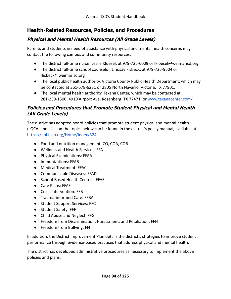### **Health-Related Resources, Policies, and Procedures**

#### **Physical and Mental Health Resources (All Grade Levels)**

Parents and students in need of assistance with physical and mental health concerns may contact the following campus and community resources:

- The district full-time nurse, Leslie Kloesel, at 979-725-6009 or Ikloesel@weimarisd.org
- The district full-time school counselor, Lindsay Fisbeck, at 979-725-9504 or lfisbeck@weimarisd.org
- The local public health authority, Victoria County Public Health Department, which may be contacted at 361-578-6281 or 2805 North Navarro, Victoria, TX 77901.
- The local mental health authority, Texana Center, which may be contacted at 281-239-1300, 4910 Airport Ave. Rosenberg, TX 77471, or [www.texanacenter.com/](http://www.texanacenter.com/)

#### **Policies and Procedures that Promote Student Physical and Mental Health (All Grade Levels)**

The district has adopted board policies that promote student physical and mental health. (LOCAL) policies on the topics below can be found in the district's policy manual, available at <https://pol.tasb.org/Home/Index/324>

- Food and nutrition management: CO, COA, COB
- Wellness and Health Services: FFA
- Physical Examinations: FFAA
- Immunizations: FFAB
- Medical Treatment: FFAC
- Communicable Diseases: FFAD
- School-Based Health Centers: FFAE
- Care Plans: FFAF
- Crisis Intervention: FFB
- Trauma-informed Care: FFBA
- Student Support Services: FFC
- Student Safety: FFF
- Child Abuse and Neglect: FFG
- Freedom from Discrimination, Harassment, and Retaliation: FFH
- Freedom from Bullying: FFI

In addition, the District Improvement Plan details the district's strategies to improve student performance through evidence-based practices that address physical and mental health.

The district has developed administrative procedures as necessary to implement the above policies and plans.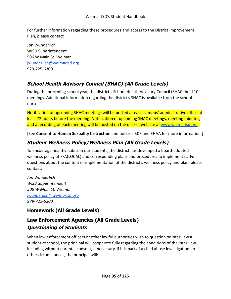For further information regarding these procedures and access to the District Improvement Plan, please contact

Jon Wunderlich WISD Superintendent 506 W Main St. Weimar [jwunderlich@weimarisd.org](mailto:jwunderlich@weimarisd.org) 979-725-6300

# **School Health Advisory Council (SHAC) (All Grade Levels)**

During the preceding school year, the district's School Health Advisory Council (SHAC) held 10 meetings. Additional information regarding the district's SHAC is available from the school nurse.

Notification of upcoming SHAC meetings will be posted at each campus' administrative office at least 72 hours before the meeting. Notification of upcoming SHAC meetings, meeting minutes, and a recording of each meeting will be posted on the district website at [www.weimarisd.org](http://www.weimarisd.org).

[See **Consent to Human Sexuality Instruction** and policies BDF and EHAA for more information.]

### **Student Wellness Policy/Wellness Plan (All Grade Levels)**

To encourage healthy habits in our students, the district has developed a board-adopted wellness policy at FFA(LOCAL) and corresponding plans and procedures to implement it. For questions about the content or implementation of the district's wellness policy and plan, please contact:

*Jon Wunderlich WISD Superintendent 506 W Main St. Weimar [jwunderlich@weimarisd.org](mailto:jwunderlich@weimarisd.org) 979-725-6300*

## **Homework (All Grade Levels)**

# **Law Enforcement Agencies (All Grade Levels) Questioning of Students**

When law enforcement officers or other lawful authorities wish to question or interview a student at school, the principal will cooperate fully regarding the conditions of the interview, including without parental consent, if necessary, if it is part of a child abuse investigation. In other circumstances, the principal will: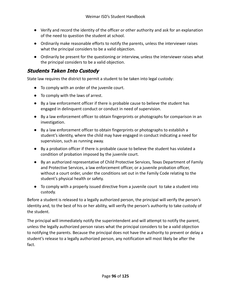- Verify and record the identity of the officer or other authority and ask for an explanation of the need to question the student at school.
- Ordinarily make reasonable efforts to notify the parents, unless the interviewer raises what the principal considers to be a valid objection.
- Ordinarily be present for the questioning or interview, unless the interviewer raises what the principal considers to be a valid objection.

#### **Students Taken Into Custody**

State law requires the district to permit a student to be taken into legal custody:

- To comply with an order of the juvenile court.
- To comply with the laws of arrest.
- By a law enforcement officer if there is probable cause to believe the student has engaged in delinquent conduct or conduct in need of supervision.
- By a law enforcement officer to obtain fingerprints or photographs for comparison in an investigation.
- By a law enforcement officer to obtain fingerprints or photographs to establish a student's identity, where the child may have engaged in conduct indicating a need for supervision, such as running away.
- By a probation officer if there is probable cause to believe the student has violated a condition of probation imposed by the juvenile court.
- By an authorized representative of Child Protective Services, Texas Department of Family and Protective Services, a law enforcement officer, or a juvenile probation officer, without a court order, under the conditions set out in the Family Code relating to the student's physical health or safety.
- To comply with a properly issued directive from a juvenile court to take a student into custody.

Before a student is released to a legally authorized person, the principal will verify the person's identity and, to the best of his or her ability, will verify the person's authority to take custody of the student.

The principal will immediately notify the superintendent and will attempt to notify the parent, unless the legally authorized person raises what the principal considers to be a valid objection to notifying the parents. Because the principal does not have the authority to prevent or delay a student's release to a legally authorized person, any notification will most likely be after the fact.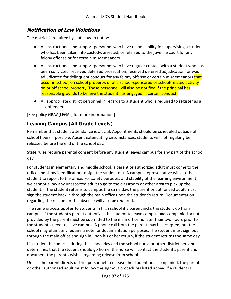### **Notification of Law Violations**

The district is required by state law to notify:

- All instructional and support personnel who have responsibility for supervising a student who has been taken into custody, arrested, or referred to the juvenile court for any felony offense or for certain misdemeanors.
- All instructional and support personnel who have regular contact with a student who has been convicted, received deferred prosecution, received deferred adjudication, or was adjudicated for delinquent conduct for any felony offense or certain misdemeanors that occur in school, on school property, or at a school-sponsored or school-related activity on or off school property. These personnel will also be notified if the principal has reasonable grounds to believe the student has engaged in certain conduct.
- All appropriate district personnel in regards to a student who is required to register as a sex offender.

[See policy GRAA(LEGAL) for more information.]

#### **Leaving Campus (All Grade Levels)**

Remember that student attendance is crucial. Appointments should be scheduled outside of school hours if possible. Absent extenuating circumstances, students will not regularly be released before the end of the school day.

State rules require parental consent before any student leaves campus for any part of the school day.

For students in elementary and middle school, a parent or authorized adult must come to the office and show identification to sign the student out. A campus representative will ask the student to report to the office. For safety purposes and stability of the learning environment, we cannot allow any unescorted adult to go to the classroom or other area to pick up the student. If the student returns to campus the same day, the parent or authorized adult must sign the student back in through the main office upon the student's return. Documentation regarding the reason for the absence will also be required.

The same process applies to students in high school if a parent picks the student up from campus. If the student's parent authorizes the student to leave campus unaccompanied, a note provided by the parent must be submitted to the main office no later than two hours prior to the student's need to leave campus. A phone call from the parent may be accepted, but the school may ultimately require a note for documentation purposes. The student must sign out through the main office and sign in upon his or her return, if the student returns the same day.

If a student becomes ill during the school day and the school nurse or other district personnel determines that the student should go home, the nurse will contact the student's parent and document the parent's wishes regarding release from school.

Unless the parent directs district personnel to release the student unaccompanied, the parent or other authorized adult must follow the sign-out procedures listed above. If a student is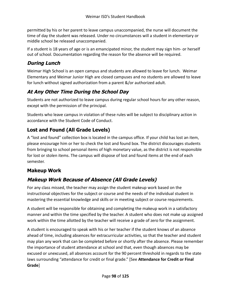permitted by his or her parent to leave campus unaccompanied, the nurse will document the time of day the student was released. Under no circumstances will a student in elementary or middle school be released unaccompanied.

If a student is 18 years of age or is an emancipated minor, the student may sign him- or herself out of school. Documentation regarding the reason for the absence will be required.

### **During Lunch**

Weimar High School is an open campus and students are allowed to leave for lunch. Weimar Elementary and Weimar Junior High are closed campuses and no students are allowed to leave for lunch without signed authorization from a parent &/or authorized adult.

## **At Any Other Time During the School Day**

Students are not authorized to leave campus during regular school hours for any other reason, except with the permission of the principal.

Students who leave campus in violation of these rules will be subject to disciplinary action in accordance with the Student Code of Conduct.

### **Lost and Found (All Grade Levels)**

A "lost and found" collection box is located in the campus office. If your child has lost an item, please encourage him or her to check the lost and found box. The district discourages students from bringing to school personal items of high monetary value, as the district is not responsible for lost or stolen items. The campus will dispose of lost and found items at the end of each semester.

### **Makeup Work**

## **Makeup Work Because of Absence (All Grade Levels)**

For any class missed, the teacher may assign the student makeup work based on the instructional objectives for the subject or course and the needs of the individual student in mastering the essential knowledge and skills or in meeting subject or course requirements.

A student will be responsible for obtaining and completing the makeup work in a satisfactory manner and within the time specified by the teacher. A student who does not make up assigned work within the time allotted by the teacher will receive a grade of zero for the assignment.

A student is encouraged to speak with his or her teacher if the student knows of an absence ahead of time, including absences for extracurricular activities, so that the teacher and student may plan any work that can be completed before or shortly after the absence. Please remember the importance of student attendance at school and that, even though absences may be excused or unexcused, all absences account for the 90 percent threshold in regards to the state laws surrounding "attendance for credit or final grade." [See **Attendance for Credit or Final Grade**]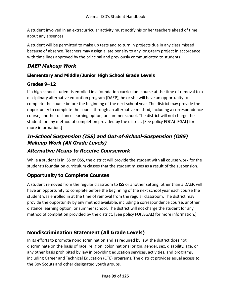A student involved in an extracurricular activity must notify his or her teachers ahead of time about any absences.

A student will be permitted to make up tests and to turn in projects due in any class missed because of absence. Teachers may assign a late penalty to any long-term project in accordance with time lines approved by the principal and previously communicated to students.

### **DAEP Makeup Work**

#### **Elementary and Middle/Junior High School Grade Levels**

#### **Grades 9–12**

If a high school student is enrolled in a foundation curriculum course at the time of removal to a disciplinary alternative education program (DAEP), he or she will have an opportunity to complete the course before the beginning of the next school year. The district may provide the opportunity to complete the course through an alternative method, including a correspondence course, another distance learning option, or summer school. The district will not charge the student for any method of completion provided by the district. [See policy FOCA(LEGAL) for more information.]

# **In-School Suspension (ISS) and Out-of-School-Suspension (OSS) Makeup Work (All Grade Levels)**

## **Alternative Means to Receive Coursework**

While a student is in ISS or OSS, the district will provide the student with all course work for the student's foundation curriculum classes that the student misses as a result of the suspension.

## **Opportunity to Complete Courses**

A student removed from the regular classroom to ISS or another setting, other than a DAEP, will have an opportunity to complete before the beginning of the next school year each course the student was enrolled in at the time of removal from the regular classroom. The district may provide the opportunity by any method available, including a correspondence course, another distance learning option, or summer school. The district will not charge the student for any method of completion provided by the district. [See policy FO(LEGAL) for more information.]

# **Nondiscrimination Statement (All Grade Levels)**

In its efforts to promote nondiscrimination and as required by law, the district does not discriminate on the basis of race, religion, color, national origin, gender, sex, disability, age, or any other basis prohibited by law in providing education services, activities, and programs, including Career and Technical Education (CTE) programs. The district provides equal access to the Boy Scouts and other designated youth groups.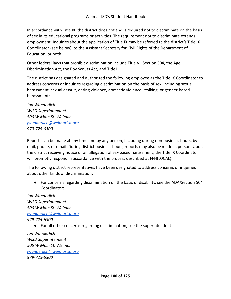In accordance with Title IX, the district does not and is required not to discriminate on the basis of sex in its educational programs or activities. The requirement not to discriminate extends employment. Inquiries about the application of Title IX may be referred to the district's Title IX Coordinator (see below), to the Assistant Secretary for Civil Rights of the Department of Education, or both.

Other federal laws that prohibit discrimination include Title VI, Section 504, the Age Discrimination Act, the Boy Scouts Act, and Title II.

The district has designated and authorized the following employee as the Title IX Coordinator to address concerns or inquiries regarding discrimination on the basis of sex, including sexual harassment, sexual assault, dating violence, domestic violence, stalking, or gender-based harassment:

*Jon Wunderlich WISD Superintendent 506 W Main St. Weimar [jwunderlich@weimarisd.org](mailto:jwunderlich@weimarisd.org) 979-725-6300*

Reports can be made at any time and by any person, including during non-business hours, by mail, phone, or email. During district business hours, reports may also be made in person. Upon the district receiving notice or an allegation of sex-based harassment, the Title IX Coordinator will promptly respond in accordance with the process described at FFH(LOCAL).

The following district representatives have been designated to address concerns or inquiries about other kinds of discrimination:

● For concerns regarding discrimination on the basis of disability, see the ADA/Section 504 Coordinator:

*Jon Wunderlich WISD Superintendent 506 W Main St. Weimar [jwunderlich@weimarisd.org](mailto:jwunderlich@weimarisd.org) 979-725-6300* ● For all other concerns regarding discrimination, see the superintendent:

*Jon Wunderlich WISD Superintendent 506 W Main St. Weimar [jwunderlich@weimarisd.org](mailto:jwunderlich@weimarisd.org) 979-725-6300*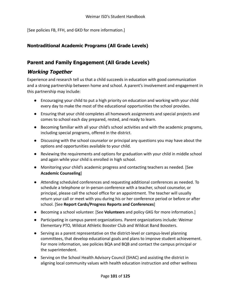[See policies FB, FFH, and GKD for more information.]

#### **Nontraditional Academic Programs (All Grade Levels)**

### **Parent and Family Engagement (All Grade Levels)**

#### **Working Together**

Experience and research tell us that a child succeeds in education with good communication and a strong partnership between home and school. A parent's involvement and engagement in this partnership may include:

- Encouraging your child to put a high priority on education and working with your child every day to make the most of the educational opportunities the school provides.
- Ensuring that your child completes all homework assignments and special projects and comes to school each day prepared, rested, and ready to learn.
- Becoming familiar with all your child's school activities and with the academic programs, including special programs, offered in the district.
- Discussing with the school counselor or principal any questions you may have about the options and opportunities available to your child.
- Reviewing the requirements and options for graduation with your child in middle school and again while your child is enrolled in high school.
- Monitoring your child's academic progress and contacting teachers as needed. [See **Academic Counseling**]
- Attending scheduled conferences and requesting additional conferences as needed. To schedule a telephone or in-person conference with a teacher, school counselor, or principal, please call the school office for an appointment. The teacher will usually return your call or meet with you during his or her conference period or before or after school. [See **Report Cards/Progress Reports and Conferences**]
- Becoming a school volunteer. [See **Volunteers** and policy GKG for more information.]
- Participating in campus parent organizations. Parent organizations include: Weimar Elementary PTO, Wildcat Athletic Booster Club and Wildcat Band Boosters.
- Serving as a parent representative on the district-level or campus-level planning committees, that develop educational goals and plans to improve student achievement. For more information, see policies BQA and BQB and contact the campus principal or the superintendent.
- Serving on the School Health Advisory Council (SHAC) and assisting the district in aligning local community values with health education instruction and other wellness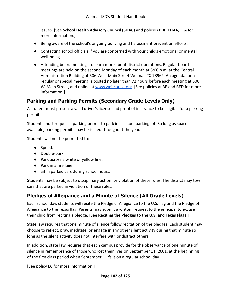issues. [See **School Health Advisory Council (SHAC)** and policies BDF, EHAA, FFA for more information.]

- Being aware of the school's ongoing bullying and harassment prevention efforts.
- Contacting school officials if you are concerned with your child's emotional or mental well-being.
- Attending board meetings to learn more about district operations. Regular board meetings are held on the second Monday of each month at 6:00 p.m. at the Central Administration Building at 506 West Main Street Weimar, TX 78962. An agenda for a regular or special meeting is posted no later than 72 hours before each meeting at 506 W. Main Street, and online at [www.weimarisd.org.](http://www.weimarisd.org) [See policies at BE and BED for more information.]

### **Parking and Parking Permits (Secondary Grade Levels Only)**

A student must present a valid driver's license and proof of insurance to be eligible for a parking permit.

Students must request a parking permit to park in a school parking lot. So long as space is available, parking permits may be issued throughout the year.

Students will not be permitted to:

- Speed.
- Double-park.
- Park across a white or yellow line.
- Park in a fire lane.
- Sit in parked cars during school hours.

Students may be subject to disciplinary action for violation of these rules. The district may tow cars that are parked in violation of these rules.

### **Pledges of Allegiance and a Minute of Silence (All Grade Levels)**

Each school day, students will recite the Pledge of Allegiance to the U.S. flag and the Pledge of Allegiance to the Texas flag. Parents may submit a written request to the principal to excuse their child from reciting a pledge. [See **Reciting the Pledges to the U.S. and Texas Flags**.]

State law requires that one minute of silence follow recitation of the pledges. Each student may choose to reflect, pray, meditate, or engage in any other silent activity during that minute so long as the silent activity does not interfere with or distract others.

In addition, state law requires that each campus provide for the observance of one minute of silence in remembrance of those who lost their lives on September 11, 2001, at the beginning of the first class period when September 11 falls on a regular school day.

[See policy EC for more information.]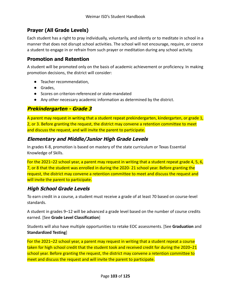### **Prayer (All Grade Levels)**

Each student has a right to pray individually, voluntarily, and silently or to meditate in school in a manner that does not disrupt school activities. The school will not encourage, require, or coerce a student to engage in or refrain from such prayer or meditation during any school activity.

#### **Promotion and Retention**

A student will be promoted only on the basis of academic achievement or proficiency. In making promotion decisions, the district will consider:

- Teacher recommendation,
- Grades,
- Scores on criterion-referenced or state-mandated
- Any other necessary academic information as determined by the district.

### **Prekindergarten - Grade 3**

A parent may request in writing that a student repeat prekindergarten, kindergarten, or grade 1, 2, or 3. Before granting the request, the district may convene a retention committee to meet and discuss the request, and will invite the parent to participate.

### **Elementary and Middle/Junior High Grade Levels**

In grades K-8, promotion is based on mastery of the state curriculum or Texas Essential Knowledge of Skills.

For the 2021–22 school year, a parent may request in writing that a student repeat grade 4, 5, 6, 7, or 8 that the student was enrolled in during the 2020- 21 school year. Before granting the request, the district may convene a retention committee to meet and discuss the request and will invite the parent to participate.

## **High School Grade Levels**

To earn credit in a course, a student must receive a grade of at least 70 based on course-level standards.

A student in grades 9–12 will be advanced a grade level based on the number of course credits earned. [See **Grade Level Classification**]

Students will also have multiple opportunities to retake EOC assessments. [See **Graduation** and **Standardized Testing**]

For the 2021–22 school year, a parent may request in writing that a student repeat a course taken for high school credit that the student took and received credit for during the 2020–21 school year. Before granting the request, the district may convene a retention committee to meet and discuss the request and will invite the parent to participate.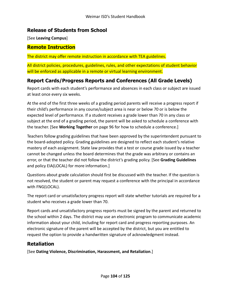#### **Release of Students from School**

[See **Leaving Campus**]

#### **Remote Instruction**

The district may offer remote instruction in accordance with TEA guidelines.

All district policies, procedures, guidelines, rules, and other expectations of student behavior will be enforced as applicable in a remote or virtual learning environment.

## **Report Cards/Progress Reports and Conferences (All Grade Levels)**

Report cards with each student's performance and absences in each class or subject are issued at least once every six weeks.

At the end of the first three weeks of a grading period parents will receive a progress report if their child's performance in any course/subject area is near or below 70 or is below the expected level of performance. If a student receives a grade lower than 70 in any class or subject at the end of a grading period, the parent will be asked to schedule a conference with the teacher. [See **Working Together** on page 96 for how to schedule a conference.]

Teachers follow grading guidelines that have been approved by the superintendent pursuant to the board-adopted policy. Grading guidelines are designed to reflect each student's relative mastery of each assignment. State law provides that a test or course grade issued by a teacher cannot be changed unless the board determines that the grade was arbitrary or contains an error, or that the teacher did not follow the district's grading policy. [See **Grading Guidelines** and policy EIA(LOCAL) for more information.]

Questions about grade calculation should first be discussed with the teacher. If the question is not resolved, the student or parent may request a conference with the principal in accordance with FNG(LOCAL).

The report card or unsatisfactory progress report will state whether tutorials are required for a student who receives a grade lower than 70.

Report cards and unsatisfactory progress reports must be signed by the parent and returned to the school within 2 days. The district may use an electronic program to communicate academic information about your child, including for report card and progress reporting purposes. An electronic signature of the parent will be accepted by the district, but you are entitled to request the option to provide a handwritten signature of acknowledgment instead.

### **Retaliation**

[See **Dating Violence, Discrimination, Harassment, and Retaliation**.]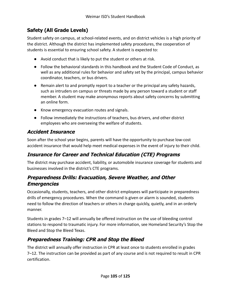# **Safety (All Grade Levels)**

Student safety on campus, at school-related events, and on district vehicles is a high priority of the district. Although the district has implemented safety procedures, the cooperation of students is essential to ensuring school safety. A student is expected to:

- Avoid conduct that is likely to put the student or others at risk.
- Follow the behavioral standards in this handbook and the Student Code of Conduct, as well as any additional rules for behavior and safety set by the principal, campus behavior coordinator, teachers, or bus drivers.
- Remain alert to and promptly report to a teacher or the principal any safety hazards, such as intruders on campus or threats made by any person toward a student or staff member. A student may make anonymous reports about safety concerns by submitting an online form.
- Know emergency evacuation routes and signals.
- Follow immediately the instructions of teachers, bus drivers, and other district employees who are overseeing the welfare of students.

### **Accident Insurance**

Soon after the school year begins, parents will have the opportunity to purchase low-cost accident insurance that would help meet medical expenses in the event of injury to their child.

## **Insurance for Career and Technical Education (CTE) Programs**

The district may purchase accident, liability, or automobile insurance coverage for students and businesses involved in the district's CTE programs.

### **Preparedness Drills: Evacuation, Severe Weather, and Other Emergencies**

Occasionally, students, teachers, and other district employees will participate in preparedness drills of emergency procedures. When the command is given or alarm is sounded, students need to follow the direction of teachers or others in charge quickly, quietly, and in an orderly manner.

Students in grades 7–12 will annually be offered instruction on the use of bleeding control stations to respond to traumatic injury. For more information, see Homeland Security's Stop the Bleed and Stop the Bleed Texas.

## **Preparedness Training: CPR and Stop the Bleed**

The district will annually offer instruction in CPR at least once to students enrolled in grades 7–12. The instruction can be provided as part of any course and is not required to result in CPR certification.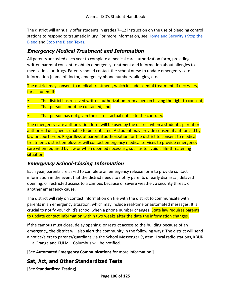The district will annually offer students in grades 7–12 instruction on the use of bleeding control stations to respond to traumatic injury. For more information, see **[Homeland Security's Stop the](https://www.dhs.gov/stopthebleed)** [Bleed](https://www.dhs.gov/stopthebleed) and [Stop the Bleed Texas](https://stopthebleedtx.org/).

#### **Emergency Medical Treatment and Information**

All parents are asked each year to complete a medical care authorization form, providing written parental consent to obtain emergency treatment and information about allergies to medications or drugs. Parents should contact the school nurse to update emergency care information (name of doctor, emergency phone numbers, allergies, etc.

The district may consent to medical treatment, which includes dental treatment, if necessary, for a student if:

- The district has received written authorization from a person having the right to consent;
- That person cannot be contacted; and
- That person has not given the district actual notice to the contrary.

The emergency care authorization form will be used by the district when a student's parent or authorized designee is unable to be contacted. A student may provide consent if authorized by law or court order. Regardless of parental authorization for the district to consent to medical treatment, district employees will contact emergency medical services to provide emergency care when required by law or when deemed necessary, such as to avoid a life-threatening situation.

### **Emergency School-Closing Information**

Each year, parents are asked to complete an emergency release form to provide contact information in the event that the district needs to notify parents of early dismissal, delayed opening, or restricted access to a campus because of severe weather, a security threat, or another emergency cause.

The district will rely on contact information on file with the district to communicate with parents in an emergency situation, which may include real-time or automated messages. It is crucial to notify your child's school when a phone number changes. State law requires parents to update contact information within two weeks after the date the information changes.

If the campus must close, delay opening, or restrict access to the building because of an emergency, the district will also alert the community in the following ways: The district will send a notice/alert to parents/guardians via the School Messenger System; Local radio stations, KBUK – La Grange and KULM – Columbus will be notified.

[See **Automated Emergency Communications** for more information.]

#### **Sat, Act, and Other Standardized Tests**

[See **Standardized Testing**]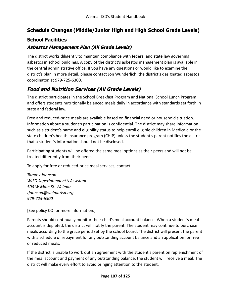### **Schedule Changes (Middle/Junior High and High School Grade Levels)**

### **School Facilities**

#### **Asbestos Management Plan (All Grade Levels)**

The district works diligently to maintain compliance with federal and state law governing asbestos in school buildings. A copy of the district's asbestos management plan is available in the central administrative office. If you have any questions or would like to examine the district's plan in more detail, please contact Jon Wunderlich, the district's designated asbestos coordinator, at 979-725-6300.

## **Food and Nutrition Services (All Grade Levels)**

The district participates in the School Breakfast Program and National School Lunch Program and offers students nutritionally balanced meals daily in accordance with standards set forth in state and federal law.

Free and reduced-price meals are available based on financial need or household situation. Information about a student's participation is confidential. The district may share information such as a student's name and eligibility status to help enroll eligible children in Medicaid or the state children's health insurance program (CHIP) unless the student's parent notifies the district that a student's information should not be disclosed.

Participating students will be offered the same meal options as their peers and will not be treated differently from their peers.

To apply for free or reduced-price meal services, contact:

*Tammy Johnson WISD Superintendent's Assistant 506 W Main St. Weimar tjohnson@weimarisd.org 979-725-6300*

[See policy CO for more information.]

Parents should continually monitor their child's meal account balance. When a student's meal account is depleted, the district will notify the parent. The student may continue to purchase meals according to the grace period set by the school board. The district will present the parent with a schedule of repayment for any outstanding account balance and an application for free or reduced meals.

If the district is unable to work out an agreement with the student's parent on replenishment of the meal account and payment of any outstanding balance, the student will receive a meal. The district will make every effort to avoid bringing attention to the student.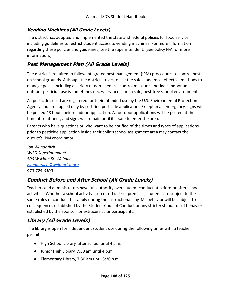#### **Vending Machines (All Grade Levels)**

The district has adopted and implemented the state and federal policies for food service, including guidelines to restrict student access to vending machines. For more information regarding these policies and guidelines, see the superintendent. [See policy FFA for more information.]

#### **Pest Management Plan (All Grade Levels)**

The district is required to follow integrated pest management (IPM) procedures to control pests on school grounds. Although the district strives to use the safest and most effective methods to manage pests, including a variety of non-chemical control measures, periodic indoor and outdoor pesticide use is sometimes necessary to ensure a safe, pest-free school environment.

All pesticides used are registered for their intended use by the U.S. Environmental Protection Agency and are applied only by certified pesticide applicators. Except in an emergency, signs will be posted 48 hours before indoor application. All outdoor applications will be posted at the time of treatment, and signs will remain until it is safe to enter the area.

Parents who have questions or who want to be notified of the times and types of applications prior to pesticide application inside their child's school assignment area may contact the district's IPM coordinator:

*Jon Wunderlich WISD Superintendent 506 W Main St. Weimar [jwunderlich@weimarisd.org](mailto:jwunderlich@weimarisd.org) 979-725-6300*

### **Conduct Before and After School (All Grade Levels)**

Teachers and administrators have full authority over student conduct at before-or after-school activities. Whether a school activity is on or off district premises, students are subject to the same rules of conduct that apply during the instructional day. Misbehavior will be subject to consequences established by the Student Code of Conduct or any stricter standards of behavior established by the sponsor for extracurricular participants.

# **Library (All Grade Levels)**

The library is open for independent student use during the following times with a teacher permit:

- High School Library, after school until 4 p.m.
- Junior High Library, 7:30 am until 4 p.m.
- Elementary Library, 7:30 am until 3:30 p.m.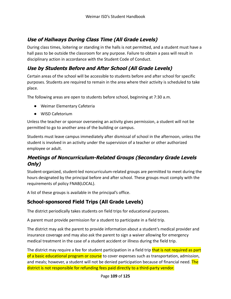# **Use of Hallways During Class Time (All Grade Levels)**

During class times, loitering or standing in the halls is not permitted, and a student must have a hall pass to be outside the classroom for any purpose. Failure to obtain a pass will result in disciplinary action in accordance with the Student Code of Conduct.

# **Use by Students Before and After School (All Grade Levels)**

Certain areas of the school will be accessible to students before and after school for specific purposes. Students are required to remain in the area where their activity is scheduled to take place.

The following areas are open to students before school, beginning at 7:30 a.m.

- Weimar Elementary Cafeteria
- WISD Cafetorium

Unless the teacher or sponsor overseeing an activity gives permission, a student will not be permitted to go to another area of the building or campus.

Students must leave campus immediately after dismissal of school in the afternoon, unless the student is involved in an activity under the supervision of a teacher or other authorized employee or adult.

## **Meetings of Noncurriculum-Related Groups (Secondary Grade Levels Only)**

Student-organized, student-led noncurriculum-related groups are permitted to meet during the hours designated by the principal before and after school. These groups must comply with the requirements of policy FNAB(LOCAL).

A list of these groups is available in the principal's office.

## **School-sponsored Field Trips (All Grade Levels)**

The district periodically takes students on field trips for educational purposes.

A parent must provide permission for a student to participate in a field trip.

The district may ask the parent to provide information about a student's medical provider and insurance coverage and may also ask the parent to sign a waiver allowing for emergency medical treatment in the case of a student accident or illness during the field trip.

The district may require a fee for student participation in a field trip that is not required as part of a basic educational program or course to cover expenses such as transportation, admission, and meals; however, a student will not be denied participation because of financial need. The district is not responsible for refunding fees paid directly to a third-party vendor.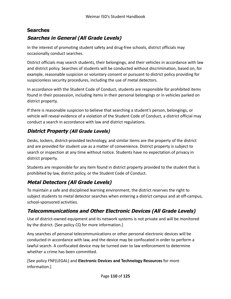### **Searches**

## **Searches in General (All Grade Levels)**

In the interest of promoting student safety and drug-free schools, district officials may occasionally conduct searches.

District officials may search students, their belongings, and their vehicles in accordance with law and district policy. Searches of students will be conducted without discrimination, based on, for example, reasonable suspicion or voluntary consent or pursuant to district policy providing for suspicionless security procedures, including the use of metal detectors.

In accordance with the Student Code of Conduct, students are responsible for prohibited items found in their possession, including items in their personal belongings or in vehicles parked on district property.

If there is reasonable suspicion to believe that searching a student's person, belongings, or vehicle will reveal evidence of a violation of the Student Code of Conduct, a district official may conduct a search in accordance with law and district regulations.

## **District Property (All Grade Levels)**

Desks, lockers, district-provided technology, and similar items are the property of the district and are provided for student use as a matter of convenience. District property is subject to search or inspection at any time without notice. Students have no expectation of privacy in district property.

Students are responsible for any item found in district property provided to the student that is prohibited by law, district policy, or the Student Code of Conduct.

# **Metal Detectors (All Grade Levels)**

To maintain a safe and disciplined learning environment, the district reserves the right to subject students to metal detector searches when entering a district campus and at off-campus, school-sponsored activities.

## **Telecommunications and Other Electronic Devices (All Grade Levels)**

Use of district-owned equipment and its network systems is not private and will be monitored by the district. [See policy CQ for more information.]

Any searches of personal telecommunications or other personal electronic devices will be conducted in accordance with law, and the device may be confiscated in order to perform a lawful search. A confiscated device may be turned over to law enforcement to determine whether a crime has been committed.

[See policy FNF(LEGAL) and **Electronic Devices and Technology Resources** for more information.]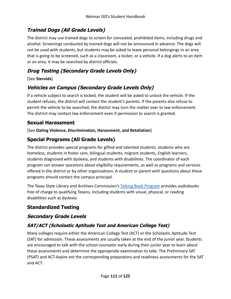# **Trained Dogs (All Grade Levels)**

The district may use trained dogs to screen for concealed, prohibited items, including drugs and alcohol. Screenings conducted by trained dogs will not be announced in advance. The dogs will not be used with students, but students may be asked to leave personal belongings in an area that is going to be screened, such as a classroom, a locker, or a vehicle. If a dog alerts to an item or an area, it may be searched by district officials.

# **Drug Testing (Secondary Grade Levels Only)**

#### [See **Steroids**]

# **Vehicles on Campus (Secondary Grade Levels Only)**

If a vehicle subject to search is locked, the student will be asked to unlock the vehicle. If the student refuses, the district will contact the student's parents. If the parents also refuse to permit the vehicle to be searched, the district may turn the matter over to law enforcement. The district may contact law enforcement even if permission to search is granted.

## **Sexual Harassment**

[See **Dating Violence, Discrimination, Harassment, and Retaliation**]

# **Special Programs (All Grade Levels)**

The district provides special programs for gifted and talented students, students who are homeless, students in foster care, bilingual students, migrant students, English learners, students diagnosed with dyslexia, and students with disabilities. The coordinator of each program can answer questions about eligibility requirements, as well as programs and services offered in the district or by other organizations. A student or parent with questions about these programs should contact the campus principal.

The Texas State Library and Archives Commission's [Talking Book Program](https://www.tsl.texas.gov/tbp/index.html) provides audiobooks free of charge to qualifying Texans, including students with visual, physical, or reading disabilities such as dyslexia.

# **Standardized Testing**

## **Secondary Grade Levels**

## **SAT/ACT (Scholastic Aptitude Test and American College Test)**

Many colleges require either the American College Test (ACT) or the Scholastic Aptitude Test (SAT) for admission. These assessments are usually taken at the end of the junior year. Students are encouraged to talk with the school counselor early during their junior year to learn about these assessments and determine the appropriate examination to take. The Preliminary SAT (PSAT) and ACT-Aspire are the corresponding preparatory and readiness assessments for the SAT and ACT.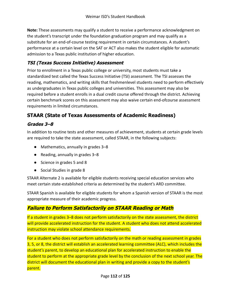**Note:** These assessments may qualify a student to receive a performance acknowledgment on the student's transcript under the foundation graduation program and may qualify as a substitute for an end-of-course testing requirement in certain circumstances. A student's performance at a certain level on the SAT or ACT also makes the student eligible for automatic admission to a Texas public institution of higher education.

## **TSI (Texas Success Initiative) Assessment**

Prior to enrollment in a Texas public college or university, most students must take a standardized test called the Texas Success Initiative (TSI) assessment. The TSI assesses the reading, mathematics, and writing skills that freshmenlevel students need to perform effectively as undergraduates in Texas public colleges and universities. This assessment may also be required before a student enrolls in a dual credit course offered through the district. Achieving certain benchmark scores on this assessment may also waive certain end-ofcourse assessment requirements in limited circumstances.

# **STAAR (State of Texas Assessments of Academic Readiness)**

## **Grades 3–8**

In addition to routine tests and other measures of achievement, students at certain grade levels are required to take the state assessment, called STAAR, in the following subjects:

- Mathematics, annually in grades 3–8
- Reading, annually in grades 3–8
- Science in grades 5 and 8
- Social Studies in grade 8

STAAR Alternate 2 is available for eligible students receiving special education services who meet certain state-established criteria as determined by the student's ARD committee.

STAAR Spanish is available for eligible students for whom a Spanish version of STAAR is the most appropriate measure of their academic progress.

# **Failure to Perform Satisfactorily on STAAR Reading or Math**

If a student in grades 3–8 does not perform satisfactorily on the state assessment, the district will provide accelerated instruction for the student. A student who does not attend accelerated instruction may violate school attendance requirements.

For a student who does not perform satisfactorily on the math or reading assessment in grades 3, 5, or 8, the district will establish an accelerated learning committee (ALC), which includes the student's parent, to develop an educational plan for accelerated instruction to enable the student to perform at the appropriate grade level by the conclusion of the next school year. The district will document the educational plan in writing and provide a copy to the student's parent.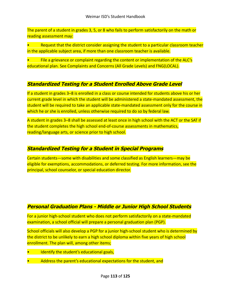The parent of a student in grades 3, 5, or 8 who fails to perform satisfactorily on the math or reading assessment may:

• Request that the district consider assigning the student to a particular classroom teacher in the applicable subject area, if more than one classroom teacher is available.

• File a grievance or complaint regarding the content or implementation of the ALC's educational plan. See Complaints and Concerns (All Grade Levels) and FNG(LOCAL).

### **Standardized Testing for <sup>a</sup> Student Enrolled Above Grade Level**

If a student in grades 3-8 is enrolled in a class or course intended for students above his or her current grade level in which the student will be administered a state-mandated assessment, the student will be required to take an applicable state-mandated assessment only for the course in which he or she is enrolled, unless otherwise required to do so by federal law.

A student in grades 3–8 shall be assessed at least once in high school with the ACT or the SAT if the student completes the high school end-of-course assessments in mathematics, reading/language arts, or science prior to high school.

### **Standardized Testing for <sup>a</sup> Student in Special Programs**

Certain students—some with disabilities and some classified as English learners—may be eligible for exemptions, accommodations, or deferred testing. For more information, see the principal, school counselor, or special education director.

### **Personal Graduation Plans - Middle or Junior High School Students**

For a junior high-school student who does not perform satisfactorily on a state-mandated examination, a school official will prepare a personal graduation plan (PGP).

School officials will also develop a PGP for a junior high-school student who is determined by the district to be unlikely to earn a high school diploma within five years of high school enrollment. The plan will, among other items;

- Identify the student's educational goals,
- Address the parent's educational expectations for the student, and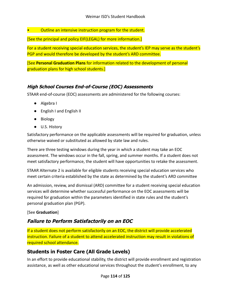• Outline an intensive instruction program for the student.

[See the principal and policy EIF(LEGAL) for more information.]

For a student receiving special education services, the student's IEP may serve as the student's PGP and would therefore be developed by the student's ARD committee.

[See **Personal Graduation Plans** for information related to the development of personal graduation plans for high school students.]

### **High School Courses End-of-Course (EOC) Assessments**

STAAR end-of-course (EOC) assessments are administered for the following courses:

- Algebra I
- English I and English II
- Biology
- U.S. History

Satisfactory performance on the applicable assessments will be required for graduation, unless otherwise waived or substituted as allowed by state law and rules.

There are three testing windows during the year in which a student may take an EOC assessment. The windows occur in the fall, spring, and summer months. If a student does not meet satisfactory performance, the student will have opportunities to retake the assessment.

STAAR Alternate 2 is available for eligible students receiving special education services who meet certain criteria established by the state as determined by the student's ARD committee

An admission, review, and dismissal (ARD) committee for a student receiving special education services will determine whether successful performance on the EOC assessments will be required for graduation within the parameters identified in state rules and the student's personal graduation plan (PGP).

#### [See **Graduation**]

## **Failure to Perform Satisfactorily on an EOC**

If a student does not perform satisfactorily on an EOC, the district will provide accelerated instruction. Failure of a student to attend accelerated instruction may result in violations of required school attendance.

## **Students in Foster Care (All Grade Levels)**

In an effort to provide educational stability, the district will provide enrollment and registration assistance, as well as other educational services throughout the student's enrollment, to any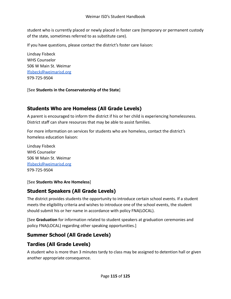student who is currently placed or newly placed in foster care (temporary or permanent custody of the state, sometimes referred to as substitute care).

If you have questions, please contact the district's foster care liaison:

Lindsay Fisbeck WHS Counselor 506 W Main St. Weimar [lfisbeck@weimarisd.org](mailto:lfisbeck@weimarisd.org) 979-725-9504

#### [See **Students in the Conservatorship of the State**]

## **Students Who are Homeless (All Grade Levels)**

A parent is encouraged to inform the district if his or her child is experiencing homelessness. District staff can share resources that may be able to assist families.

For more information on services for students who are homeless, contact the district's homeless education liaison:

Lindsay Fisbeck WHS Counselor 506 W Main St. Weimar [lfisbeck@weimarisd.org](mailto:lfisbeck@weimarisd.org) 979-725-9504

#### [See **Students Who Are Homeless**]

### **Student Speakers (All Grade Levels)**

The district provides students the opportunity to introduce certain school events. If a student meets the eligibility criteria and wishes to introduce one of the school events, the student should submit his or her name in accordance with policy FNA(LOCAL).

[See **Graduation** for information related to student speakers at graduation ceremonies and policy FNA(LOCAL) regarding other speaking opportunities.]

## **Summer School (All Grade Levels)**

## **Tardies (All Grade Levels)**

A student who is more than 3 minutes tardy to class may be assigned to detention hall or given another appropriate consequence.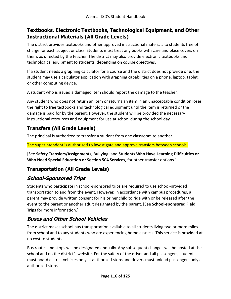## **Textbooks, Electronic Textbooks, Technological Equipment, and Other Instructional Materials (All Grade Levels)**

The district provides textbooks and other approved instructional materials to students free of charge for each subject or class. Students must treat any books with care and place covers on them, as directed by the teacher. The district may also provide electronic textbooks and technological equipment to students, depending on course objectives.

If a student needs a graphing calculator for a course and the district does not provide one, the student may use a calculator application with graphing capabilities on a phone, laptop, tablet, or other computing device.

A student who is issued a damaged item should report the damage to the teacher.

Any student who does not return an item or returns an item in an unacceptable condition loses the right to free textbooks and technological equipment until the item is returned or the damage is paid for by the parent. However, the student will be provided the necessary instructional resources and equipment for use at school during the school day.

## **Transfers (All Grade Levels)**

The principal is authorized to transfer a student from one classroom to another.

The superintendent is authorized to investigate and approve transfers between schools.

[See **Safety Transfers/Assignments**, **Bullying**, and **Students Who Have Learning Difficulties or Who Need Special Education or Section 504 Services**, for other transfer options.]

# **Transportation (All Grade Levels)**

### **School-Sponsored Trips**

Students who participate in school-sponsored trips are required to use school-provided transportation to and from the event. However, in accordance with campus procedures, a parent may provide written consent for his or her child to ride with or be released after the event to the parent or another adult designated by the parent. [See **School-sponsored Field Trips** for more information.]

### **Buses and Other School Vehicles**

The district makes school bus transportation available to all students living two or more miles from school and to any students who are experiencing homelessness. This service is provided at no cost to students.

Bus routes and stops will be designated annually. Any subsequent changes will be posted at the school and on the district's website. For the safety of the driver and all passengers, students must board district vehicles only at authorized stops and drivers must unload passengers only at authorized stops.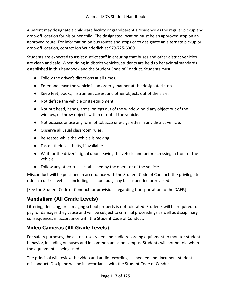A parent may designate a child-care facility or grandparent's residence as the regular pickup and drop-off location for his or her child. The designated location must be an approved stop on an approved route. For information on bus routes and stops or to designate an alternate pickup or drop-off location, contact Jon Wunderlich at 979-725-6300.

Students are expected to assist district staff in ensuring that buses and other district vehicles are clean and safe. When riding in district vehicles, students are held to behavioral standards established in this handbook and the Student Code of Conduct. Students must:

- Follow the driver's directions at all times.
- Enter and leave the vehicle in an orderly manner at the designated stop.
- Keep feet, books, instrument cases, and other objects out of the aisle.
- Not deface the vehicle or its equipment.
- Not put head, hands, arms, or legs out of the window, hold any object out of the window, or throw objects within or out of the vehicle.
- Not possess or use any form of tobacco or e-cigarettes in any district vehicle.
- Observe all usual classroom rules.
- Be seated while the vehicle is moving.
- Fasten their seat belts, if available.
- Wait for the driver's signal upon leaving the vehicle and before crossing in front of the vehicle.
- Follow any other rules established by the operator of the vehicle.

Misconduct will be punished in accordance with the Student Code of Conduct; the privilege to ride in a district vehicle, including a school bus, may be suspended or revoked.

[See the Student Code of Conduct for provisions regarding transportation to the DAEP.]

# **Vandalism (All Grade Levels)**

Littering, defacing, or damaging school property is not tolerated. Students will be required to pay for damages they cause and will be subject to criminal proceedings as well as disciplinary consequences in accordance with the Student Code of Conduct.

# **Video Cameras (All Grade Levels)**

For safety purposes, the district uses video and audio recording equipment to monitor student behavior, including on buses and in common areas on campus. Students will not be told when the equipment is being used

The principal will review the video and audio recordings as needed and document student misconduct. Discipline will be in accordance with the Student Code of Conduct.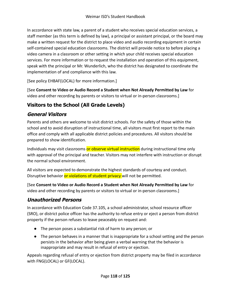In accordance with state law, a parent of a student who receives special education services, a staff member (as this term is defined by law), a principal or assistant principal, or the board may make a written request for the district to place video and audio recording equipment in certain self-contained special education classrooms. The district will provide notice to before placing a video camera in a classroom or other setting in which your child receives special education services. For more information or to request the installation and operation of this equipment, speak with the principal or Mr. Wunderlich, who the district has designated to coordinate the implementation of and compliance with this law.

[See policy EHBAF(LOCAL) for more information.]

[See **Consent to Video or Audio Record a Student when Not Already Permitted by Law** for video and other recording by parents or visitors to virtual or in-person classrooms.]

# **Visitors to the School (All Grade Levels)**

## **General Visitors**

Parents and others are welcome to visit district schools. For the safety of those within the school and to avoid disruption of instructional time, all visitors must first report to the main office and comply with all applicable district policies and procedures. All visitors should be prepared to show identification.

Individuals may visit classrooms or observe virtual instruction during instructional time only with approval of the principal and teacher. Visitors may not interfere with instruction or disrupt the normal school environment.

All visitors are expected to demonstrate the highest standards of courtesy and conduct. Disruptive behavior or violations of student privacy will not be permitted.

[See **Consent to Video or Audio Record a Student when Not Already Permitted by Law** for video and other recording by parents or visitors to virtual or in-person classrooms.]

# **Unauthorized Persons**

In accordance with Education Code 37.105, a school administrator, school resource officer (SRO), or district police officer has the authority to refuse entry or eject a person from district property if the person refuses to leave peaceably on request and:

- The person poses a substantial risk of harm to any person; or
- The person behaves in a manner that is inappropriate for a school setting and the person persists in the behavior after being given a verbal warning that the behavior is inappropriate and may result in refusal of entry or ejection.

Appeals regarding refusal of entry or ejection from district property may be filed in accordance with FNG(LOCAL) or GF(LOCAL).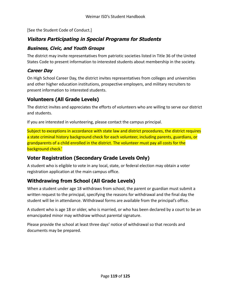[See the Student Code of Conduct.]

# **Visitors Participating in Special Programs for Students**

### **Business, Civic, and Youth Groups**

The district may invite representatives from patriotic societies listed in Title 36 of the United States Code to present information to interested students about membership in the society.

## **Career Day**

On High School Career Day, the district invites representatives from colleges and universities and other higher education institutions, prospective employers, and military recruiters to present information to interested students.

# **Volunteers (All Grade Levels)**

The district invites and appreciates the efforts of volunteers who are willing to serve our district and students.

If you are interested in volunteering, please contact the campus principal.

Subject to exceptions in accordance with state law and district procedures, the district requires a state criminal history background check for each volunteer, including parents, guardians, or grandparents of a child enrolled in the district. The volunteer must pay all costs for the background check.'

# **Voter Registration (Secondary Grade Levels Only)**

A student who is eligible to vote in any local, state, or federal election may obtain a voter registration application at the main campus office.

# **Withdrawing from School (All Grade Levels)**

When a student under age 18 withdraws from school, the parent or guardian must submit a written request to the principal, specifying the reasons for withdrawal and the final day the student will be in attendance. Withdrawal forms are available from the principal's office.

A student who is age 18 or older, who is married, or who has been declared by a court to be an emancipated minor may withdraw without parental signature.

Please provide the school at least three days' notice of withdrawal so that records and documents may be prepared.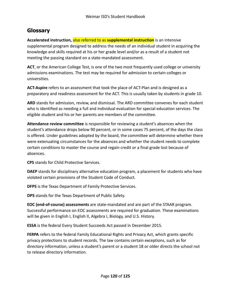# **Glossary**

**Accelerated instruction,** also referred to as **supplemental instruction** is an intensive supplemental program designed to address the needs of an individual student in acquiring the knowledge and skills required at his or her grade level and/or as a result of a student not meeting the passing standard on a state-mandated assessment.

**ACT**, or the American College Test, is one of the two most frequently used college or university admissions examinations. The test may be required for admission to certain colleges or universities.

**ACT-Aspire** refers to an assessment that took the place of ACT-Plan and is designed as a preparatory and readiness assessment for the ACT. This is usually taken by students in grade 10.

**ARD** stands for admission, review, and dismissal. The ARD committee convenes for each student who is identified as needing a full and individual evaluation for special education services. The eligible student and his or her parents are members of the committee.

**Attendance review committee** is responsible for reviewing a student's absences when the student's attendance drops below 90 percent, or in some cases 75 percent, of the days the class is offered. Under guidelines adopted by the board, the committee will determine whether there were extenuating circumstances for the absences and whether the student needs to complete certain conditions to master the course and regain credit or a final grade lost because of absences.

**CPS** stands for Child Protective Services.

**DAEP** stands for disciplinary alternative education program, a placement for students who have violated certain provisions of the Student Code of Conduct.

**DFPS** is the Texas Department of Family Protective Services.

**DPS** stands for the Texas Department of Public Safety.

**EOC (end-of-course) assessments** are state-mandated and are part of the STAAR program. Successful performance on EOC assessments are required for graduation. These examinations will be given in English I, English II, Algebra I, Biology, and U.S. History.

**ESSA** is the federal Every Student Succeeds Act passed in December 2015.

**FERPA** refers to the federal Family Educational Rights and Privacy Act, which grants specific privacy protections to student records. The law contains certain exceptions, such as for directory information, unless a student's parent or a student 18 or older directs the school not to release directory information.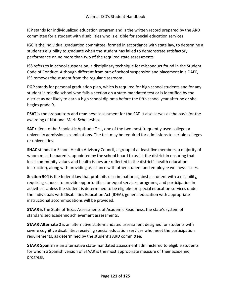**IEP** stands for individualized education program and is the written record prepared by the ARD committee for a student with disabilities who is eligible for special education services.

**IGC** is the individual graduation committee, formed in accordance with state law, to determine a student's eligibility to graduate when the student has failed to demonstrate satisfactory performance on no more than two of the required state assessments.

**ISS** refers to in-school suspension, a disciplinary technique for misconduct found in the Student Code of Conduct. Although different from out-of-school suspension and placement in a DAEP, ISS removes the student from the regular classroom.

**PGP** stands for personal graduation plan, which is required for high school students and for any student in middle school who fails a section on a state-mandated test or is identified by the district as not likely to earn a high school diploma before the fifth school year after he or she begins grade 9.

**PSAT** is the preparatory and readiness assessment for the SAT. It also serves as the basis for the awarding of National Merit Scholarships.

**SAT** refers to the Scholastic Aptitude Test, one of the two most frequently used college or university admissions examinations. The test may be required for admissions to certain colleges or universities.

**SHAC** stands for School Health Advisory Council, a group of at least five members, a majority of whom must be parents, appointed by the school board to assist the district in ensuring that local community values and health issues are reflected in the district's health education instruction, along with providing assistance with other student and employee wellness issues.

**Section 504** is the federal law that prohibits discrimination against a student with a disability, requiring schools to provide opportunities for equal services, programs, and participation in activities. Unless the student is determined to be eligible for special education services under the Individuals with Disabilities Education Act (IDEA), general education with appropriate instructional accommodations will be provided.

**STAAR** is the State of Texas Assessments of Academic Readiness, the state's system of standardized academic achievement assessments.

**STAAR Alternate 2** is an alternative state-mandated assessment designed for students with severe cognitive disabilities receiving special education services who meet the participation requirements, as determined by the student's ARD committee.

**STAAR Spanish** is an alternative state-mandated assessment administered to eligible students for whom a Spanish version of STAAR is the most appropriate measure of their academic progress.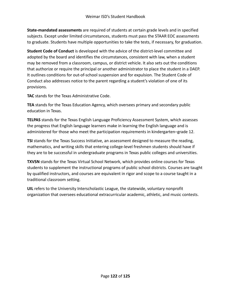**State-mandated assessments** are required of students at certain grade levels and in specified subjects. Except under limited circumstances, students must pass the STAAR EOC assessments to graduate. Students have multiple opportunities to take the tests, if necessary, for graduation.

**Student Code of Conduct** is developed with the advice of the district-level committee and adopted by the board and identifies the circumstances, consistent with law, when a student may be removed from a classroom, campus, or district vehicle. It also sets out the conditions that authorize or require the principal or another administrator to place the student in a DAEP. It outlines conditions for out-of-school suspension and for expulsion. The Student Code of Conduct also addresses notice to the parent regarding a student's violation of one of its provisions.

**TAC** stands for the Texas Administrative Code.

**TEA** stands for the Texas Education Agency, which oversees primary and secondary public education in Texas.

**TELPAS** stands for the Texas English Language Proficiency Assessment System, which assesses the progress that English language learners make in learning the English language and is administered for those who meet the participation requirements in kindergarten–grade 12.

**TSI** stands for the Texas Success Initiative, an assessment designed to measure the reading, mathematics, and writing skills that entering college-level freshmen students should have if they are to be successful in undergraduate programs in Texas public colleges and universities.

**TXVSN** stands for the Texas Virtual School Network, which provides online courses for Texas students to supplement the instructional programs of public school districts. Courses are taught by qualified instructors, and courses are equivalent in rigor and scope to a course taught in a traditional classroom setting.

**UIL** refers to the University Interscholastic League, the statewide, voluntary nonprofit organization that oversees educational extracurricular academic, athletic, and music contests.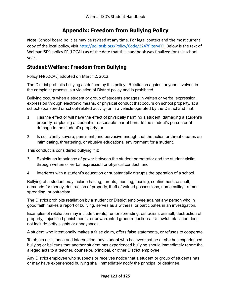# **Appendix: Freedom from Bullying Policy**

**Note:** School board policies may be revised at any time. For legal context and the most current copy of the local policy, visit <http://pol.tasb.org/Policy/Code/324?filter=FFI> .Below is the text of Weimar ISD's policy FFI(LOCAL) as of the date that this handbook was finalized for this school year.

### **Student Welfare: Freedom from Bullying**

Policy FFI(LOCAL) adopted on March 2, 2012.

The District prohibits bullying as defined by this policy. Retaliation against anyone involved in the complaint process is a violation of District policy and is prohibited.

Bullying occurs when a student or group of students engages in written or verbal expression, expression through electronic means, or physical conduct that occurs on school property, at a school-sponsored or school-related activity, or in a vehicle operated by the District and that:

- 1. Has the effect or will have the effect of physically harming a student, damaging a student's property, or placing a student in reasonable fear of harm to the student's person or of damage to the student's property; or
- 2. Is sufficiently severe, persistent, and pervasive enough that the action or threat creates an intimidating, threatening, or abusive educational environment for a student.

This conduct is considered bullying if it:

- 3. Exploits an imbalance of power between the student perpetrator and the student victim through written or verbal expression or physical conduct; and
- 4. Interferes with a student's education or substantially disrupts the operation of a school.

Bullying of a student may include hazing, threats, taunting, teasing, confinement, assault, demands for money, destruction of property, theft of valued possessions, name calling, rumor spreading, or ostracism.

The District prohibits retaliation by a student or District employee against any person who in good faith makes a report of bullying, serves as a witness, or participates in an investigation.

Examples of retaliation may include threats, rumor spreading, ostracism, assault, destruction of property, unjustified punishments, or unwarranted grade reductions. Unlawful retaliation does not include petty slights or annoyances.

A student who intentionally makes a false claim, offers false statements, or refuses to cooperate

To obtain assistance and intervention, any student who believes that he or she has experienced bullying or believes that another student has experienced bullying should immediately report the alleged acts to a teacher, counselor, principal, or other District employee.

Any District employee who suspects or receives notice that a student or group of students has or may have experienced bullying shall immediately notify the principal or designee.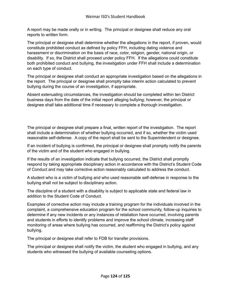A report may be made orally or in writing. The principal or designee shall reduce any oral reports to written form.

The principal or designee shall determine whether the allegations in the report, if proven, would constitute prohibited conduct as defined by policy FFH, including dating violence and harassment or discrimination on the basis of race, color, religion, gender, national origin, or disability. If so, the District shall proceed under policy FFH. If the allegations could constitute both prohibited conduct and bullying, the investigation under FFH shall include a determination on each type of conduct.

The principal or designee shall conduct an appropriate investigation based on the allegations in the report. The principal or designee shall promptly take interim action calculated to prevent bullying during the course of an investigation, if appropriate.

Absent extenuating circumstances, the investigation should be completed within ten District business days from the date of the initial report alleging bullying; however, the principal or designee shall take additional time if necessary to complete a thorough investigation.

The principal or designee shall prepare a final, written report of the investigation. The report shall include a determination of whether bullying occurred, and if so, whether the victim used reasonable self-defense. A copy of the report shall be sent to the Superintendent or designee.

If an incident of bullying is confirmed, the principal or designee shall promptly notify the parents of the victim and of the student who engaged in bullying.

If the results of an investigation indicate that bullying occurred, the District shall promptly respond by taking appropriate disciplinary action in accordance with the District's Student Code of Conduct and may take corrective action reasonably calculated to address the conduct.

A student who is a victim of bullying and who used reasonable self-defense in response to the bullying shall not be subject to disciplinary action.

The discipline of a student with a disability is subject to applicable state and federal law in addition to the Student Code of Conduct.

Examples of corrective action may include a training program for the individuals involved in the complaint, a comprehensive education program for the school community, follow-up inquiries to determine if any new incidents or any instances of retaliation have occurred, involving parents and students in efforts to identify problems and improve the school climate, increasing staff monitoring of areas where bullying has occurred, and reaffirming the District's policy against bullying.

The principal or designee shall refer to FDB for transfer provisions.

The principal or designee shall notify the victim, the student who engaged in bullying, and any students who witnessed the bullying of available counseling options.